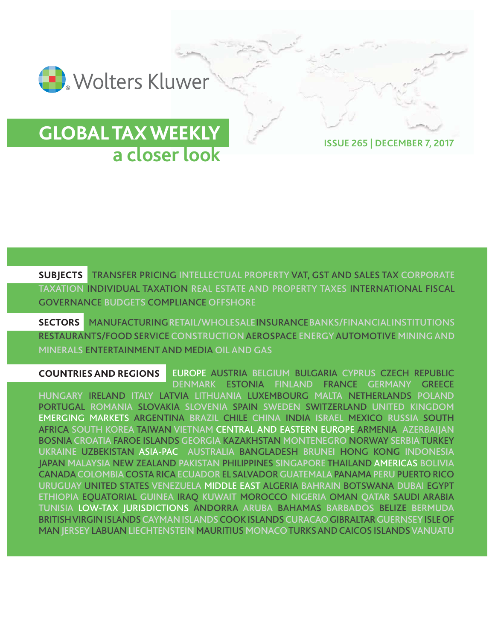

# **GLOBAL TAX WEEKLY a closer look ISSUE 265 | DECEMBER 7, 2017**

**SUBJECTS TRANSFER PRICING INTELLECTUAL PROPERTY VAT, GST AND SALES TAX CORPORATE TAXATION INDIVIDUAL TAXATION REAL ESTATE AND PROPERTY TAXES INTERNATIONAL FISCAL GOVERNANCE BUDGETS COMPLIANCE OFFSHORE**

**SECTORS MANUFACTURING RETAIL/WHOLESALE INSURANCE BANKS/FINANCIALINSTITUTIONS RESTAURANTS/FOOD SERVICE CONSTRUCTION AEROSPACE ENERGY AUTOMOTIVE MINING AND MINERALS ENTERTAINMENT AND MEDIA OIL AND GAS**

**EUROPE AUSTRIA BELGIUM BULGARIA CYPRUS CZECH REPUBLIC DENMARK ESTONIA FINLAND FRANCE GERMANY GREECE HUNGARY IRELAND ITALY LATVIA LITHUANIA LUXEMBOURG MALTA NETHERLANDS POLAND PORTUGAL ROMANIA SLOVAKIA SLOVENIA SPAIN SWEDEN SWITZERLAND UNITED KINGDOM EMERGING MARKETS ARGENTINA BRAZIL CHILE CHINA INDIA ISRAEL MEXICO RUSSIA SOUTH AFRICA SOUTH KOREA TAIWAN VIETNAM CENTRAL AND EASTERN EUROPE ARMENIA AZERBAIJAN BOSNIA CROATIA FAROE ISLANDSGEORGIA KAZAKHSTAN MONTENEGRO NORWAY SERBIATURKEY UKRAINE UZBEKISTAN ASIA-PAC AUSTRALIA BANGLADESH BRUNEI HONG KONG INDONESIA JAPAN MALAYSIA NEW ZEALAND PAKISTAN PHILIPPINES SINGAPORE THAILAND AMERICAS BOLIVIA CANADACOLOMBIACOSTA RICAECUADOR EL SALVADORGUATEMALAPANAMA PERUPUERTO RICO URUGUAY UNITED STATES VENEZUELA MIDDLE EAST ALGERIA BAHRAIN BOTSWANA DUBAI EGYPT ETHIOPIA EQUATORIAL GUINEA IRAQ KUWAIT MOROCCO NIGERIA OMAN QATAR SAUDI ARABIA TUNISIA LOW-TAX JURISDICTIONS ANDORRA ARUBA BAHAMAS BARBADOS BELIZE BERMUDA BRITISH VIRGIN ISLANDS CAYMAN ISLANDSCOOK ISLANDSCURACAOGIBRALTAR GUERNSEYISLE OF MANJERSEY LABUAN LIECHTENSTEIN MAURITIUS MONACO TURKS AND CAICOS ISLANDSVANUATU COUNTRIES AND REGIONS**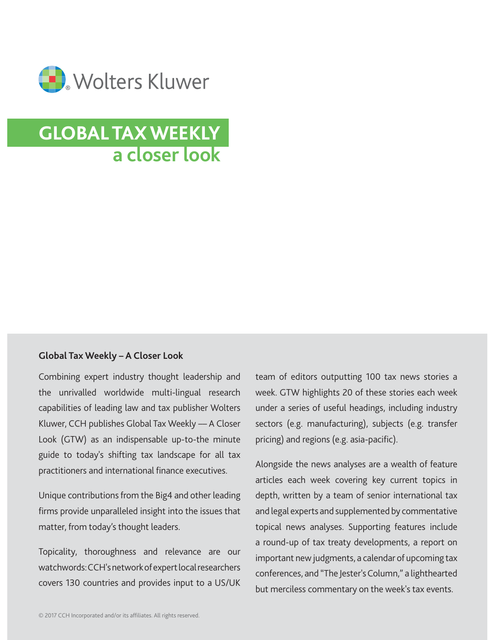

# **GLOBAL TAX WEEKLY a closer look**

#### **Global Tax Weekly – A Closer Look**

Combining expert industry thought leadership and the unrivalled worldwide multi-lingual research capabilities of leading law and tax publisher Wolters Kluwer, CCH publishes Global Tax Weekly –– A Closer Look (GTW) as an indispensable up-to-the minute guide to today's shifting tax landscape for all tax practitioners and international finance executives.

Unique contributions from the Big4 and other leading firms provide unparalleled insight into the issues that matter, from today's thought leaders.

Topicality, thoroughness and relevance are our watchwords: CCH's network of expert local researchers covers 130 countries and provides input to a US/UK team of editors outputting 100 tax news stories a week. GTW highlights 20 of these stories each week under a series of useful headings, including industry sectors (e.g. manufacturing), subjects (e.g. transfer pricing) and regions (e.g. asia-pacific).

Alongside the news analyses are a wealth of feature articles each week covering key current topics in depth, written by a team of senior international tax and legal experts and supplemented by commentative topical news analyses. Supporting features include a round-up of tax treaty developments, a report on important new judgments, a calendar of upcoming tax conferences, and "The Jester's Column," a lighthearted but merciless commentary on the week's tax events.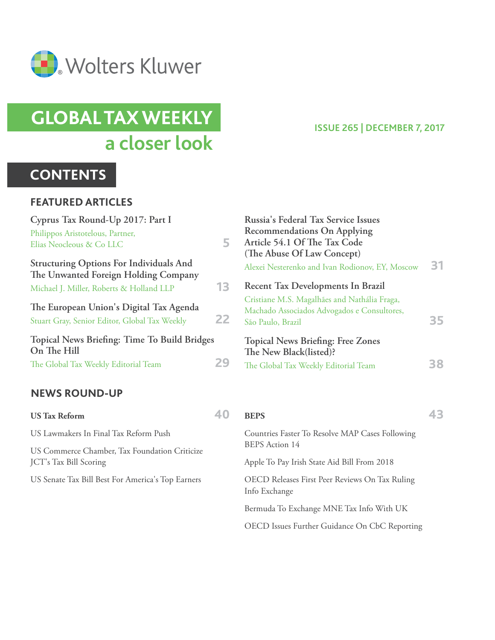

# **GLOBAL TAX WEEKLY a closer look**

# **CONTENTS**

#### **FEATURED ARTICLES**

| Cyprus Tax Round-Up 2017: Part I                                                         |    | Russia's Federal Tax Service Issues                                                                              |    |
|------------------------------------------------------------------------------------------|----|------------------------------------------------------------------------------------------------------------------|----|
| Philippos Aristotelous, Partner,                                                         |    | <b>Recommendations On Applying</b>                                                                               |    |
| Elias Neocleous & Co LLC                                                                 | 5. | Article 54.1 Of The Tax Code                                                                                     |    |
| <b>Structuring Options For Individuals And</b><br>The Unwanted Foreign Holding Company   |    | (The Abuse Of Law Concept)<br>Alexei Nesterenko and Ivan Rodionov, EY, Moscow                                    | 31 |
| Michael J. Miller, Roberts & Holland LLP                                                 | 13 | Recent Tax Developments In Brazil                                                                                |    |
| The European Union's Digital Tax Agenda<br>Stuart Gray, Senior Editor, Global Tax Weekly | 22 | Cristiane M.S. Magalhães and Nathália Fraga,<br>Machado Associados Advogados e Consultores,<br>São Paulo, Brazil | 35 |
| Topical News Briefing: Time To Build Bridges<br>On The Hill                              |    | <b>Topical News Briefing: Free Zones</b><br>The New Black(listed)?                                               |    |
| The Global Tax Weekly Editorial Team                                                     | 29 | The Global Tax Weekly Editorial Team                                                                             | 38 |
| <b>NEWS ROUND-UP</b>                                                                     |    |                                                                                                                  |    |
| <b>US Tax Reform</b>                                                                     | 40 | <b>BEPS</b>                                                                                                      | 43 |
| US Lawmakers In Final Tax Reform Push                                                    |    | Countries Faster To Resolve MAP Cases Following<br><b>BEPS</b> Action 14                                         |    |
| US Commerce Chamber, Tax Foundation Criticize                                            |    |                                                                                                                  |    |
| JCT's Tax Bill Scoring                                                                   |    | Apple To Pay Irish State Aid Bill From 2018                                                                      |    |

**ISSUE 265 | DECEMBER 7, 2017**

OECD Releases First Peer Reviews On Tax Ruling

Bermuda To Exchange MNE Tax Info With UK

OECD Issues Further Guidance On CbC Reporting

Info Exchange

JCT's Tax Bill Scoring

US Senate Tax Bill Best For America's Top Earners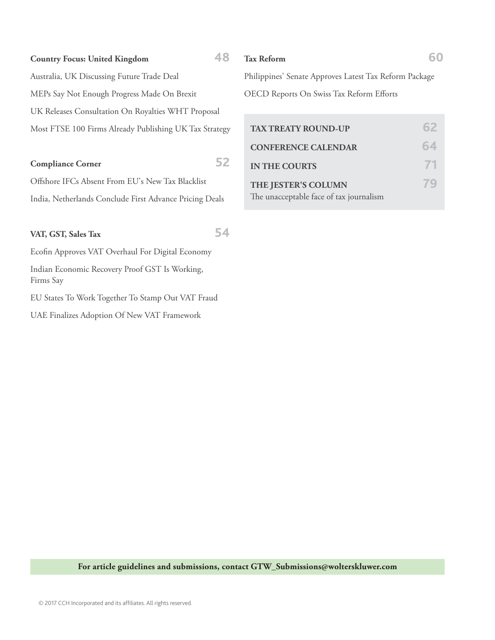#### **Country Focus: United Kingdom 48**

 Australia, UK Discussing Future Trade Deal MEPs Say Not Enough Progress Made On Brexit UK Releases Consultation On Royalties WHT Proposal Most FTSE 100 Firms Already Publishing UK Tax Strategy

#### **Compliance Corner 52**

Offshore IFCs Absent From EU's New Tax Blacklist India, Netherlands Conclude First Advance Pricing Deals

#### **VAT, GST, Sales Tax 54**

Ecofin Approves VAT Overhaul For Digital Economy Indian Economic Recovery Proof GST Is Working, Firms Say

EU States To Work Together To Stamp Out VAT Fraud

UAE Finalizes Adoption Of New VAT Framework

#### **Tax Reform 60**

 Philippines' Senate Approves Latest Tax Reform Package OECD Reports On Swiss Tax Reform Efforts

| <b>TAX TREATY ROUND-UP</b>                                     |    |
|----------------------------------------------------------------|----|
| <b>CONFERENCE CALENDAR</b>                                     | 64 |
| <b>IN THE COURTS</b>                                           |    |
| THE JESTER'S COLUMN<br>The unacceptable face of tax journalism |    |

**For article guidelines and submissions, contact GTW\_Submissions@wolterskluwer.com**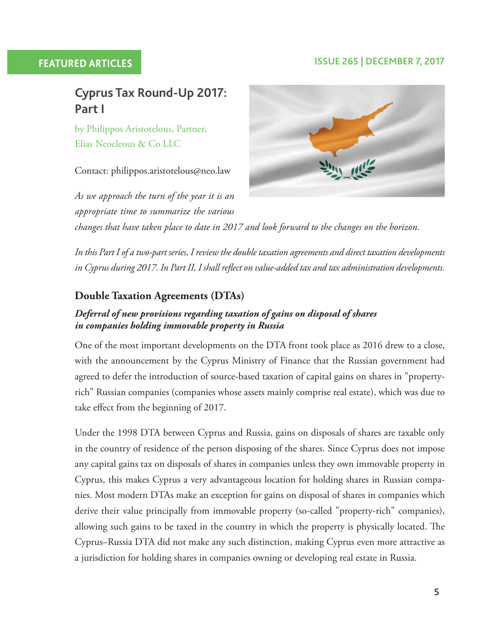#### **FEATURED ARTICLES ISSUE 265 | DECEMBER 7, 2017**

## **Cyprus Tax Round-Up 2017: Part I**

 by Philippos Aristotelous, Partner, Elias Neocleous & Co LLC

Contact: philippos.aristotelous@neo.law

*As we approach the turn of the year it is an appropriate time to summarize the various* 



*changes that have taken place to date in 2017 and look forward to the changes on the horizon.*

*In this Part I of a two-part series, I review the double taxation agreements and direct taxation developments*  in Cyprus during 2017. In Part II, I shall reflect on value-added tax and tax administration developments.

#### **Double Taxation Agreements (DTAs)**

#### *Deferral of new provisions regarding taxation of gains on disposal of shares in companies holding immovable property in Russia*

 One of the most important developments on the DTA front took place as 2016 drew to a close, with the announcement by the Cyprus Ministry of Finance that the Russian government had agreed to defer the introduction of source-based taxation of capital gains on shares in "propertyrich" Russian companies (companies whose assets mainly comprise real estate), which was due to take effect from the beginning of 2017.

 Under the 1998 DTA between Cyprus and Russia, gains on disposals of shares are taxable only in the country of residence of the person disposing of the shares. Since Cyprus does not impose any capital gains tax on disposals of shares in companies unless they own immovable property in Cyprus, this makes Cyprus a very advantageous location for holding shares in Russian companies. Most modern DTAs make an exception for gains on disposal of shares in companies which derive their value principally from immovable property (so-called "property-rich" companies), allowing such gains to be taxed in the country in which the property is physically located. The Cyprus–Russia DTA did not make any such distinction, making Cyprus even more attractive as a jurisdiction for holding shares in companies owning or developing real estate in Russia.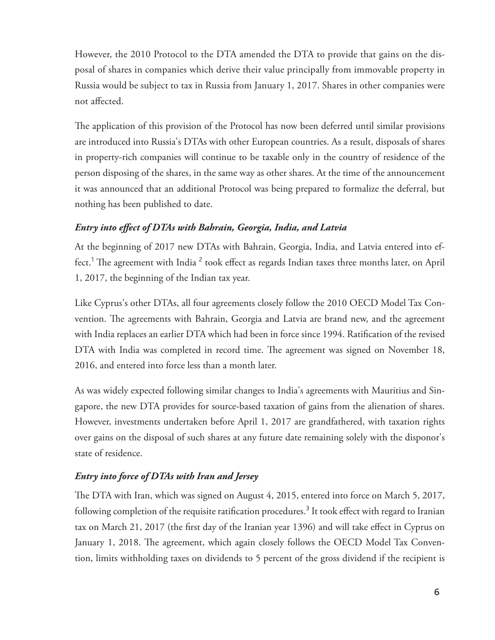However, the 2010 Protocol to the DTA amended the DTA to provide that gains on the disposal of shares in companies which derive their value principally from immovable property in Russia would be subject to tax in Russia from January 1, 2017. Shares in other companies were not affected.

The application of this provision of the Protocol has now been deferred until similar provisions are introduced into Russia's DTAs with other European countries. As a result, disposals of shares in property-rich companies will continue to be taxable only in the country of residence of the person disposing of the shares, in the same way as other shares. At the time of the announcement it was announced that an additional Protocol was being prepared to formalize the deferral, but nothing has been published to date.

#### *Entry into effect of DTAs with Bahrain, Georgia, India, and Latvia*

 At the beginning of 2017 new DTAs with Bahrain, Georgia, India, and Latvia entered into effect.<sup>1</sup> The agreement with India  $^2$  took effect as regards Indian taxes three months later, on April 1, 2017, the beginning of the Indian tax year.

 Like Cyprus's other DTAs, all four agreements closely follow the 2010 OECD Model Tax Convention. The agreements with Bahrain, Georgia and Latvia are brand new, and the agreement with India replaces an earlier DTA which had been in force since 1994. Ratification of the revised DTA with India was completed in record time. The agreement was signed on November 18, 2016, and entered into force less than a month later.

 As was widely expected following similar changes to India's agreements with Mauritius and Singapore, the new DTA provides for source-based taxation of gains from the alienation of shares. However, investments undertaken before April 1, 2017 are grandfathered, with taxation rights over gains on the disposal of such shares at any future date remaining solely with the disponor's state of residence.

#### *Entry into force of DTAs with Iran and Jersey*

The DTA with Iran, which was signed on August 4, 2015, entered into force on March 5, 2017, following completion of the requisite ratification procedures.<sup>3</sup> It took effect with regard to Iranian tax on March 21, 2017 (the first day of the Iranian year 1396) and will take effect in Cyprus on January 1, 2018. The agreement, which again closely follows the OECD Model Tax Convention, limits withholding taxes on dividends to 5 percent of the gross dividend if the recipient is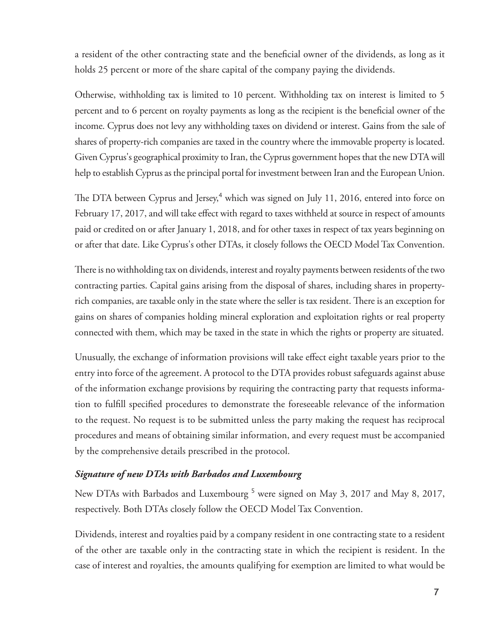a resident of the other contracting state and the beneficial owner of the dividends, as long as it holds 25 percent or more of the share capital of the company paying the dividends.

 Otherwise, withholding tax is limited to 10 percent. Withholding tax on interest is limited to 5 percent and to 6 percent on royalty payments as long as the recipient is the beneficial owner of the income. Cyprus does not levy any withholding taxes on dividend or interest. Gains from the sale of shares of property-rich companies are taxed in the country where the immovable property is located. Given Cyprus's geographical proximity to Iran, the Cyprus government hopes that the new DTA will help to establish Cyprus as the principal portal for investment between Iran and the European Union.

The DTA between Cyprus and Jersey,<sup>4</sup> which was signed on July 11, 2016, entered into force on February 17, 2017, and will take effect with regard to taxes withheld at source in respect of amounts paid or credited on or after January 1, 2018, and for other taxes in respect of tax years beginning on or after that date. Like Cyprus's other DTAs, it closely follows the OECD Model Tax Convention.

There is no withholding tax on dividends, interest and royalty payments between residents of the two contracting parties. Capital gains arising from the disposal of shares, including shares in propertyrich companies, are taxable only in the state where the seller is tax resident. There is an exception for gains on shares of companies holding mineral exploration and exploitation rights or real property connected with them, which may be taxed in the state in which the rights or property are situated.

Unusually, the exchange of information provisions will take effect eight taxable years prior to the entry into force of the agreement. A protocol to the DTA provides robust safeguards against abuse of the information exchange provisions by requiring the contracting party that requests information to fulfill specified procedures to demonstrate the foreseeable relevance of the information to the request. No request is to be submitted unless the party making the request has reciprocal procedures and means of obtaining similar information, and every request must be accompanied by the comprehensive details prescribed in the protocol.

#### *Signature of new DTAs with Barbados and Luxembourg*

New DTAs with Barbados and Luxembourg<sup>5</sup> were signed on May 3, 2017 and May 8, 2017, respectively. Both DTAs closely follow the OECD Model Tax Convention.

 Dividends, interest and royalties paid by a company resident in one contracting state to a resident of the other are taxable only in the contracting state in which the recipient is resident. In the case of interest and royalties, the amounts qualifying for exemption are limited to what would be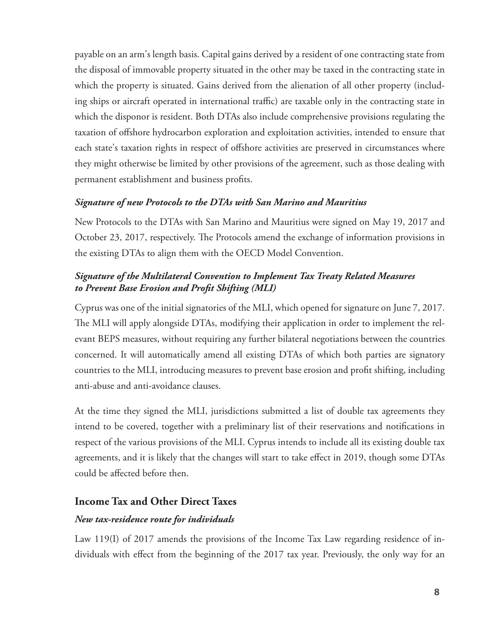payable on an arm's length basis. Capital gains derived by a resident of one contracting state from the disposal of immovable property situated in the other may be taxed in the contracting state in which the property is situated. Gains derived from the alienation of all other property (including ships or aircraft operated in international traffic) are taxable only in the contracting state in which the disponor is resident. Both DTAs also include comprehensive provisions regulating the taxation of offshore hydrocarbon exploration and exploitation activities, intended to ensure that each state's taxation rights in respect of offshore activities are preserved in circumstances where they might otherwise be limited by other provisions of the agreement, such as those dealing with permanent establishment and business profits.

#### *Signature of new Protocols to the DTAs with San Marino and Mauritius*

 New Protocols to the DTAs with San Marino and Mauritius were signed on May 19, 2017 and October 23, 2017, respectively. The Protocols amend the exchange of information provisions in the existing DTAs to align them with the OECD Model Convention.

#### *Signature of the Multilateral Convention to Implement Tax Treaty Related Measures to Prevent Base Erosion and Profi t Shifting (MLI)*

 Cyprus was one of the initial signatories of the MLI, which opened for signature on June 7, 2017. The MLI will apply alongside DTAs, modifying their application in order to implement the relevant BEPS measures, without requiring any further bilateral negotiations between the countries concerned. It will automatically amend all existing DTAs of which both parties are signatory countries to the MLI, introducing measures to prevent base erosion and profi t shifting, including anti-abuse and anti-avoidance clauses.

 At the time they signed the MLI, jurisdictions submitted a list of double tax agreements they intend to be covered, together with a preliminary list of their reservations and notifications in respect of the various provisions of the MLI. Cyprus intends to include all its existing double tax agreements, and it is likely that the changes will start to take effect in 2019, though some DTAs could be affected before then.

#### **Income Tax and Other Direct Taxes**

#### *New tax-residence route for individuals*

 Law 119(I) of 2017 amends the provisions of the Income Tax Law regarding residence of individuals with effect from the beginning of the 2017 tax year. Previously, the only way for an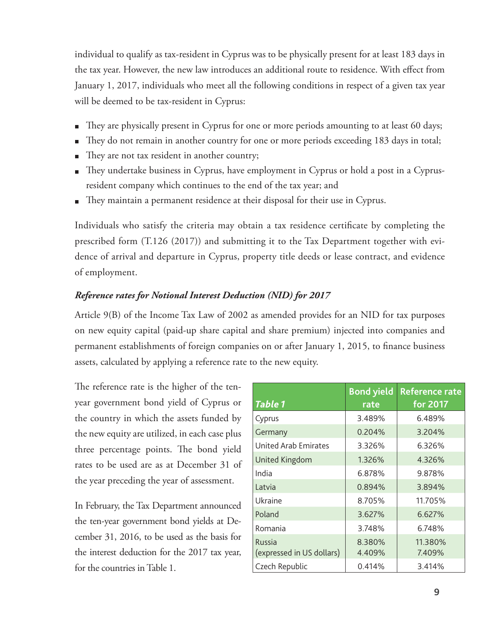individual to qualify as tax-resident in Cyprus was to be physically present for at least 183 days in the tax year. However, the new law introduces an additional route to residence. With effect from January 1, 2017, individuals who meet all the following conditions in respect of a given tax year will be deemed to be tax-resident in Cyprus:

- They are physically present in Cyprus for one or more periods amounting to at least 60 days;  $\blacksquare$
- They do not remain in another country for one or more periods exceeding 183 days in total;  $\blacksquare$
- They are not tax resident in another country;
- They undertake business in Cyprus, have employment in Cyprus or hold a post in a Cyprusresident company which continues to the end of the tax year; and
- $\blacksquare$  They maintain a permanent residence at their disposal for their use in Cyprus.

Individuals who satisfy the criteria may obtain a tax residence certificate by completing the prescribed form (T.126 (2017)) and submitting it to the Tax Department together with evidence of arrival and departure in Cyprus, property title deeds or lease contract, and evidence of employment.

#### *Reference rates for Notional Interest Deduction (NID) for 2017*

 Article 9(B) of the Income Tax Law of 2002 as amended provides for an NID for tax purposes on new equity capital (paid-up share capital and share premium) injected into companies and permanent establishments of foreign companies on or after January 1, 2015, to finance business assets, calculated by applying a reference rate to the new equity.

The reference rate is the higher of the tenyear government bond yield of Cyprus or the country in which the assets funded by the new equity are utilized, in each case plus three percentage points. The bond yield rates to be used are as at December 31 of the year preceding the year of assessment.

 In February, the Tax Department announced the ten-year government bond yields at December 31, 2016, to be used as the basis for the interest deduction for the 2017 tax year, for the countries in Table 1.

| <b>Table 1</b>                      | <b>Bond yield</b><br>rate | <b>Reference rate</b><br>for 2017 |
|-------------------------------------|---------------------------|-----------------------------------|
| Cyprus                              | 3.489%                    | 6.489%                            |
| Germany                             | 0.204%                    | 3.204%                            |
| <b>United Arab Emirates</b>         | 3.326%                    | 6.326%                            |
| United Kingdom                      | 1.326%                    | 4.326%                            |
| India                               | 6.878%                    | 9.878%                            |
| Latvia                              | 0.894%                    | 3.894%                            |
| Ukraine                             | 8.705%                    | 11.705%                           |
| Poland                              | 3.627%                    | 6.627%                            |
| Romania                             | 3.748%                    | 6.748%                            |
| Russia<br>(expressed in US dollars) | 8.380%<br>4.409%          | 11.380%<br>7.409%                 |
| Czech Republic                      | 0.414%                    | 3.414%                            |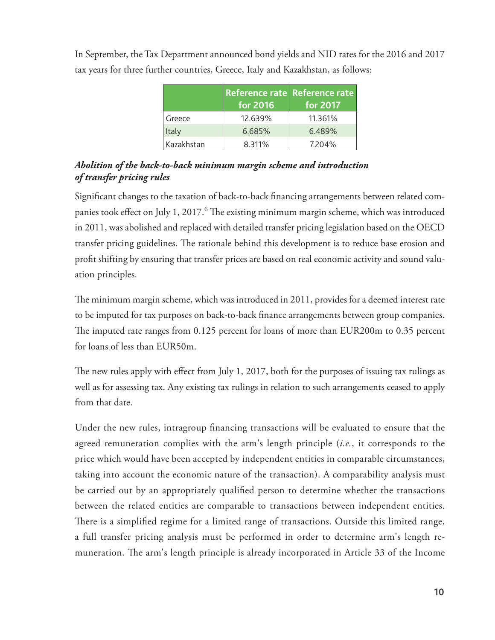|            | Reference rate Reference rate<br>for 2016 | for 2017 |
|------------|-------------------------------------------|----------|
| Greece     | 12.639%                                   | 11.361%  |
| Italy      | 6.685%                                    | 6.489%   |
| Kazakhstan | 8.311%                                    | 7.204%   |

 In September, the Tax Department announced bond yields and NID rates for the 2016 and 2017 tax years for three further countries, Greece, Italy and Kazakhstan, as follows:

#### *Abolition of the back-to-back minimum margin scheme and introduction of transfer pricing rules*

Significant changes to the taxation of back-to-back financing arrangements between related companies took effect on July 1, 2017.<sup>6</sup> The existing minimum margin scheme, which was introduced in 2011, was abolished and replaced with detailed transfer pricing legislation based on the OECD transfer pricing guidelines. The rationale behind this development is to reduce base erosion and profit shifting by ensuring that transfer prices are based on real economic activity and sound valuation principles.

The minimum margin scheme, which was introduced in 2011, provides for a deemed interest rate to be imputed for tax purposes on back-to-back finance arrangements between group companies. The imputed rate ranges from 0.125 percent for loans of more than EUR200m to 0.35 percent for loans of less than EUR50m.

The new rules apply with effect from July 1, 2017, both for the purposes of issuing tax rulings as well as for assessing tax. Any existing tax rulings in relation to such arrangements ceased to apply from that date.

Under the new rules, intragroup financing transactions will be evaluated to ensure that the agreed remuneration complies with the arm's length principle (*i.e.*, it corresponds to the price which would have been accepted by independent entities in comparable circumstances, taking into account the economic nature of the transaction). A comparability analysis must be carried out by an appropriately qualified person to determine whether the transactions between the related entities are comparable to transactions between independent entities. There is a simplified regime for a limited range of transactions. Outside this limited range, a full transfer pricing analysis must be performed in order to determine arm's length remuneration. The arm's length principle is already incorporated in Article 33 of the Income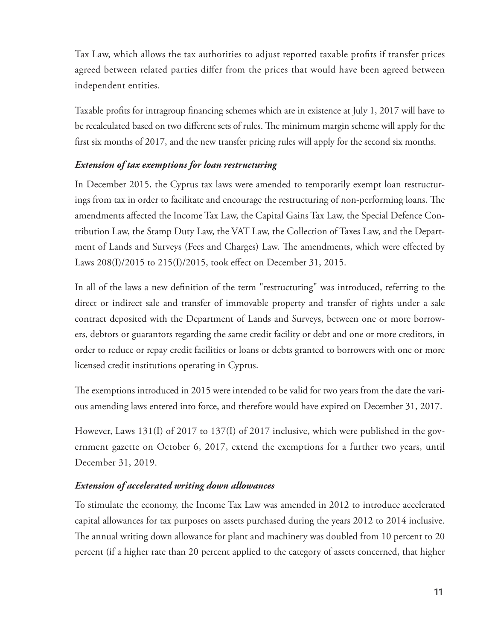Tax Law, which allows the tax authorities to adjust reported taxable profits if transfer prices agreed between related parties differ from the prices that would have been agreed between independent entities.

Taxable profits for intragroup financing schemes which are in existence at July 1, 2017 will have to be recalculated based on two different sets of rules. The minimum margin scheme will apply for the first six months of 2017, and the new transfer pricing rules will apply for the second six months.

#### *Extension of tax exemptions for loan restructuring*

 In December 2015, the Cyprus tax laws were amended to temporarily exempt loan restructurings from tax in order to facilitate and encourage the restructuring of non-performing loans. The amendments affected the Income Tax Law, the Capital Gains Tax Law, the Special Defence Contribution Law, the Stamp Duty Law, the VAT Law, the Collection of Taxes Law, and the Department of Lands and Surveys (Fees and Charges) Law. The amendments, which were effected by Laws 208(I)/2015 to 215(I)/2015, took effect on December 31, 2015.

In all of the laws a new definition of the term "restructuring" was introduced, referring to the direct or indirect sale and transfer of immovable property and transfer of rights under a sale contract deposited with the Department of Lands and Surveys, between one or more borrowers, debtors or guarantors regarding the same credit facility or debt and one or more creditors, in order to reduce or repay credit facilities or loans or debts granted to borrowers with one or more licensed credit institutions operating in Cyprus.

The exemptions introduced in 2015 were intended to be valid for two years from the date the various amending laws entered into force, and therefore would have expired on December 31, 2017.

 However, Laws 131(I) of 2017 to 137(I) of 2017 inclusive, which were published in the government gazette on October 6, 2017, extend the exemptions for a further two years, until December 31, 2019.

#### *Extension of accelerated writing down allowances*

 To stimulate the economy, the Income Tax Law was amended in 2012 to introduce accelerated capital allowances for tax purposes on assets purchased during the years 2012 to 2014 inclusive. The annual writing down allowance for plant and machinery was doubled from 10 percent to 20 percent (if a higher rate than 20 percent applied to the category of assets concerned, that higher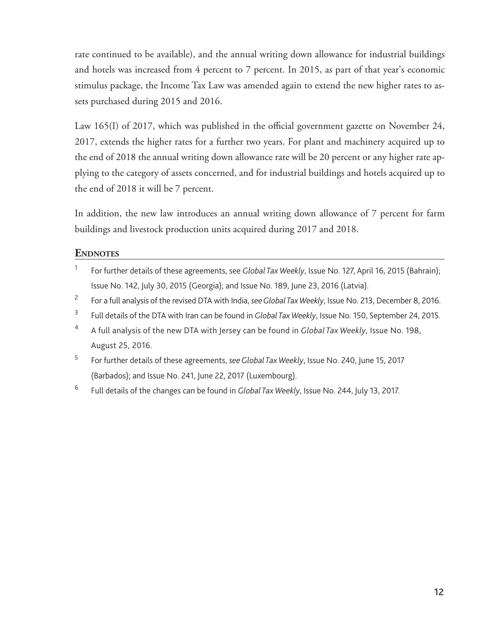rate continued to be available), and the annual writing down allowance for industrial buildings and hotels was increased from 4 percent to 7 percent. In 2015, as part of that year's economic stimulus package, the Income Tax Law was amended again to extend the new higher rates to assets purchased during 2015 and 2016.

Law 165(I) of 2017, which was published in the official government gazette on November 24, 2017, extends the higher rates for a further two years. For plant and machinery acquired up to the end of 2018 the annual writing down allowance rate will be 20 percent or any higher rate applying to the category of assets concerned, and for industrial buildings and hotels acquired up to the end of 2018 it will be 7 percent.

 In addition, the new law introduces an annual writing down allowance of 7 percent for farm buildings and livestock production units acquired during 2017 and 2018.

#### **ENDNOTES**

- 1 For further details of these agreements, see *Global Tax Weekly* , Issue No. 127, April 16, 2015 (Bahrain); Issue No. 142, July 30, 2015 (Georgia); and Issue No. 189, June 23, 2016 (Latvia).
- 2 For a full analysis of the revised DTA with India, *see Global Tax Weekly* , Issue No. 213, December 8, 2016.
- 3 Full details of the DTA with Iran can be found in *Global Tax Weekly* , Issue No. 150, September 24, 2015.
- 4 A full analysis of the new DTA with Jersey can be found in *Global Tax Weekly* , Issue No. 198, August 25, 2016.
- 5 For further details of these agreements, *see Global Tax Weekly* , Issue No. 240, June 15, 2017 (Barbados); and Issue No. 241, June 22, 2017 (Luxembourg).
- 6 Full details of the changes can be found in *Global Tax Weekly* , Issue No. 244, July 13, 2017.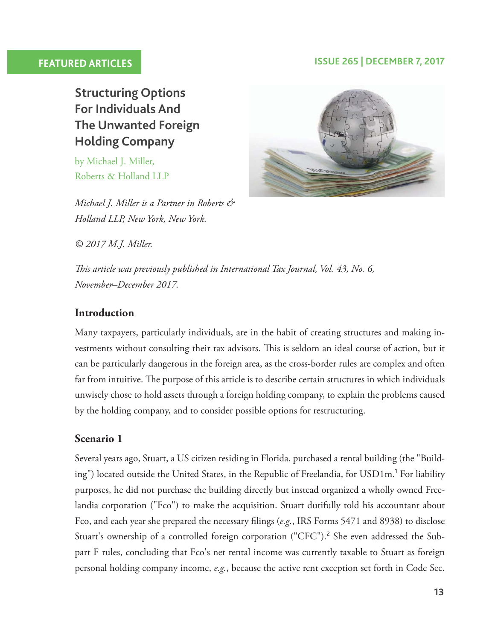### **FEATURED ARTICLES ISSUE 265 | DECEMBER 7, 2017**

 **Structuring Options For Individuals And The Unwanted Foreign Holding Company** 

 by Michael J. Miller, Roberts & Holland LLP

*Michael J. Miller is a Partner in Roberts & Holland LLP, New York, New York.*

*© 2017 M.J. Miller.*



*This article was previously published in International Tax Journal, Vol. 43, No. 6, November–December 2017.*

#### **Introduction**

 Many taxpayers, particularly individuals, are in the habit of creating structures and making investments without consulting their tax advisors. This is seldom an ideal course of action, but it can be particularly dangerous in the foreign area, as the cross-border rules are complex and often far from intuitive. The purpose of this article is to describe certain structures in which individuals unwisely chose to hold assets through a foreign holding company, to explain the problems caused by the holding company, and to consider possible options for restructuring.

#### **Scenario 1**

 Several years ago, Stuart, a US citizen residing in Florida, purchased a rental building (the "Building") located outside the United States, in the Republic of Freelandia, for USD1m.<sup>1</sup> For liability purposes, he did not purchase the building directly but instead organized a wholly owned Freelandia corporation ("Fco") to make the acquisition. Stuart dutifully told his accountant about Fco, and each year she prepared the necessary filings (e.g., IRS Forms 5471 and 8938) to disclose Stuart's ownership of a controlled foreign corporation ("CFC").<sup>2</sup> She even addressed the Subpart F rules, concluding that Fco's net rental income was currently taxable to Stuart as foreign personal holding company income, *e.g.* , because the active rent exception set forth in Code Sec.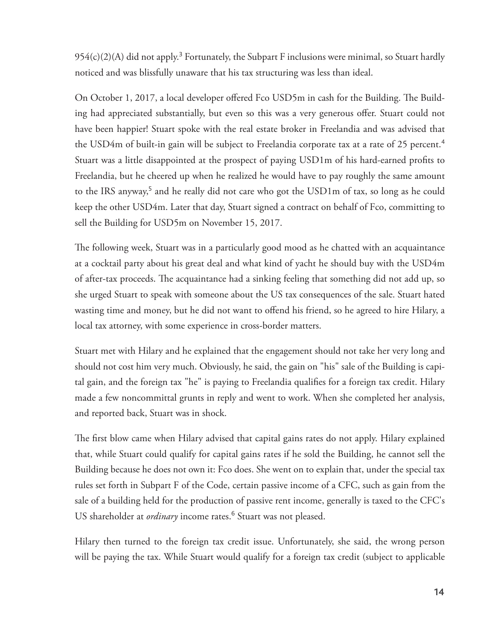$954(c)(2)$ (A) did not apply.<sup>3</sup> Fortunately, the Subpart F inclusions were minimal, so Stuart hardly noticed and was blissfully unaware that his tax structuring was less than ideal.

On October 1, 2017, a local developer offered Fco USD5m in cash for the Building. The Building had appreciated substantially, but even so this was a very generous offer. Stuart could not have been happier! Stuart spoke with the real estate broker in Freelandia and was advised that the USD4m of built-in gain will be subject to Freelandia corporate tax at a rate of 25 percent. <sup>4</sup> Stuart was a little disappointed at the prospect of paying USD1m of his hard-earned profits to Freelandia, but he cheered up when he realized he would have to pay roughly the same amount to the IRS anyway,<sup>5</sup> and he really did not care who got the USD1m of tax, so long as he could keep the other USD4m. Later that day, Stuart signed a contract on behalf of Fco, committing to sell the Building for USD5m on November 15, 2017.

The following week, Stuart was in a particularly good mood as he chatted with an acquaintance at a cocktail party about his great deal and what kind of yacht he should buy with the USD4m of after-tax proceeds. The acquaintance had a sinking feeling that something did not add up, so she urged Stuart to speak with someone about the US tax consequences of the sale. Stuart hated wasting time and money, but he did not want to offend his friend, so he agreed to hire Hilary, a local tax attorney, with some experience in cross-border matters.

 Stuart met with Hilary and he explained that the engagement should not take her very long and should not cost him very much. Obviously, he said, the gain on "his" sale of the Building is capital gain, and the foreign tax "he" is paying to Freelandia qualifies for a foreign tax credit. Hilary made a few noncommittal grunts in reply and went to work. When she completed her analysis, and reported back, Stuart was in shock.

The first blow came when Hilary advised that capital gains rates do not apply. Hilary explained that, while Stuart could qualify for capital gains rates if he sold the Building, he cannot sell the Building because he does not own it: Fco does. She went on to explain that, under the special tax rules set forth in Subpart F of the Code, certain passive income of a CFC, such as gain from the sale of a building held for the production of passive rent income, generally is taxed to the CFC's US shareholder at *ordinary* income rates.<sup>6</sup> Stuart was not pleased.

 Hilary then turned to the foreign tax credit issue. Unfortunately, she said, the wrong person will be paying the tax. While Stuart would qualify for a foreign tax credit (subject to applicable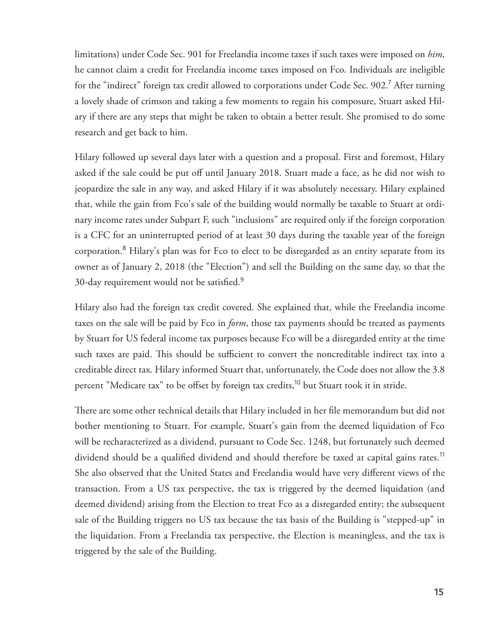limitations) under Code Sec. 901 for Freelandia income taxes if such taxes were imposed on *him* , he cannot claim a credit for Freelandia income taxes imposed on Fco. Individuals are ineligible for the "indirect" foreign tax credit allowed to corporations under Code Sec. 902.<sup>7</sup> After turning a lovely shade of crimson and taking a few moments to regain his composure, Stuart asked Hilary if there are any steps that might be taken to obtain a better result. She promised to do some research and get back to him.

 Hilary followed up several days later with a question and a proposal. First and foremost, Hilary asked if the sale could be put off until January 2018. Stuart made a face, as he did not wish to jeopardize the sale in any way, and asked Hilary if it was absolutely necessary. Hilary explained that, while the gain from Fco's sale of the building would normally be taxable to Stuart at ordinary income rates under Subpart F, such "inclusions" are required only if the foreign corporation is a CFC for an uninterrupted period of at least 30 days during the taxable year of the foreign corporation.<sup>8</sup> Hilary's plan was for Fco to elect to be disregarded as an entity separate from its owner as of January 2, 2018 (the "Election") and sell the Building on the same day, so that the 30-day requirement would not be satisfied. $9$ 

 Hilary also had the foreign tax credit covered. She explained that, while the Freelandia income taxes on the sale will be paid by Fco in *form*, those tax payments should be treated as payments by Stuart for US federal income tax purposes because Fco will be a disregarded entity at the time such taxes are paid. This should be sufficient to convert the noncreditable indirect tax into a creditable direct tax. Hilary informed Stuart that, unfortunately, the Code does not allow the 3.8 percent "Medicare tax" to be offset by foreign tax credits,<sup>10</sup> but Stuart took it in stride.

There are some other technical details that Hilary included in her file memorandum but did not bother mentioning to Stuart. For example, Stuart's gain from the deemed liquidation of Fco will be recharacterized as a dividend, pursuant to Code Sec. 1248, but fortunately such deemed dividend should be a qualified dividend and should therefore be taxed at capital gains rates.<sup>11</sup> She also observed that the United States and Freelandia would have very different views of the transaction. From a US tax perspective, the tax is triggered by the deemed liquidation (and deemed dividend) arising from the Election to treat Fco as a disregarded entity; the subsequent sale of the Building triggers no US tax because the tax basis of the Building is "stepped-up" in the liquidation. From a Freelandia tax perspective, the Election is meaningless, and the tax is triggered by the sale of the Building.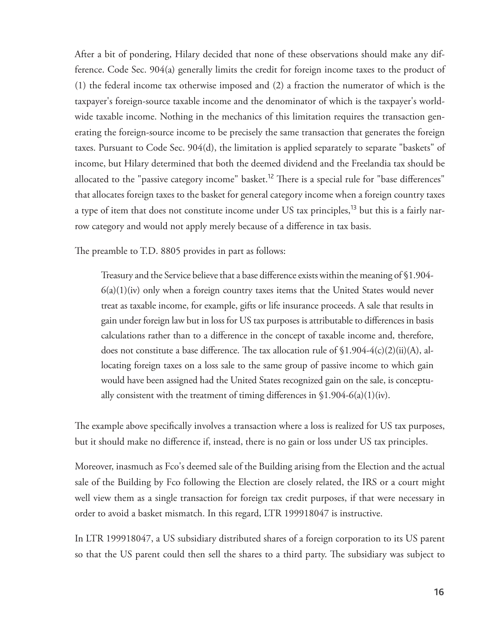After a bit of pondering, Hilary decided that none of these observations should make any difference. Code Sec. 904(a) generally limits the credit for foreign income taxes to the product of (1) the federal income tax otherwise imposed and (2) a fraction the numerator of which is the taxpayer's foreign-source taxable income and the denominator of which is the taxpayer's worldwide taxable income. Nothing in the mechanics of this limitation requires the transaction generating the foreign-source income to be precisely the same transaction that generates the foreign taxes. Pursuant to Code Sec. 904(d), the limitation is applied separately to separate "baskets" of income, but Hilary determined that both the deemed dividend and the Freelandia tax should be allocated to the "passive category income" basket.<sup>12</sup> There is a special rule for "base differences" that allocates foreign taxes to the basket for general category income when a foreign country taxes a type of item that does not constitute income under US tax principles,<sup>13</sup> but this is a fairly narrow category and would not apply merely because of a difference in tax basis.

The preamble to T.D. 8805 provides in part as follows:

Treasury and the Service believe that a base difference exists within the meaning of §1.904- $6(a)(1)(iv)$  only when a foreign country taxes items that the United States would never treat as taxable income, for example, gifts or life insurance proceeds. A sale that results in gain under foreign law but in loss for US tax purposes is attributable to differences in basis calculations rather than to a difference in the concept of taxable income and, therefore, does not constitute a base difference. The tax allocation rule of  $$1.904-4(c)(2)(ii)(A)$ , allocating foreign taxes on a loss sale to the same group of passive income to which gain would have been assigned had the United States recognized gain on the sale, is conceptually consistent with the treatment of timing differences in  $$1.904-6(a)(1)(iv)$ .

The example above specifically involves a transaction where a loss is realized for US tax purposes, but it should make no difference if, instead, there is no gain or loss under US tax principles.

 Moreover, inasmuch as Fco's deemed sale of the Building arising from the Election and the actual sale of the Building by Fco following the Election are closely related, the IRS or a court might well view them as a single transaction for foreign tax credit purposes, if that were necessary in order to avoid a basket mismatch. In this regard, LTR 199918047 is instructive.

 In LTR 199918047 , a US subsidiary distributed shares of a foreign corporation to its US parent so that the US parent could then sell the shares to a third party. The subsidiary was subject to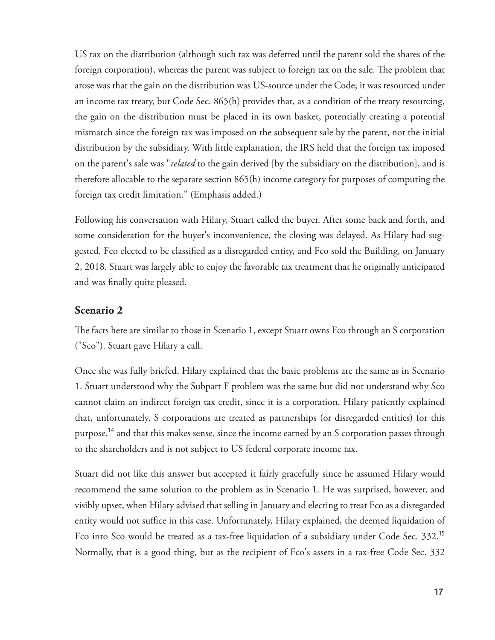US tax on the distribution (although such tax was deferred until the parent sold the shares of the foreign corporation), whereas the parent was subject to foreign tax on the sale. The problem that arose was that the gain on the distribution was US-source under the Code; it was resourced under an income tax treaty, but Code Sec. 865(h) provides that, as a condition of the treaty resourcing, the gain on the distribution must be placed in its own basket, potentially creating a potential mismatch since the foreign tax was imposed on the subsequent sale by the parent, not the initial distribution by the subsidiary. With little explanation, the IRS held that the foreign tax imposed on the parent's sale was " *related* to the gain derived [by the subsidiary on the distribution], and is therefore allocable to the separate section 865(h) income category for purposes of computing the foreign tax credit limitation." (Emphasis added.)

 Following his conversation with Hilary, Stuart called the buyer. After some back and forth, and some consideration for the buyer's inconvenience, the closing was delayed. As Hilary had suggested, Fco elected to be classified as a disregarded entity, and Fco sold the Building, on January 2, 2018. Stuart was largely able to enjoy the favorable tax treatment that he originally anticipated and was finally quite pleased.

#### **Scenario 2**

The facts here are similar to those in Scenario 1, except Stuart owns Fco through an S corporation ("Sco"). Stuart gave Hilary a call.

 Once she was fully briefed, Hilary explained that the basic problems are the same as in Scenario 1. Stuart understood why the Subpart F problem was the same but did not understand why Sco cannot claim an indirect foreign tax credit, since it is a corporation. Hilary patiently explained that, unfortunately, S corporations are treated as partnerships (or disregarded entities) for this purpose,<sup>14</sup> and that this makes sense, since the income earned by an S corporation passes through to the shareholders and is not subject to US federal corporate income tax.

 Stuart did not like this answer but accepted it fairly gracefully since he assumed Hilary would recommend the same solution to the problem as in Scenario 1. He was surprised, however, and visibly upset, when Hilary advised that selling in January and electing to treat Fco as a disregarded entity would not suffice in this case. Unfortunately, Hilary explained, the deemed liquidation of Fco into Sco would be treated as a tax-free liquidation of a subsidiary under Code Sec. 332.<sup>15</sup> Normally, that is a good thing, but as the recipient of Fco's assets in a tax-free Code Sec. 332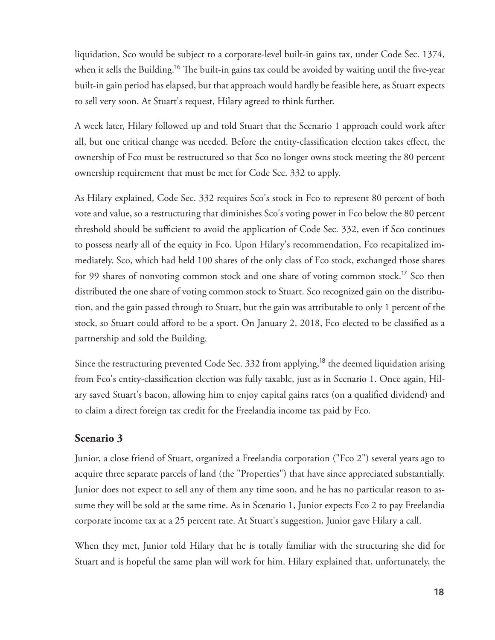liquidation, Sco would be subject to a corporate-level built-in gains tax, under Code Sec. 1374, when it sells the Building.<sup>16</sup> The built-in gains tax could be avoided by waiting until the five-year built-in gain period has elapsed, but that approach would hardly be feasible here, as Stuart expects to sell very soon. At Stuart's request, Hilary agreed to think further.

 A week later, Hilary followed up and told Stuart that the Scenario 1 approach could work after all, but one critical change was needed. Before the entity-classification election takes effect, the ownership of Fco must be restructured so that Sco no longer owns stock meeting the 80 percent ownership requirement that must be met for Code Sec. 332 to apply.

 As Hilary explained, Code Sec. 332 requires Sco's stock in Fco to represent 80 percent of both vote and value, so a restructuring that diminishes Sco's voting power in Fco below the 80 percent threshold should be sufficient to avoid the application of Code Sec. 332, even if Sco continues to possess nearly all of the equity in Fco. Upon Hilary's recommendation, Fco recapitalized immediately. Sco, which had held 100 shares of the only class of Fco stock, exchanged those shares for 99 shares of nonvoting common stock and one share of voting common stock.<sup>17</sup> Sco then distributed the one share of voting common stock to Stuart. Sco recognized gain on the distribution, and the gain passed through to Stuart, but the gain was attributable to only 1 percent of the stock, so Stuart could afford to be a sport. On January 2, 2018, Fco elected to be classified as a partnership and sold the Building.

 Since the restructuring prevented Code Sec. 332 from applying, <sup>18</sup> the deemed liquidation arising from Fco's entity-classification election was fully taxable, just as in Scenario 1. Once again, Hilary saved Stuart's bacon, allowing him to enjoy capital gains rates (on a qualified dividend) and to claim a direct foreign tax credit for the Freelandia income tax paid by Fco.

#### **Scenario 3**

 Junior, a close friend of Stuart, organized a Freelandia corporation ("Fco 2") several years ago to acquire three separate parcels of land (the "Properties") that have since appreciated substantially. Junior does not expect to sell any of them any time soon, and he has no particular reason to assume they will be sold at the same time. As in Scenario 1, Junior expects Fco 2 to pay Freelandia corporate income tax at a 25 percent rate. At Stuart's suggestion, Junior gave Hilary a call.

 When they met, Junior told Hilary that he is totally familiar with the structuring she did for Stuart and is hopeful the same plan will work for him. Hilary explained that, unfortunately, the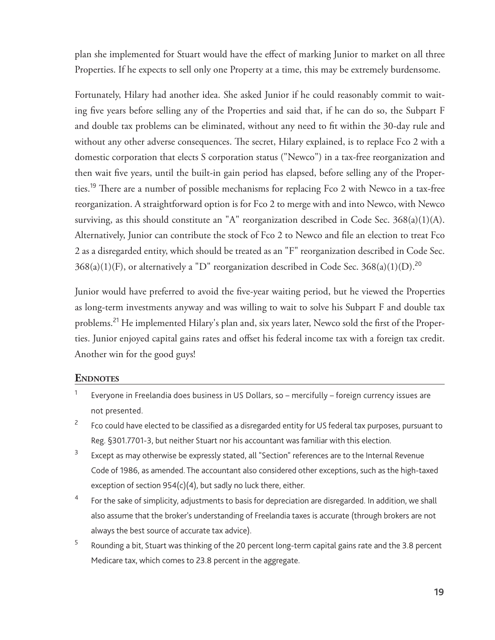plan she implemented for Stuart would have the effect of marking Junior to market on all three Properties. If he expects to sell only one Property at a time, this may be extremely burdensome.

 Fortunately, Hilary had another idea. She asked Junior if he could reasonably commit to waiting five years before selling any of the Properties and said that, if he can do so, the Subpart F and double tax problems can be eliminated, without any need to fit within the 30-day rule and without any other adverse consequences. The secret, Hilary explained, is to replace Fco 2 with a domestic corporation that elects S corporation status ("Newco") in a tax-free reorganization and then wait five years, until the built-in gain period has elapsed, before selling any of the Properties.<sup>19</sup> There are a number of possible mechanisms for replacing Fco 2 with Newco in a tax-free reorganization. A straightforward option is for Fco 2 to merge with and into Newco, with Newco surviving, as this should constitute an "A" reorganization described in Code Sec. 368(a)(1)(A). Alternatively, Junior can contribute the stock of Fco 2 to Newco and file an election to treat Fco 2 as a disregarded entity, which should be treated as an "F" reorganization described in Code Sec.  $368(a)(1)(F)$ , or alternatively a "D" reorganization described in Code Sec.  $368(a)(1)(D)$ .<sup>20</sup>

Junior would have preferred to avoid the five-year waiting period, but he viewed the Properties as long-term investments anyway and was willing to wait to solve his Subpart F and double tax problems.<sup>21</sup> He implemented Hilary's plan and, six years later, Newco sold the first of the Properties. Junior enjoyed capital gains rates and offset his federal income tax with a foreign tax credit. Another win for the good guys!

#### **ENDNOTES**

- 1 Everyone in Freelandia does business in US Dollars, so – mercifully – foreign currency issues are not presented.
- 2 Fco could have elected to be classified as a disregarded entity for US federal tax purposes, pursuant to Reg. §301.7701-3 , but neither Stuart nor his accountant was familiar with this election.
- 3 Except as may otherwise be expressly stated, all "Section" references are to the Internal Revenue Code of 1986, as amended. The accountant also considered other exceptions, such as the high-taxed exception of section  $954(c)(4)$ , but sadly no luck there, either.
- 4 For the sake of simplicity, adjustments to basis for depreciation are disregarded. In addition, we shall also assume that the broker's understanding of Freelandia taxes is accurate (through brokers are not always the best source of accurate tax advice).
- 5 Rounding a bit, Stuart was thinking of the 20 percent long-term capital gains rate and the 3.8 percent Medicare tax, which comes to 23.8 percent in the aggregate.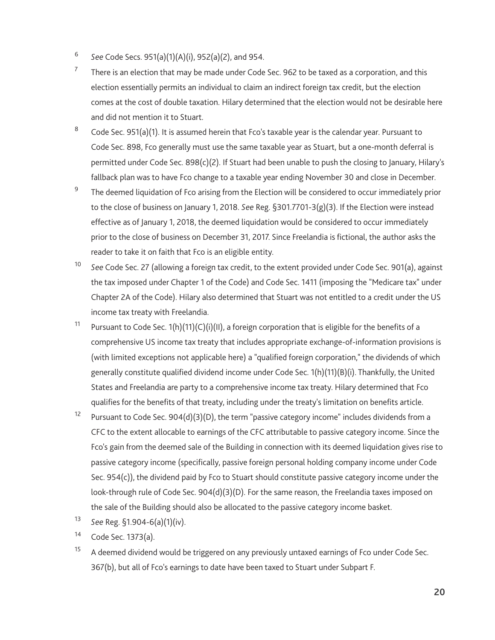- 6 *See* Code Secs. 951(a)(1)(A)(i), 952(a)(2), and 954.
- 7 There is an election that may be made under Code Sec. 962 to be taxed as a corporation, and this election essentially permits an individual to claim an indirect foreign tax credit, but the election comes at the cost of double taxation. Hilary determined that the election would not be desirable here and did not mention it to Stuart.
- 8 Code Sec. 951(a)(1) . It is assumed herein that Fco's taxable year is the calendar year. Pursuant to Code Sec. 898 , Fco generally must use the same taxable year as Stuart, but a one-month deferral is permitted under Code Sec. 898(c)(2) . If Stuart had been unable to push the closing to January, Hilary's fallback plan was to have Fco change to a taxable year ending November 30 and close in December.
- 9 The deemed liquidation of Fco arising from the Election will be considered to occur immediately prior to the close of business on January 1, 2018. *See* Reg. §301.7701-3(g)(3) . If the Election were instead effective as of January 1, 2018, the deemed liquidation would be considered to occur immediately prior to the close of business on December 31, 2017. Since Freelandia is fictional, the author asks the reader to take it on faith that Fco is an eligible entity.
- <sup>10</sup> See Code Sec. 27 (allowing a foreign tax credit, to the extent provided under Code Sec. 901(a), against the tax imposed under Chapter 1 of the Code) and Code Sec. 1411 (imposing the "Medicare tax" under Chapter 2A of the Code). Hilary also determined that Stuart was not entitled to a credit under the US income tax treaty with Freelandia.
- <sup>11</sup> Pursuant to Code Sec. 1(h)(11)(C)(i)(II), a foreign corporation that is eligible for the benefits of a comprehensive US income tax treaty that includes appropriate exchange-of-information provisions is (with limited exceptions not applicable here) a "qualified foreign corporation," the dividends of which generally constitute qualified dividend income under Code Sec.  $1(h)(11)(B)(i)$ . Thankfully, the United States and Freelandia are party to a comprehensive income tax treaty. Hilary determined that Fco qualifies for the benefits of that treaty, including under the treaty's limitation on benefits article.
- <sup>12</sup> Pursuant to Code Sec. 904(d)(3)(D), the term "passive category income" includes dividends from a CFC to the extent allocable to earnings of the CFC attributable to passive category income. Since the Fco's gain from the deemed sale of the Building in connection with its deemed liquidation gives rise to passive category income (specifically, passive foreign personal holding company income under Code Sec. 954(c)), the dividend paid by Fco to Stuart should constitute passive category income under the look-through rule of Code Sec. 904(d)(3)(D). For the same reason, the Freelandia taxes imposed on the sale of the Building should also be allocated to the passive category income basket.
- 13 *See* Reg. §1.904-6(a)(1)(iv) .
- 14 Code Sec. 1373(a).
- $15$  A deemed dividend would be triggered on any previously untaxed earnings of Fco under Code Sec. 367(b) , but all of Fco's earnings to date have been taxed to Stuart under Subpart F.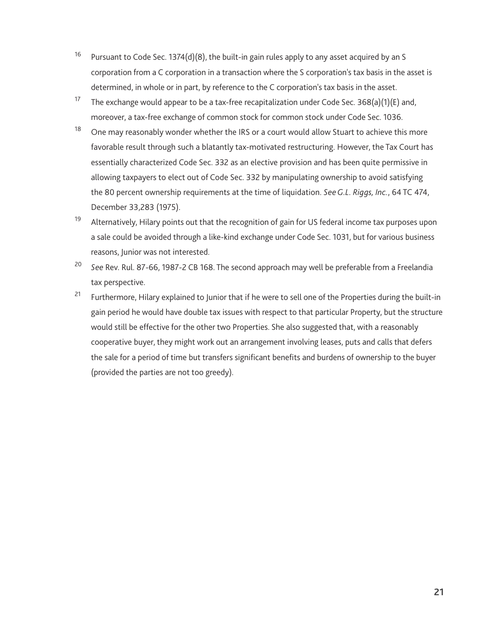- <sup>16</sup> Pursuant to Code Sec. 1374(d)(8), the built-in gain rules apply to any asset acquired by an S corporation from a C corporation in a transaction where the S corporation's tax basis in the asset is determined, in whole or in part, by reference to the C corporation's tax basis in the asset.
- <sup>17</sup> The exchange would appear to be a tax-free recapitalization under Code Sec. 368(a)(1)(E) and, moreover, a tax-free exchange of common stock for common stock under Code Sec. 1036 .
- <sup>18</sup> One may reasonably wonder whether the IRS or a court would allow Stuart to achieve this more favorable result through such a blatantly tax-motivated restructuring. However, the Tax Court has essentially characterized Code Sec. 332 as an elective provision and has been quite permissive in allowing taxpayers to elect out of Code Sec. 332 by manipulating ownership to avoid satisfying the 80 percent ownership requirements at the time of liquidation. *See G.L. Riggs, Inc.* , 64 TC 474, December 33,283 (1975).
- <sup>19</sup> Alternatively, Hilary points out that the recognition of gain for US federal income tax purposes upon a sale could be avoided through a like-kind exchange under Code Sec. 1031, but for various business reasons, Junior was not interested.
- 20 *See* Rev. Rul. 87-66 , 1987-2 CB 168. The second approach may well be preferable from a Freelandia tax perspective.
- <sup>21</sup> Furthermore, Hilary explained to Junior that if he were to sell one of the Properties during the built-in gain period he would have double tax issues with respect to that particular Property, but the structure would still be effective for the other two Properties. She also suggested that, with a reasonably cooperative buyer, they might work out an arrangement involving leases, puts and calls that defers the sale for a period of time but transfers significant benefits and burdens of ownership to the buyer (provided the parties are not too greedy).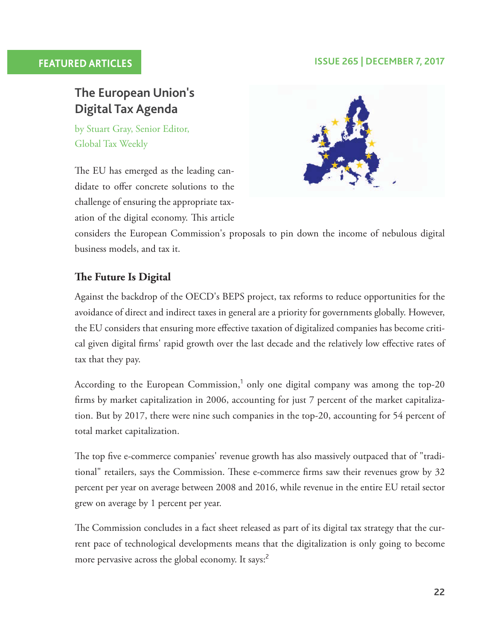#### **FEATURED ARTICLES ISSUE 265 | DECEMBER 7, 2017**

# **The European Union's Digital Tax Agenda**

 by Stuart Gray, Senior Editor, Global Tax Weekly

The EU has emerged as the leading candidate to offer concrete solutions to the challenge of ensuring the appropriate taxation of the digital economy. This article



considers the European Commission's proposals to pin down the income of nebulous digital business models, and tax it.

### **The Future Is Digital**

 Against the backdrop of the OECD's BEPS project, tax reforms to reduce opportunities for the avoidance of direct and indirect taxes in general are a priority for governments globally. However, the EU considers that ensuring more effective taxation of digitalized companies has become critical given digital firms' rapid growth over the last decade and the relatively low effective rates of tax that they pay.

According to the European Commission, $1$  only one digital company was among the top-20 firms by market capitalization in 2006, accounting for just 7 percent of the market capitalization. But by 2017, there were nine such companies in the top-20, accounting for 54 percent of total market capitalization.

The top five e-commerce companies' revenue growth has also massively outpaced that of "traditional" retailers, says the Commission. These e-commerce firms saw their revenues grow by 32 percent per year on average between 2008 and 2016, while revenue in the entire EU retail sector grew on average by 1 percent per year.

The Commission concludes in a fact sheet released as part of its digital tax strategy that the current pace of technological developments means that the digitalization is only going to become more pervasive across the global economy. It says:<sup>2</sup>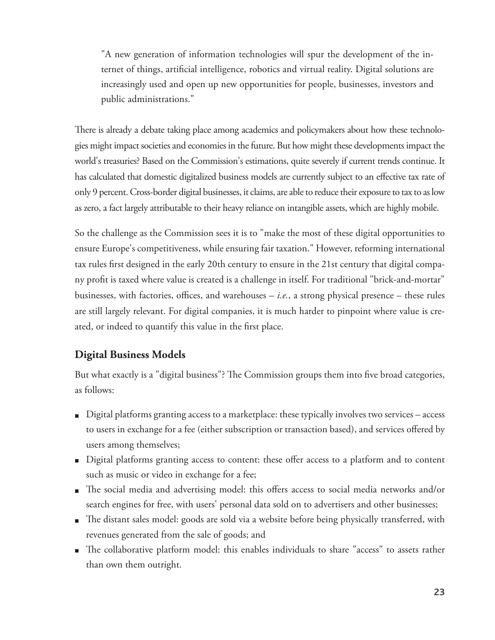"A new generation of information technologies will spur the development of the internet of things, artificial intelligence, robotics and virtual reality. Digital solutions are increasingly used and open up new opportunities for people, businesses, investors and public administrations."

There is already a debate taking place among academics and policymakers about how these technologies might impact societies and economies in the future. But how might these developments impact the world's treasuries? Based on the Commission's estimations, quite severely if current trends continue. It has calculated that domestic digitalized business models are currently subject to an effective tax rate of only 9 percent. Cross-border digital businesses, it claims, are able to reduce their exposure to tax to as low as zero, a fact largely attributable to their heavy reliance on intangible assets, which are highly mobile.

 So the challenge as the Commission sees it is to "make the most of these digital opportunities to ensure Europe's competitiveness, while ensuring fair taxation." However, reforming international tax rules first designed in the early 20th century to ensure in the 21st century that digital company profit is taxed where value is created is a challenge in itself. For traditional "brick-and-mortar" businesses, with factories, offices, and warehouses  $-i.e.,$  a strong physical presence – these rules are still largely relevant. For digital companies, it is much harder to pinpoint where value is created, or indeed to quantify this value in the first place.

#### **Digital Business Models**

But what exactly is a "digital business"? The Commission groups them into five broad categories, as follows:

- Digital platforms granting access to a marketplace: these typically involves two services access to users in exchange for a fee (either subscription or transaction based), and services offered by users among themselves;
- Digital platforms granting access to content: these offer access to a platform and to content such as music or video in exchange for a fee;
- The social media and advertising model: this offers access to social media networks and/or search engines for free, with users' personal data sold on to advertisers and other businesses;
- The distant sales model: goods are sold via a website before being physically transferred, with revenues generated from the sale of goods; and
- The collaborative platform model: this enables individuals to share "access" to assets rather than own them outright.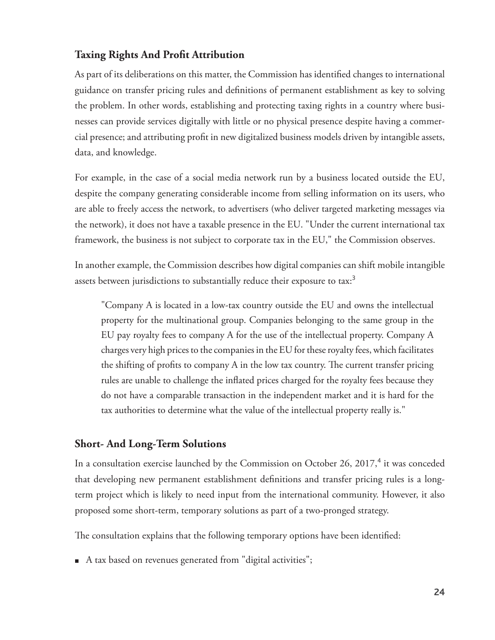#### **Taxing Rights And Profit Attribution**

As part of its deliberations on this matter, the Commission has identified changes to international guidance on transfer pricing rules and definitions of permanent establishment as key to solving the problem. In other words, establishing and protecting taxing rights in a country where businesses can provide services digitally with little or no physical presence despite having a commercial presence; and attributing profit in new digitalized business models driven by intangible assets, data, and knowledge.

 For example, in the case of a social media network run by a business located outside the EU, despite the company generating considerable income from selling information on its users, who are able to freely access the network, to advertisers (who deliver targeted marketing messages via the network), it does not have a taxable presence in the EU. "Under the current international tax framework, the business is not subject to corporate tax in the EU," the Commission observes.

 In another example, the Commission describes how digital companies can shift mobile intangible assets between jurisdictions to substantially reduce their exposure to tax:<sup>3</sup>

 "Company A is located in a low-tax country outside the EU and owns the intellectual property for the multinational group. Companies belonging to the same group in the EU pay royalty fees to company A for the use of the intellectual property. Company A charges very high prices to the companies in the EU for these royalty fees, which facilitates the shifting of profits to company A in the low tax country. The current transfer pricing rules are unable to challenge the inflated prices charged for the royalty fees because they do not have a comparable transaction in the independent market and it is hard for the tax authorities to determine what the value of the intellectual property really is."

#### **Short- And Long-Term Solutions**

In a consultation exercise launched by the Commission on October 26, 2017,<sup>4</sup> it was conceded that developing new permanent establishment definitions and transfer pricing rules is a longterm project which is likely to need input from the international community. However, it also proposed some short-term, temporary solutions as part of a two-pronged strategy.

The consultation explains that the following temporary options have been identified:

A tax based on revenues generated from "digital activities";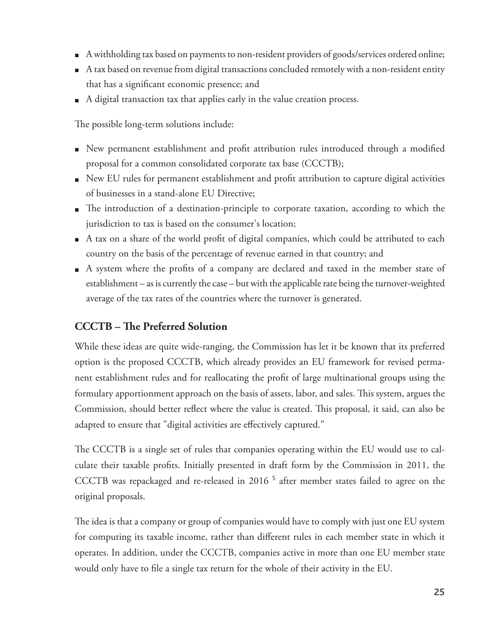- A withholding tax based on payments to non-resident providers of goods/services ordered online;
- A tax based on revenue from digital transactions concluded remotely with a non-resident entity that has a significant economic presence; and
- A digital transaction tax that applies early in the value creation process.

The possible long-term solutions include:

- New permanent establishment and profit attribution rules introduced through a modified proposal for a common consolidated corporate tax base (CCCTB);
- New EU rules for permanent establishment and profi t attribution to capture digital activities of businessesin a stand-alone EU Directive;
- The introduction of a destination-principle to corporate taxation, according to which the jurisdiction to tax is based on the consumer's location;
- $\blacksquare$  A tax on a share of the world profit of digital companies, which could be attributed to each country on the basis of the percentage of revenue earned in that country; and
- A system where the profits of a company are declared and taxed in the member state of establishment – as is currently the case – but with the applicable rate being the turnover-weighted average of the tax rates of the countries where the turnover is generated.

## **CCCTB** – The Preferred Solution

 While these ideas are quite wide-ranging, the Commission has let it be known that its preferred option is the proposed CCCTB, which already provides an EU framework for revised permanent establishment rules and for reallocating the profit of large multinational groups using the formulary apportionment approach on the basis of assets, labor, and sales. This system, argues the Commission, should better reflect where the value is created. This proposal, it said, can also be adapted to ensure that "digital activities are effectively captured."

The CCCTB is a single set of rules that companies operating within the EU would use to calculate their taxable profits. Initially presented in draft form by the Commission in 2011, the CCCTB was repackaged and re-released in 2016<sup>5</sup> after member states failed to agree on the original proposals.

The idea is that a company or group of companies would have to comply with just one EU system for computing its taxable income, rather than different rules in each member state in which it operates. In addition, under the CCCTB, companies active in more than one EU member state would only have to file a single tax return for the whole of their activity in the EU.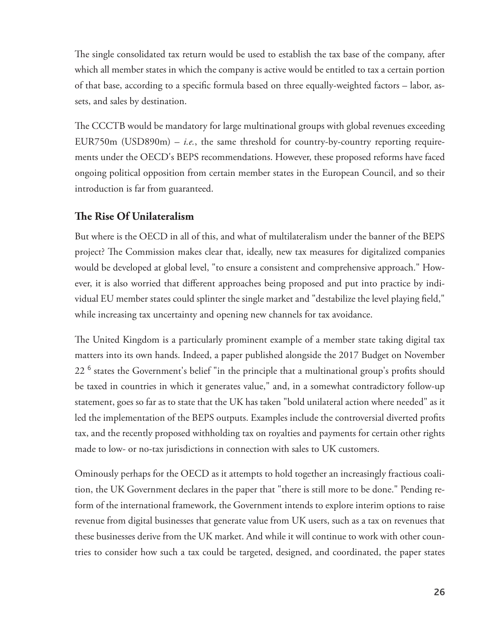The single consolidated tax return would be used to establish the tax base of the company, after which all member states in which the company is active would be entitled to tax a certain portion of that base, according to a specific formula based on three equally-weighted factors – labor, assets, and sales by destination.

The CCCTB would be mandatory for large multinational groups with global revenues exceeding EUR750m (USD890m)  $-$  *i.e.*, the same threshold for country-by-country reporting requirements under the OECD's BEPS recommendations. However, these proposed reforms have faced ongoing political opposition from certain member states in the European Council, and so their introduction is far from guaranteed.

#### **The Rise Of Unilateralism**

 But where is the OECD in all of this, and what of multilateralism under the banner of the BEPS project? The Commission makes clear that, ideally, new tax measures for digitalized companies would be developed at global level, "to ensure a consistent and comprehensive approach." However, it is also worried that different approaches being proposed and put into practice by individual EU member states could splinter the single market and "destabilize the level playing field," while increasing tax uncertainty and opening new channels for tax avoidance.

The United Kingdom is a particularly prominent example of a member state taking digital tax matters into its own hands. Indeed, a paper published alongside the 2017 Budget on November  $22<sup>6</sup>$  states the Government's belief "in the principle that a multinational group's profits should be taxed in countries in which it generates value," and, in a somewhat contradictory follow-up statement, goes so far as to state that the UK has taken "bold unilateral action where needed" as it led the implementation of the BEPS outputs. Examples include the controversial diverted profits tax, and the recently proposed withholding tax on royalties and payments for certain other rights made to low- or no-tax jurisdictions in connection with sales to UK customers.

 Ominously perhaps for the OECD as it attempts to hold together an increasingly fractious coalition, the UK Government declares in the paper that "there is still more to be done." Pending reform of the international framework, the Government intends to explore interim options to raise revenue from digital businesses that generate value from UK users, such as a tax on revenues that these businesses derive from the UK market. And while it will continue to work with other countries to consider how such a tax could be targeted, designed, and coordinated, the paper states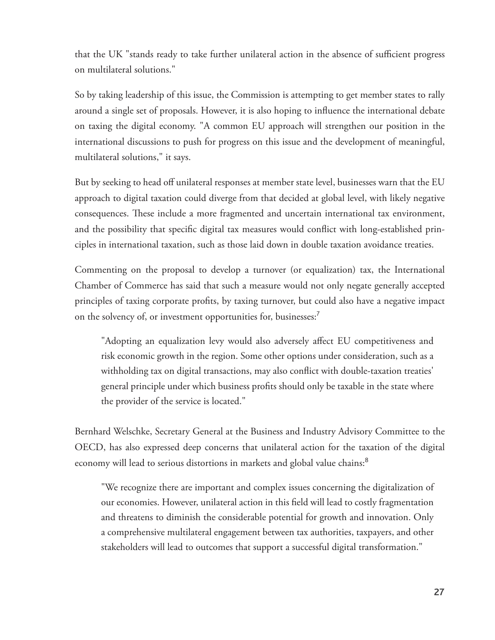that the UK "stands ready to take further unilateral action in the absence of sufficient progress on multilateral solutions."

 So by taking leadership of this issue, the Commission is attempting to get member states to rally around a single set of proposals. However, it is also hoping to influence the international debate on taxing the digital economy. "A common EU approach will strengthen our position in the international discussions to push for progress on this issue and the development of meaningful, multilateral solutions," it says.

 But by seeking to head off unilateral responses at member state level, businesses warn that the EU approach to digital taxation could diverge from that decided at global level, with likely negative consequences. These include a more fragmented and uncertain international tax environment, and the possibility that specific digital tax measures would conflict with long-established principles in international taxation, such as those laid down in double taxation avoidance treaties.

 Commenting on the proposal to develop a turnover (or equalization) tax, the International Chamber of Commerce has said that such a measure would not only negate generally accepted principles of taxing corporate profits, by taxing turnover, but could also have a negative impact on the solvency of, or investment opportunities for, businesses:<sup>7</sup>

"Adopting an equalization levy would also adversely affect EU competitiveness and risk economic growth in the region. Some other options under consideration, such as a withholding tax on digital transactions, may also conflict with double-taxation treaties' general principle under which business profits should only be taxable in the state where the provider of the service is located."

 Bernhard Welschke, Secretary General at the Business and Industry Advisory Committee to the OECD, has also expressed deep concerns that unilateral action for the taxation of the digital economy will lead to serious distortions in markets and global value chains:<sup>8</sup>

 "We recognize there are important and complex issues concerning the digitalization of our economies. However, unilateral action in this field will lead to costly fragmentation and threatens to diminish the considerable potential for growth and innovation. Only a comprehensive multilateral engagement between tax authorities, taxpayers, and other stakeholders will lead to outcomes that support a successful digital transformation."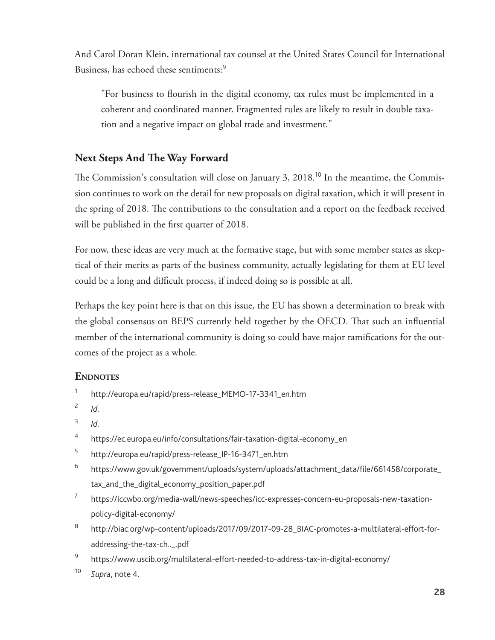And Carol Doran Klein, international tax counsel at the United States Council for International Business, has echoed these sentiments: <sup>9</sup>

"For business to flourish in the digital economy, tax rules must be implemented in a coherent and coordinated manner. Fragmented rules are likely to result in double taxation and a negative impact on global trade and investment."

#### **Next Steps And The Way Forward**

The Commission's consultation will close on January 3,  $2018$ .<sup>10</sup> In the meantime, the Commission continues to work on the detail for new proposals on digital taxation, which it will present in the spring of 2018. The contributions to the consultation and a report on the feedback received will be published in the first quarter of 2018.

 For now, these ideas are very much at the formative stage, but with some member states as skeptical of their merits as parts of the business community, actually legislating for them at EU level could be a long and difficult process, if indeed doing so is possible at all.

 Perhaps the key point here is that on this issue, the EU has shown a determination to break with the global consensus on BEPS currently held together by the OECD. That such an influential member of the international community is doing so could have major ramifications for the outcomes of the project as a whole.

#### **ENDNOTES**

| 1  | http://europa.eu/rapid/press-release_MEMO-17-3341_en.htm                                       |
|----|------------------------------------------------------------------------------------------------|
| 2  | Id.                                                                                            |
| 3  | Id.                                                                                            |
| 4  | https://ec.europa.eu/info/consultations/fair-taxation-digital-economy_en                       |
| 5  | http://europa.eu/rapid/press-release_IP-16-3471_en.htm                                         |
| 6  | https://www.gov.uk/government/uploads/system/uploads/attachment_data/file/661458/corporate_    |
|    | tax_and_the_digital_economy_position_paper.pdf                                                 |
| 7  | https://iccwbo.org/media-wall/news-speeches/icc-expresses-concern-eu-proposals-new-taxation-   |
|    | policy-digital-economy/                                                                        |
| 8  | http://biac.org/wp-content/uploads/2017/09/2017-09-28_BIAC-promotes-a-multilateral-effort-for- |
|    | addressing-the-tax-ch_.pdf                                                                     |
| 9  | https://www.uscib.org/multilateral-effort-needed-to-address-tax-in-digital-economy/            |
| 10 | Supra, note 4.                                                                                 |
|    |                                                                                                |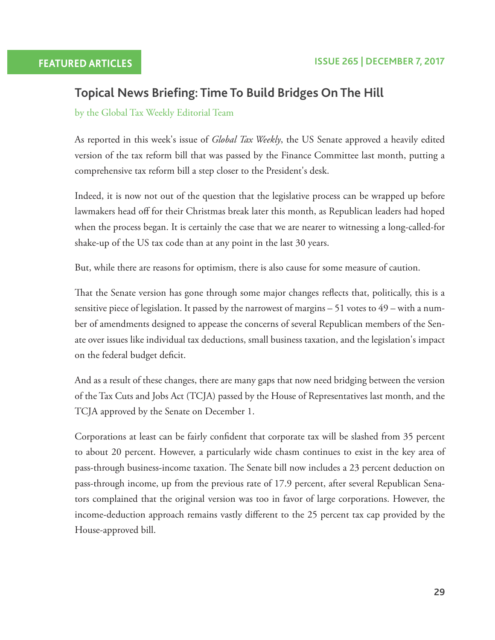## **Topical News Briefing: Time To Build Bridges On The Hill**

by the Global Tax Weekly Editorial Team

 As reported in this week's issue of *Global Tax Weekly* , the US Senate approved a heavily edited version of the tax reform bill that was passed by the Finance Committee last month, putting a comprehensive tax reform bill a step closer to the President's desk.

 Indeed, it is now not out of the question that the legislative process can be wrapped up before lawmakers head off for their Christmas break later this month, as Republican leaders had hoped when the process began. It is certainly the case that we are nearer to witnessing a long-called-for shake-up of the US tax code than at any point in the last 30 years.

But, while there are reasons for optimism, there is also cause for some measure of caution.

That the Senate version has gone through some major changes reflects that, politically, this is a sensitive piece of legislation. It passed by the narrowest of margins – 51 votes to 49 – with a number of amendments designed to appease the concerns of several Republican members of the Senate over issues like individual tax deductions, small business taxation, and the legislation's impact on the federal budget deficit.

 And as a result of these changes, there are many gaps that now need bridging between the version of the Tax Cuts and Jobs Act (TCJA) passed by the House of Representatives last month, and the TCJA approved by the Senate on December 1.

Corporations at least can be fairly confident that corporate tax will be slashed from 35 percent to about 20 percent. However, a particularly wide chasm continues to exist in the key area of pass-through business-income taxation. The Senate bill now includes a 23 percent deduction on pass-through income, up from the previous rate of 17.9 percent, after several Republican Senators complained that the original version was too in favor of large corporations. However, the income-deduction approach remains vastly different to the 25 percent tax cap provided by the House-approved bill.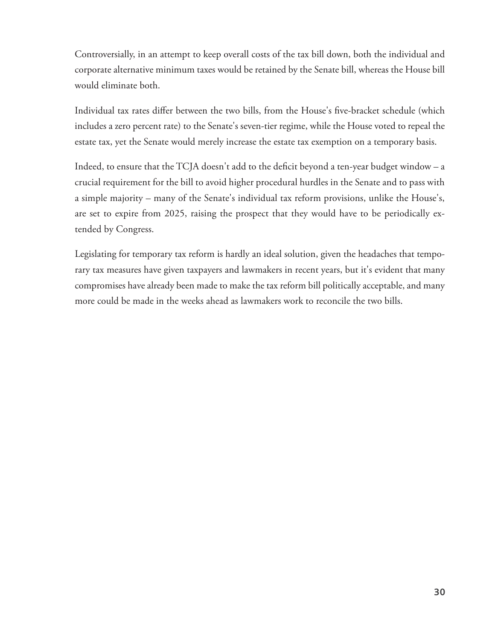Controversially, in an attempt to keep overall costs of the tax bill down, both the individual and corporate alternative minimum taxes would be retained by the Senate bill, whereas the House bill would eliminate both.

Individual tax rates differ between the two bills, from the House's five-bracket schedule (which includes a zero percent rate) to the Senate's seven-tier regime, while the House voted to repeal the estate tax, yet the Senate would merely increase the estate tax exemption on a temporary basis.

Indeed, to ensure that the TCJA doesn't add to the deficit beyond a ten-year budget window  $-$  a crucial requirement for the bill to avoid higher procedural hurdles in the Senate and to pass with a simple majority – many of the Senate's individual tax reform provisions, unlike the House's, are set to expire from 2025, raising the prospect that they would have to be periodically extended by Congress.

 Legislating for temporary tax reform is hardly an ideal solution, given the headaches that temporary tax measures have given taxpayers and lawmakers in recent years, but it's evident that many compromises have already been made to make the tax reform bill politically acceptable, and many more could be made in the weeks ahead as lawmakers work to reconcile the two bills.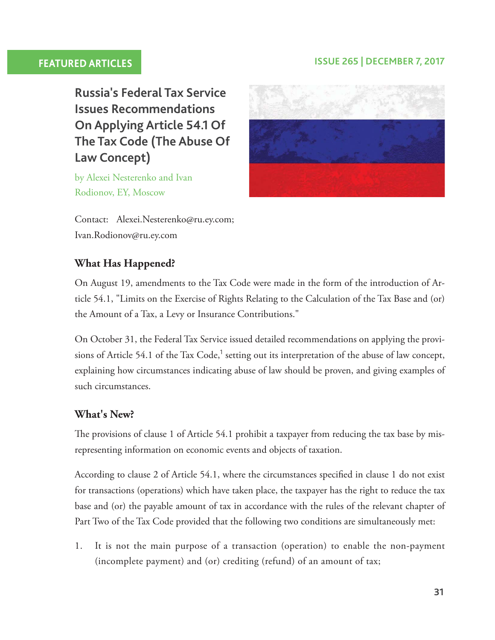### **FEATURED ARTICLES ISSUE 265 | DECEMBER 7, 2017**

 **Russia's Federal Tax Service Issues Recommendations On Applying Article 54.1 Of The Tax Code (The Abuse Of Law Concept)** 

 by Alexei Nesterenko and Ivan Rodionov, EY, Moscow



Contact: Alexei.Nesterenko@ru.ey.com; Ivan.Rodionov@ru.ey.com

### **What Has Happened?**

 On August 19, amendments to the Tax Code were made in the form of the introduction of Article 54.1, "Limits on the Exercise of Rights Relating to the Calculation of the Tax Base and (or) the Amount of a Tax, a Levy or Insurance Contributions."

 On October 31, the Federal Tax Service issued detailed recommendations on applying the provisions of Article 54.1 of the Tax Code,<sup>1</sup> setting out its interpretation of the abuse of law concept, explaining how circumstances indicating abuse of law should be proven, and giving examples of such circumstances.

#### **What's New?**

The provisions of clause 1 of Article 54.1 prohibit a taxpayer from reducing the tax base by misrepresenting information on economic events and objects of taxation.

According to clause 2 of Article 54.1, where the circumstances specified in clause 1 do not exist for transactions (operations) which have taken place, the taxpayer has the right to reduce the tax base and (or) the payable amount of tax in accordance with the rules of the relevant chapter of Part Two of the Tax Code provided that the following two conditions are simultaneously met:

 1. It is not the main purpose of a transaction (operation) to enable the non-payment (incomplete payment) and (or) crediting (refund) of an amount of tax;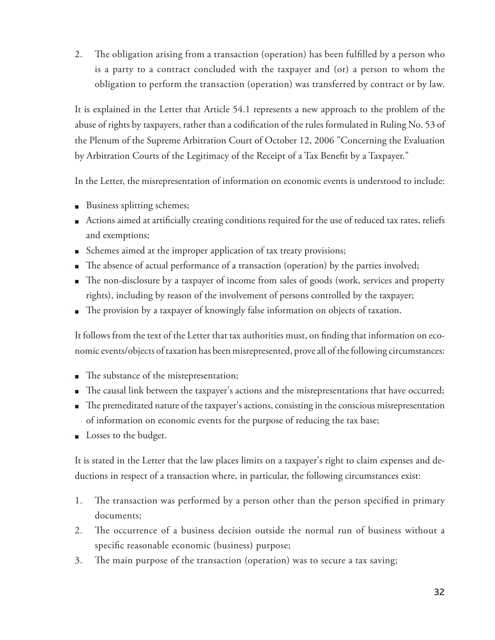2. The obligation arising from a transaction (operation) has been fulfilled by a person who is a party to a contract concluded with the taxpayer and (or) a person to whom the obligation to perform the transaction (operation) was transferred by contract or by law.

 It is explained in the Letter that Article 54.1 represents a new approach to the problem of the abuse of rights by taxpayers, rather than a codification of the rules formulated in Ruling No. 53 of the Plenum of the Supreme Arbitration Court of October 12, 2006 "Concerning the Evaluation by Arbitration Courts of the Legitimacy of the Receipt of a Tax Benefit by a Taxpayer."

In the Letter, the misrepresentation of information on economic events is understood to include:

- Business splitting schemes;
- Actions aimed at artificially creating conditions required for the use of reduced tax rates, reliefs and exemptions;
- Schemes aimed at the improper application of tax treaty provisions;
- The absence of actual performance of a transaction (operation) by the parties involved;
- The non-disclosure by a taxpayer of income from sales of goods (work, services and property rights), including by reason of the involvement of persons controlled by the taxpayer;
- The provision by a taxpayer of knowingly false information on objects of taxation.

It follows from the text of the Letter that tax authorities must, on finding that information on economic events/objects of taxation has been misrepresented, prove all of the following circumstances:

- The substance of the misrepresentation;
- The causal link between the taxpayer's actions and the misrepresentations that have occurred;
- $\blacksquare$  The premeditated nature of the taxpayer's actions, consisting in the conscious misrepresentation of information on economic events for the purpose of reducing the tax base;
- Losses to the budget.

 It is stated in the Letter that the law places limits on a taxpayer's right to claim expenses and deductions in respect of a transaction where, in particular, the following circumstances exist:

- 1. The transaction was performed by a person other than the person specified in primary documents;
- 2. The occurrence of a business decision outside the normal run of business without a specific reasonable economic (business) purpose;
- 3. The main purpose of the transaction (operation) was to secure a tax saving;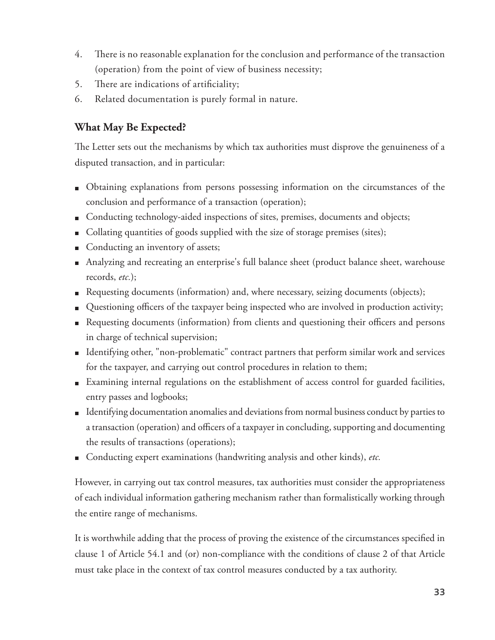- 4. There is no reasonable explanation for the conclusion and performance of the transaction (operation) from the point of view of business necessity;
- 5. There are indications of artificiality;
- 6. Related documentation is purely formal in nature.

### **What May Be Expected?**

The Letter sets out the mechanisms by which tax authorities must disprove the genuineness of a disputed transaction, and in particular:

- Obtaining explanations from persons possessing information on the circumstances of the conclusion and performance of a transaction (operation);
- Conducting technology-aided inspections of sites, premises, documents and objects;
- Collating quantities of goods supplied with the size of storage premises (sites);
- Conducting an inventory of assets;
- Analyzing and recreating an enterprise's full balance sheet (product balance sheet, warehouse records, *etc.* );
- Requesting documents (information) and, where necessary, seizing documents (objects);
- Questioning officers of the taxpayer being inspected who are involved in production activity;
- Requesting documents (information) from clients and questioning their officers and persons in charge of technical supervision;
- Identifying other, "non-problematic" contract partners that perform similar work and services for the taxpayer, and carrying out control procedures in relation to them;
- Examining internal regulations on the establishment of access control for guarded facilities, entry passes and logbooks;
- Identifying documentation anomalies and deviations from normal business conduct by parties to a transaction (operation) and officers of a taxpayer in concluding, supporting and documenting the results of transactions (operations);
- Conducting expert examinations (handwriting analysis and other kinds), *etc.*

 However, in carrying out tax control measures, tax authorities must consider the appropriateness of each individual information gathering mechanism rather than formalistically working through the entire range of mechanisms.

It is worthwhile adding that the process of proving the existence of the circumstances specified in clause 1 of Article 54.1 and (or) non-compliance with the conditions of clause 2 of that Article must take place in the context of tax control measures conducted by a tax authority.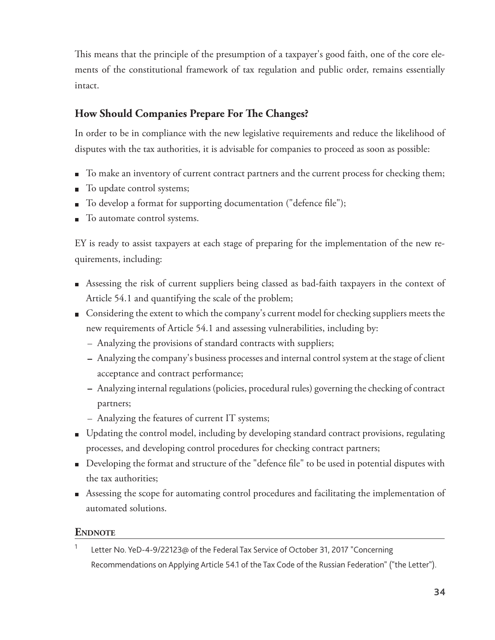This means that the principle of the presumption of a taxpayer's good faith, one of the core elements of the constitutional framework of tax regulation and public order, remains essentially intact.

#### **How Should Companies Prepare For The Changes?**

 In order to be in compliance with the new legislative requirements and reduce the likelihood of disputes with the tax authorities, it is advisable for companies to proceed as soon as possible:

- To make an inventory of current contract partners and the current process for checking them;
- To update control systems;  $\mathbf{r}$
- To develop a format for supporting documentation ("defence file");
- $\blacksquare$  To automate control systems.

 EY is ready to assist taxpayers at each stage of preparing for the implementation of the new requirements, including:

- Assessing the risk of current suppliers being classed as bad-faith taxpayers in the context of Article 54.1 and quantifying the scale of the problem;
- Considering the extent to which the company's current model for checking suppliers meets the new requirements of Article 54.1 and assessing vulnerabilities, including by:
	- Analyzing the provisions of standard contracts with suppliers;
	- Analyzing the company's business processes and internal control system at the stage of client acceptance and contract performance;
	- Analyzing internal regulations (policies, procedural rules) governing the checking of contract partners;
	- Analyzing the features of current IT systems;
- Updating the control model, including by developing standard contract provisions, regulating processes, and developing control procedures for checking contract partners;
- Developing the format and structure of the "defence file" to be used in potential disputes with the tax authorities;
- Assessing the scope for automating control procedures and facilitating the implementation of automated solutions.

#### **ENDNOTE**

1 Letter No. YeD-4-9/22123@ of the Federal Tax Service of October 31, 2017 "Concerning Recommendations on Applying Article 54.1 of the Tax Code of the Russian Federation" ("the Letter").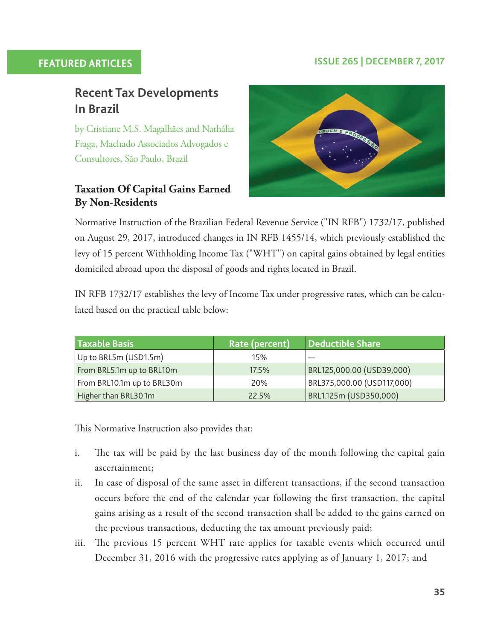#### **FEATURED ARTICLES ISSUE 265 | DECEMBER 7, 2017**

# **Recent Tax Developments In Brazil**

 by Cristiane M.S. Magalhães and Nathália Fraga, Machado Associados Advogados e Consultores, São Paulo, Brazil

#### **Taxation Of Capital Gains Earned By Non-Residents**



 Normative Instruction of the Brazilian Federal Revenue Service ("IN RFB") 1732/17, published on August 29, 2017, introduced changes in IN RFB 1455/14, which previously established the levy of 15 percent Withholding Income Tax ("WHT") on capital gains obtained by legal entities domiciled abroad upon the disposal of goodsand rights located in Brazil.

 IN RFB 1732/17 establishes the levy of Income Tax under progressive rates, which can be calculated based on the practical table below:

| Taxable Basis              | Rate (percent) | Deductible Share           |
|----------------------------|----------------|----------------------------|
| Up to BRL5m (USD1.5m)      | 15%            |                            |
| From BRL5.1m up to BRL10m  | 17.5%          | BRL125,000.00 (USD39,000)  |
| From BRL10.1m up to BRL30m | <b>20%</b>     | BRL375,000.00 (USD117,000) |
| Higher than BRL30.1m       | 22.5%          | BRL1.125m (USD350,000)     |

This Normative Instruction also provides that:

- i. The tax will be paid by the last business day of the month following the capital gain ascertainment;
- ii. In case of disposal of the same asset in different transactions, if the second transaction occurs before the end of the calendar year following the first transaction, the capital gains arising as a result of the second transaction shall be added to the gains earned on the previous transactions, deducting the tax amount previously paid;
- iii. The previous 15 percent WHT rate applies for taxable events which occurred until December 31, 2016 with the progressive rates applying as of January 1, 2017; and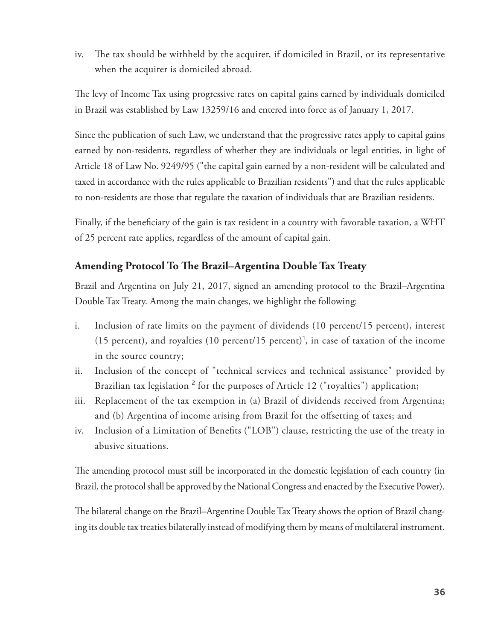iv. The tax should be withheld by the acquirer, if domiciled in Brazil, or its representative when the acquirer is domiciled abroad.

The levy of Income Tax using progressive rates on capital gains earned by individuals domiciled in Brazil was established by Law 13259/16 and entered into force as of January 1, 2017.

 Since the publication of such Law, we understand that the progressive rates apply to capital gains earned by non-residents, regardless of whether they are individuals or legal entities, in light of Article 18 of Law No. 9249/95 ("the capital gain earned by a non-resident will be calculated and taxed in accordance with the rules applicable to Brazilian residents") and that the rules applicable to non-residents are those that regulate the taxation of individuals that are Brazilian residents.

Finally, if the beneficiary of the gain is tax resident in a country with favorable taxation, a WHT of 25 percent rate applies, regardless of the amount of capital gain.

#### **Amending Protocol To The Brazil–Argentina Double Tax Treaty**

 Brazil and Argentina on July 21, 2017, signed an amending protocol to the Brazil–Argentina Double Tax Treaty. Among the main changes, we highlight the following:

- i. Inclusion of rate limits on the payment of dividends (10 percent/15 percent), interest (15 percent), and royalties (10 percent/15 percent)<sup>1</sup>, in case of taxation of the income in the source country;
- ii. Inclusion of the concept of "technical services and technical assistance" provided by Brazilian tax legislation<sup>2</sup> for the purposes of Article 12 ("royalties") application;
- iii. Replacement of the tax exemption in (a) Brazil of dividends received from Argentina; and (b) Argentina of income arising from Brazil for the offsetting of taxes; and
- iv. Inclusion of a Limitation of Benefits ("LOB") clause, restricting the use of the treaty in abusive situations.

The amending protocol must still be incorporated in the domestic legislation of each country (in Brazil, the protocol shall be approved by the National Congress and enacted by the Executive Power).

The bilateral change on the Brazil–Argentine Double Tax Treaty shows the option of Brazil changing its double tax treaties bilaterally instead of modifying them by means of multilateral instrument.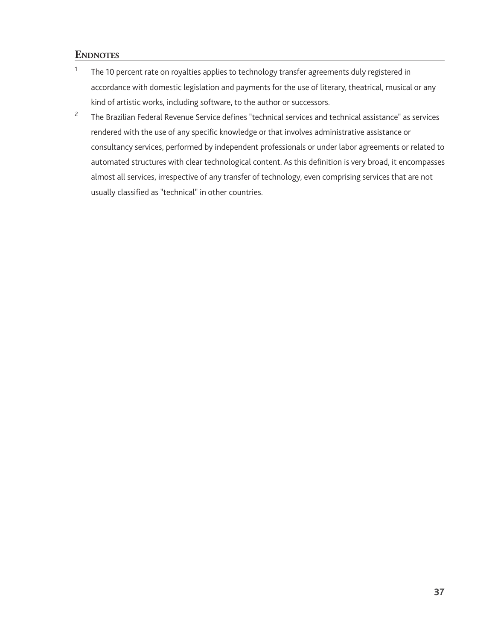#### **ENDNOTES**

- 1 The 10 percent rate on royalties applies to technology transfer agreements duly registered in accordance with domestic legislation and payments for the use of literary, theatrical, musical or any kind of artistic works, including software, to the author or successors.
- 2 The Brazilian Federal Revenue Service defines "technical services and technical assistance" as services rendered with the use of any specific knowledge or that involves administrative assistance or consultancy services, performed by independent professionals or under labor agreements or related to automated structures with clear technological content. As this definition is very broad, it encompasses almost all services, irrespective of any transfer of technology, even comprising services that are not usually classified as "technical" in other countries.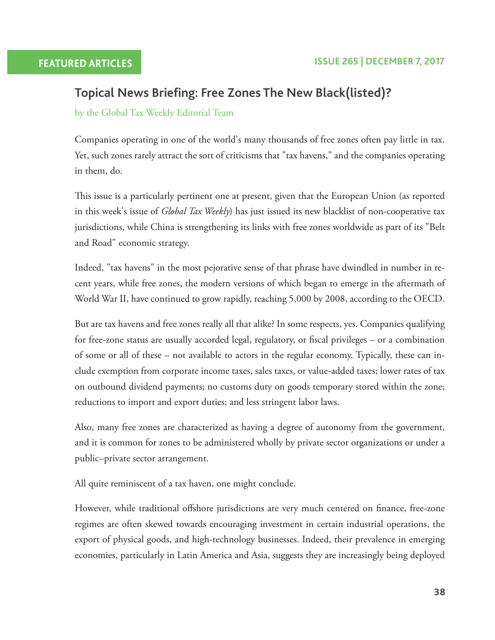## **Topical News Briefing: Free Zones The New Black(listed)?**

by the Global Tax Weekly Editorial Team

 Companies operating in one of the world's many thousands of free zones often pay little in tax. Yet, such zones rarely attract the sort of criticisms that "tax havens," and the companies operating in them, do.

This issue is a particularly pertinent one at present, given that the European Union (as reported in this week's issue of *Global Tax Weekly* ) has just issued its new blacklist of non-cooperative tax jurisdictions, while China is strengthening its links with free zones worldwide as part of its "Belt and Road" economic strategy.

 Indeed, "tax havens" in the most pejorative sense of that phrase have dwindled in number in recent years, while free zones, the modern versions of which began to emerge in the aftermath of World War II, have continued to grow rapidly, reaching 5,000 by 2008, according to the OECD.

 But are tax havens and free zones really all that alike? In some respects, yes. Companies qualifying for free-zone status are usually accorded legal, regulatory, or fiscal privileges – or a combination of some or all of these – not available to actors in the regular economy. Typically, these can include exemption from corporate income taxes, sales taxes, or value-added taxes; lower rates of tax on outbound dividend payments; no customs duty on goods temporary stored within the zone; reductions to import and export duties; and less stringent labor laws.

 Also, many free zones are characterized as having a degree of autonomy from the government, and it is common for zones to be administered wholly by private sector organizations or under a public–private sector arrangement.

All quite reminiscent of a tax haven, one might conclude.

However, while traditional offshore jurisdictions are very much centered on finance, free-zone regimes are often skewed towards encouraging investment in certain industrial operations, the export of physical goods, and high-technology businesses. Indeed, their prevalence in emerging economies, particularly in Latin America and Asia, suggests they are increasingly being deployed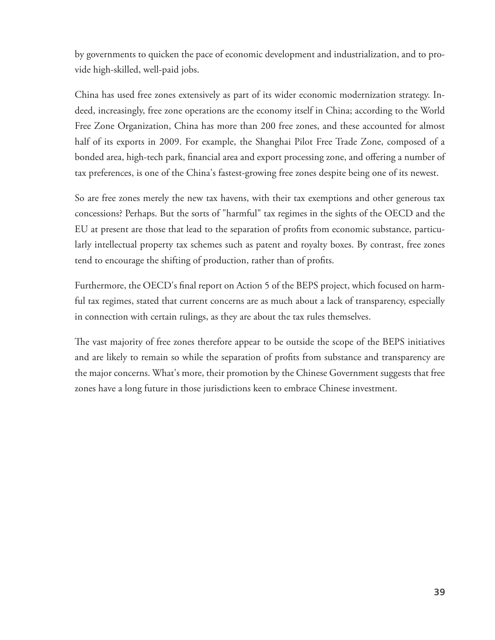by governments to quicken the pace of economic development and industrialization, and to provide high-skilled, well-paid jobs.

 China has used free zones extensively as part of its wider economic modernization strategy. Indeed, increasingly, free zone operations are the economy itself in China; according to the World Free Zone Organization, China has more than 200 free zones, and these accounted for almost half of its exports in 2009. For example, the Shanghai Pilot Free Trade Zone, composed of a bonded area, high-tech park, financial area and export processing zone, and offering a number of tax preferences, is one of the China's fastest-growing free zones despite being one of its newest.

 So are free zones merely the new tax havens, with their tax exemptions and other generous tax concessions? Perhaps. But the sorts of "harmful" tax regimes in the sights of the OECD and the EU at present are those that lead to the separation of profits from economic substance, particularly intellectual property tax schemes such as patent and royalty boxes. By contrast, free zones tend to encourage the shifting of production, rather than of profits.

Furthermore, the OECD's final report on Action 5 of the BEPS project, which focused on harmful tax regimes, stated that current concerns are as much about a lack of transparency, especially in connection with certain rulings, as they are about the tax rules themselves.

The vast majority of free zones therefore appear to be outside the scope of the BEPS initiatives and are likely to remain so while the separation of profits from substance and transparency are the major concerns. What's more, their promotion by the Chinese Government suggests that free zones have a long future in those jurisdictions keen to embrace Chinese investment.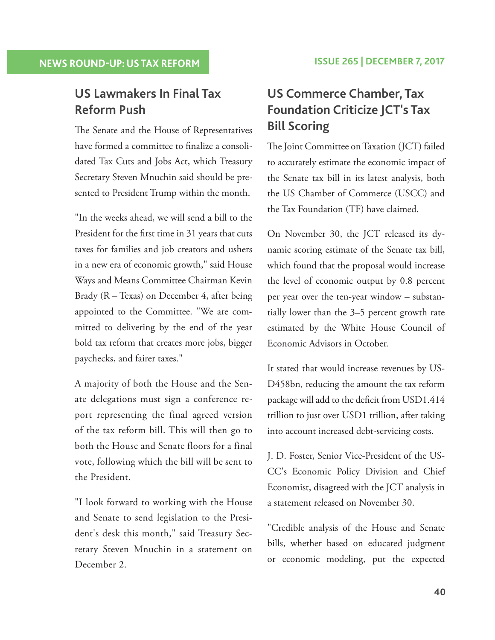# **US Lawmakers In Final Tax Reform Push**

The Senate and the House of Representatives have formed a committee to finalize a consolidated Tax Cuts and Jobs Act, which Treasury Secretary Steven Mnuchin said should be presented to President Trump within the month.

 "In the weeks ahead, we will send a bill to the President for the first time in 31 years that cuts taxes for families and job creators and ushers in a new era of economic growth," said House Ways and Means Committee Chairman Kevin Brady (R – Texas) on December 4, after being appointed to the Committee. "We are committed to delivering by the end of the year bold tax reform that creates more jobs, bigger paychecks, and fairer taxes."

 A majority of both the House and the Senate delegations must sign a conference report representing the final agreed version of the tax reform bill. This will then go to both the House and Senate floors for a final vote, following which the bill will be sent to the President.

 "I look forward to working with the House and Senate to send legislation to the President's desk this month," said Treasury Secretary Steven Mnuchin in a statement on December 2.

# **US Commerce Chamber, Tax Foundation Criticize JCT's Tax Bill Scoring**

The Joint Committee on Taxation (JCT) failed to accurately estimate the economic impact of the Senate tax bill in its latest analysis, both the US Chamber of Commerce (USCC) and the Tax Foundation (TF) have claimed.

 On November 30, the JCT released its dynamic scoring estimate of the Senate tax bill, which found that the proposal would increase the level of economic output by 0.8 percent per year over the ten-year window – substantially lower than the 3–5 percent growth rate estimated by the White House Council of Economic Advisors in October.

 It stated that would increase revenues by US-D458bn, reducing the amount the tax reform package will add to the deficit from USD1.414 trillion to just over USD1 trillion, after taking into account increased debt-servicing costs.

 J. D. Foster, Senior Vice-President of the US-CC's Economic Policy Division and Chief Economist, disagreed with the JCT analysis in a statement released on November 30.

 "Credible analysis of the House and Senate bills, whether based on educated judgment or economic modeling, put the expected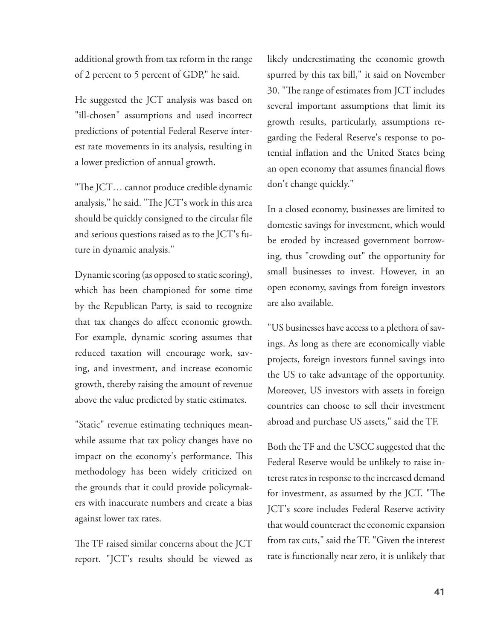additional growth from tax reform in the range of 2 percent to 5 percent of GDP," he said.

 He suggested the JCT analysis was based on "ill-chosen" assumptions and used incorrect predictions of potential Federal Reserve interest rate movements in its analysis, resulting in a lower prediction of annual growth.

"The JCT... cannot produce credible dynamic analysis," he said. "The JCT's work in this area should be quickly consigned to the circular file and serious questions raised as to the JCT's future in dynamic analysis."

 Dynamic scoring (as opposed to static scoring), which has been championed for some time by the Republican Party, is said to recognize that tax changes do affect economic growth. For example, dynamic scoring assumes that reduced taxation will encourage work, saving, and investment, and increase economic growth, thereby raising the amount of revenue above the value predicted by static estimates.

 "Static" revenue estimating techniques meanwhile assume that tax policy changes have no impact on the economy's performance. This methodology has been widely criticized on the grounds that it could provide policymakers with inaccurate numbers and create a bias against lower tax rates.

The TF raised similar concerns about the JCT report. "JCT's results should be viewed as likely underestimating the economic growth spurred by this tax bill," it said on November 30. "The range of estimates from JCT includes several important assumptions that limit its growth results, particularly, assumptions regarding the Federal Reserve's response to potential inflation and the United States being an open economy that assumes financial flows don't change quickly."

 In a closed economy, businesses are limited to domestic savings for investment, which would be eroded by increased government borrowing, thus "crowding out" the opportunity for small businesses to invest. However, in an open economy, savings from foreign investors are also available.

 "US businesses have access to a plethora of savings. As long as there are economically viable projects, foreign investors funnel savings into the US to take advantage of the opportunity. Moreover, US investors with assets in foreign countries can choose to sell their investment abroad and purchase US assets," said the TF.

 Both the TF and the USCC suggested that the Federal Reserve would be unlikely to raise interest rates in response to the increased demand for investment, as assumed by the JCT. "The JCT's score includes Federal Reserve activity that would counteract the economic expansion from tax cuts," said the TF. "Given the interest rate is functionally near zero, it is unlikely that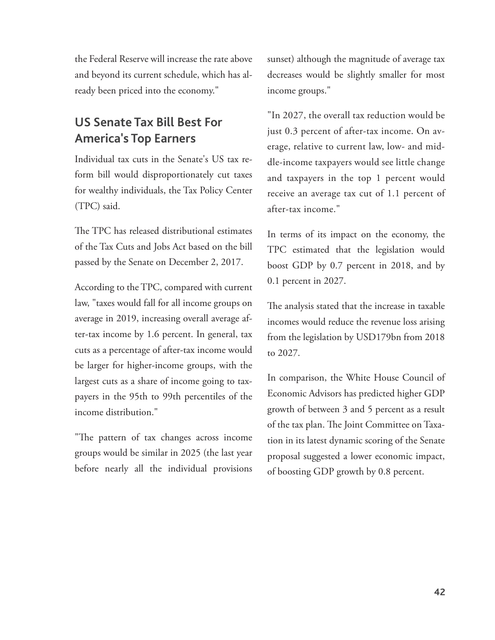the Federal Reserve will increase the rate above and beyond its current schedule, which has already been priced into the economy."

# **US Senate Tax Bill Best For America's Top Earners**

 Individual tax cuts in the Senate's US tax reform bill would disproportionately cut taxes for wealthy individuals, the Tax Policy Center (TPC) said.

The TPC has released distributional estimates of the Tax Cuts and Jobs Act based on the bill passed by the Senate on December 2, 2017.

 According to the TPC, compared with current law, "taxes would fall for all income groups on average in 2019, increasing overall average after-tax income by 1.6 percent. In general, tax cuts as a percentage of after-tax income would be larger for higher-income groups, with the largest cuts as a share of income going to taxpayers in the 95th to 99th percentiles of the income distribution."

"The pattern of tax changes across income groups would be similar in 2025 (the last year before nearly all the individual provisions sunset) although the magnitude of average tax decreases would be slightly smaller for most income groups."

 "In 2027, the overall tax reduction would be just 0.3 percent of after-tax income. On average, relative to current law, low- and middle-income taxpayers would see little change and taxpayers in the top 1 percent would receive an average tax cut of 1.1 percent of after-tax income."

 In terms of its impact on the economy, the TPC estimated that the legislation would boost GDP by 0.7 percent in 2018, and by 0.1 percent in 2027.

The analysis stated that the increase in taxable incomes would reduce the revenue loss arising from the legislation by USD179bn from 2018 to 2027.

 In comparison, the White House Council of Economic Advisors has predicted higher GDP growth of between 3 and 5 percent as a result of the tax plan. The Joint Committee on Taxation in its latest dynamic scoring of the Senate proposal suggested a lower economic impact, of boosting GDP growth by 0.8 percent.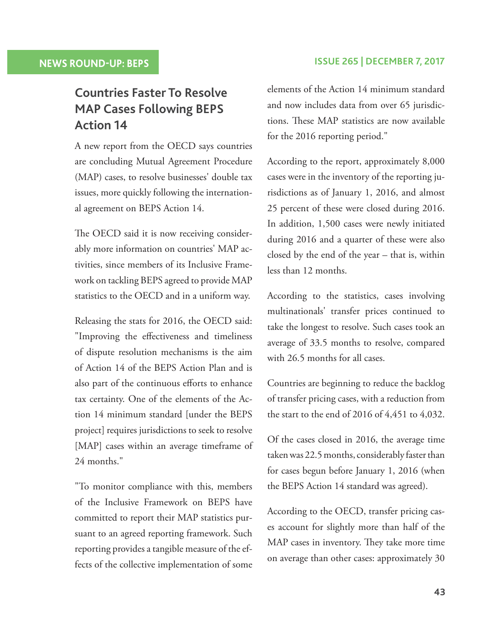# **Countries Faster To Resolve MAP Cases Following BEPS Action 14**

 A new report from the OECD says countries are concluding Mutual Agreement Procedure (MAP) cases, to resolve businesses' double tax issues, more quickly following the international agreement on BEPS Action 14.

The OECD said it is now receiving considerably more information on countries' MAP activities, since members of its Inclusive Framework on tackling BEPS agreed to provide MAP statistics to the OECD and in a uniform way.

 Releasing the stats for 2016, the OECD said: "Improving the effectiveness and timeliness of dispute resolution mechanisms is the aim of Action 14 of the BEPS Action Plan and is also part of the continuous efforts to enhance tax certainty. One of the elements of the Action 14 minimum standard [under the BEPS project] requires jurisdictions to seek to resolve [MAP] cases within an average timeframe of 24 months."

 "To monitor compliance with this, members of the Inclusive Framework on BEPS have committed to report their MAP statistics pursuant to an agreed reporting framework. Such reporting provides a tangible measure of the effects of the collective implementation of some

#### **NEWS ROUND-UP: BEPS ISSUE 265 | DECEMBER 7, 2017**

elements of the Action 14 minimum standard and now includes data from over 65 jurisdictions. These MAP statistics are now available for the 2016 reporting period."

 According to the report, approximately 8,000 cases were in the inventory of the reporting jurisdictions as of January 1, 2016, and almost 25 percent of these were closed during 2016. In addition, 1,500 cases were newly initiated during 2016 and a quarter of these were also closed by the end of the year – that is, within less than 12 months.

 According to the statistics, cases involving multinationals' transfer prices continued to take the longest to resolve. Such cases took an average of 33.5 months to resolve, compared with 26.5 months for all cases.

 Countries are beginning to reduce the backlog of transfer pricing cases, with a reduction from the start to the end of 2016 of 4,451 to 4,032.

 Of the cases closed in 2016, the average time taken was 22.5 months, considerably faster than for cases begun before January 1, 2016 (when the BEPS Action 14 standard was agreed).

 According to the OECD, transfer pricing cases account for slightly more than half of the MAP cases in inventory. They take more time on average than other cases: approximately 30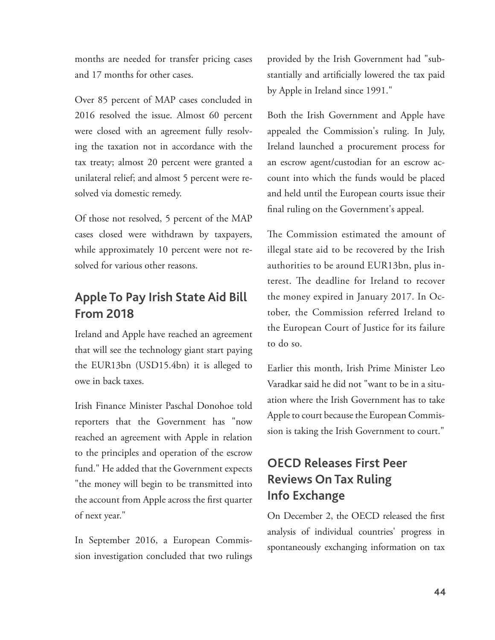months are needed for transfer pricing cases and 17 months for other cases.

 Over 85 percent of MAP cases concluded in 2016 resolved the issue. Almost 60 percent were closed with an agreement fully resolving the taxation not in accordance with the tax treaty; almost 20 percent were granted a unilateral relief; and almost 5 percent were resolved via domestic remedy.

 Of those not resolved, 5 percent of the MAP cases closed were withdrawn by taxpayers, while approximately 10 percent were not resolved for various other reasons.

# **Apple To Pay Irish State Aid Bill From 2018**

 Ireland and Apple have reached an agreement that will see the technology giant start paying the EUR13bn (USD15.4bn) it is alleged to owe in back taxes.

 Irish Finance Minister Paschal Donohoe told reporters that the Government has "now reached an agreement with Apple in relation to the principles and operation of the escrow fund." He added that the Government expects "the money will begin to be transmitted into the account from Apple across the first quarter of next year."

 In September 2016, a European Commission investigation concluded that two rulings provided by the Irish Government had "substantially and artificially lowered the tax paid by Apple in Ireland since 1991."

 Both the Irish Government and Apple have appealed the Commission's ruling. In July, Ireland launched a procurement process for an escrow agent/custodian for an escrow account into which the funds would be placed and held until the European courts issue their final ruling on the Government's appeal.

The Commission estimated the amount of illegal state aid to be recovered by the Irish authorities to be around EUR13bn, plus interest. The deadline for Ireland to recover the money expired in January 2017. In October, the Commission referred Ireland to the European Court of Justice for its failure to do so.

 Earlier this month, Irish Prime Minister Leo Varadkar said he did not "want to be in a situation where the Irish Government has to take Apple to court because the European Commission is taking the Irish Government to court."

# **OECD Releases First Peer Reviews On Tax Ruling Info Exchange**

On December 2, the OECD released the first analysis of individual countries' progress in spontaneously exchanging information on tax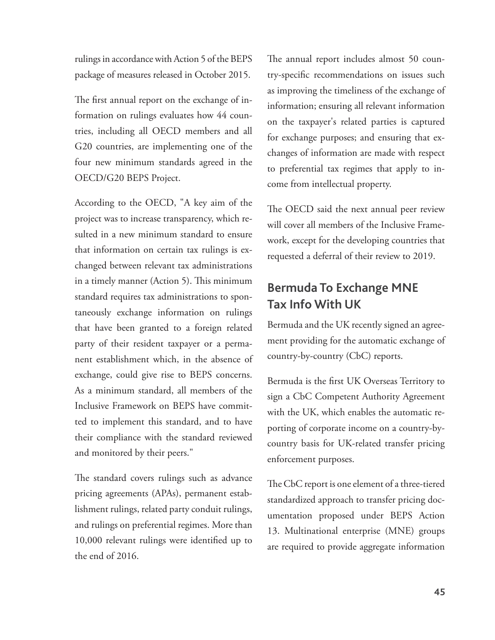rulings in accordance with Action 5 of the BEPS package of measures released in October 2015.

The first annual report on the exchange of information on rulings evaluates how 44 countries, including all OECD members and all G20 countries, are implementing one of the four new minimum standards agreed in the OECD/G20 BEPS Project.

 According to the OECD, "A key aim of the project was to increase transparency, which resulted in a new minimum standard to ensure that information on certain tax rulings is exchanged between relevant tax administrations in a timely manner (Action 5). This minimum standard requires tax administrations to spontaneously exchange information on rulings that have been granted to a foreign related party of their resident taxpayer or a permanent establishment which, in the absence of exchange, could give rise to BEPS concerns. As a minimum standard, all members of the Inclusive Framework on BEPS have committed to implement this standard, and to have their compliance with the standard reviewed and monitored by their peers."

The standard covers rulings such as advance pricing agreements (APAs), permanent establishment rulings, related party conduit rulings, and rulings on preferential regimes. More than 10,000 relevant rulings were identified up to the end of 2016.

The annual report includes almost 50 country-specific recommendations on issues such as improving the timeliness of the exchange of information; ensuring all relevant information on the taxpayer's related parties is captured for exchange purposes; and ensuring that exchanges of information are made with respect to preferential tax regimes that apply to income from intellectual property.

The OECD said the next annual peer review will cover all members of the Inclusive Framework, except for the developing countries that requested a deferral of their review to 2019.

## **Bermuda To Exchange MNE Tax Info With UK**

 Bermuda and the UK recently signed an agreement providing for the automatic exchange of country-by-country (CbC) reports.

Bermuda is the first UK Overseas Territory to sign a CbC Competent Authority Agreement with the UK, which enables the automatic reporting of corporate income on a country-bycountry basis for UK-related transfer pricing enforcement purposes.

The CbC report is one element of a three-tiered standardized approach to transfer pricing documentation proposed under BEPS Action 13. Multinational enterprise (MNE) groups are required to provide aggregate information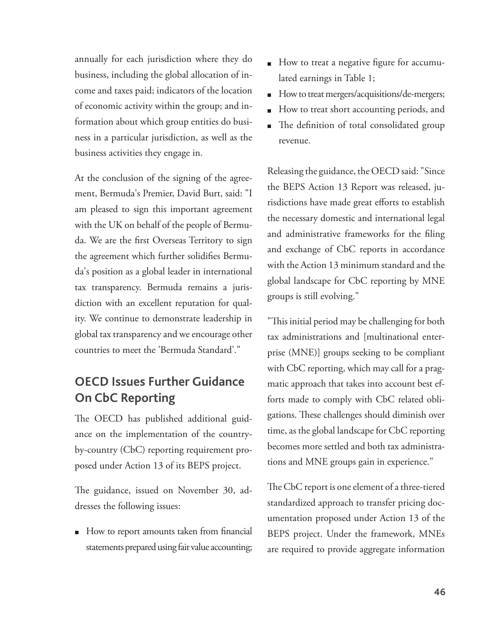annually for each jurisdiction where they do business, including the global allocation of income and taxes paid; indicators of the location of economic activity within the group; and information about which group entities do business in a particular jurisdiction, as well as the business activities they engage in.

 At the conclusion of the signing of the agreement, Bermuda's Premier, David Burt, said: "I am pleased to sign this important agreement with the UK on behalf of the people of Bermuda. We are the first Overseas Territory to sign the agreement which further solidifies Bermuda's position as a global leader in international tax transparency. Bermuda remains a jurisdiction with an excellent reputation for quality. We continue to demonstrate leadership in global tax transparency and we encourage other countries to meet the 'Bermuda Standard'."

# **OECD Issues Further Guidance On CbC Reporting**

The OECD has published additional guidance on the implementation of the countryby-country (CbC) reporting requirement proposed under Action 13 of its BEPS project.

The guidance, issued on November 30, addresses the following issues:

How to report amounts taken from financial statements prepared using fair value accounting;

- How to treat a negative figure for accumulated earnings in Table 1;
- How to treat mergers/acquisitions/de-mergers;
- How to treat short accounting periods, and
- The definition of total consolidated group revenue.

 Releasing the guidance, the OECD said: "Since the BEPS Action 13 Report was released, jurisdictions have made great efforts to establish the necessary domestic and international legal and administrative frameworks for the filing and exchange of CbC reports in accordance with the Action 13 minimum standard and the global landscape for CbC reporting by MNE groups is still evolving."

"This initial period may be challenging for both tax administrations and [multinational enterprise (MNE)] groups seeking to be compliant with CbC reporting, which may call for a pragmatic approach that takes into account best efforts made to comply with CbC related obligations. These challenges should diminish over time, as the global landscape for CbC reporting becomes more settled and both tax administrations and MNE groups gain in experience."

The CbC report is one element of a three-tiered standardized approach to transfer pricing documentation proposed under Action 13 of the BEPS project. Under the framework, MNEs are required to provide aggregate information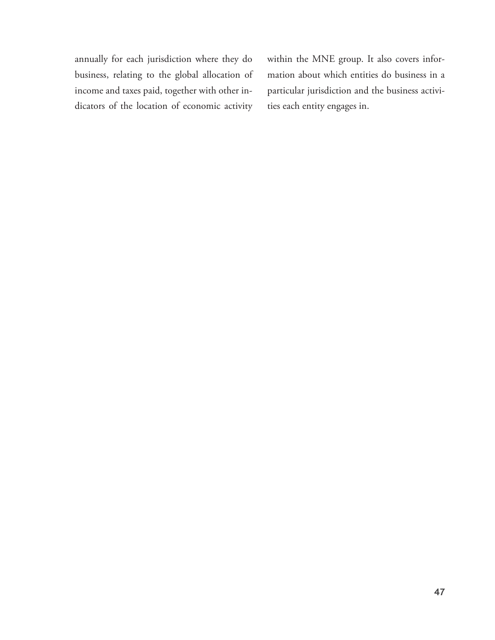annually for each jurisdiction where they do business, relating to the global allocation of income and taxes paid, together with other indicators of the location of economic activity

within the MNE group. It also covers information about which entities do business in a particular jurisdiction and the business activities each entity engages in.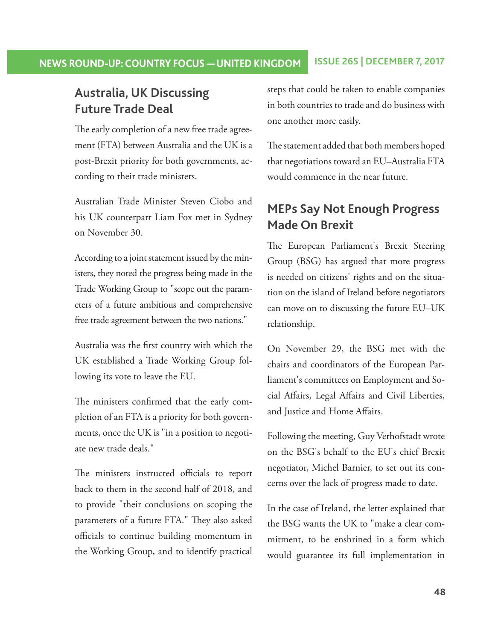## **NEWS ROUND-UP: COUNTRY FOCUS — UNITED KINGDOM ISSUE 265 | DECEMBER 7, 2017**

## **Australia, UK Discussing Future Trade Deal**

The early completion of a new free trade agreement (FTA) between Australia and the UK is a post-Brexit priority for both governments, according to their trade ministers.

 Australian Trade Minister Steven Ciobo and his UK counterpart Liam Fox met in Sydney on November 30.

 According to a joint statement issued by the ministers, they noted the progress being made in the Trade Working Group to "scope out the parameters of a future ambitious and comprehensive free trade agreement between the two nations."

Australia was the first country with which the UK established a Trade Working Group following its vote to leave the EU.

The ministers confirmed that the early completion of an FTA is a priority for both governments, once the UK is "in a position to negotiate new trade deals."

The ministers instructed officials to report back to them in the second half of 2018, and to provide "their conclusions on scoping the parameters of a future FTA." They also asked officials to continue building momentum in the Working Group, and to identify practical

steps that could be taken to enable companies in both countries to trade and do business with one another more easily.

The statement added that both members hoped that negotiations toward an EU–Australia FTA would commence in the near future.

## **MEPs Say Not Enough Progress Made On Brexit**

The European Parliament's Brexit Steering Group (BSG) has argued that more progress is needed on citizens' rights and on the situation on the island of Ireland before negotiators can move on to discussing the future EU–UK relationship.

 On November 29, the BSG met with the chairs and coordinators of the European Parliament's committees on Employment and Social Affairs, Legal Affairs and Civil Liberties, and Justice and Home Affairs.

 Following the meeting, Guy Verhofstadt wrote on the BSG's behalf to the EU's chief Brexit negotiator, Michel Barnier, to set out its concerns over the lack of progress made to date.

 In the case of Ireland, the letter explained that the BSG wants the UK to "make a clear commitment, to be enshrined in a form which would guarantee its full implementation in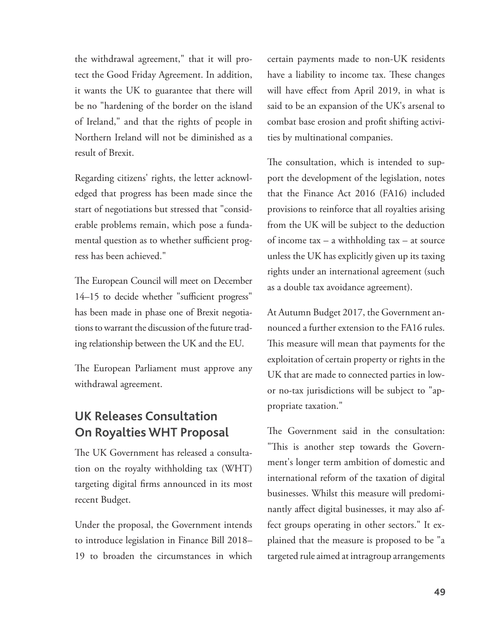the withdrawal agreement," that it will protect the Good Friday Agreement. In addition, it wants the UK to guarantee that there will be no "hardening of the border on the island of Ireland," and that the rights of people in Northern Ireland will not be diminished as a result of Brexit.

 Regarding citizens' rights, the letter acknowledged that progress has been made since the start of negotiations but stressed that "considerable problems remain, which pose a fundamental question as to whether sufficient progress has been achieved."

The European Council will meet on December 14–15 to decide whether "sufficient progress" has been made in phase one of Brexit negotiations to warrant the discussion of the future trading relationship between the UK and the EU.

The European Parliament must approve any withdrawal agreement.

# **UK Releases Consultation On Royalties WHT Proposal**

The UK Government has released a consultation on the royalty withholding tax (WHT) targeting digital firms announced in its most recent Budget.

 Under the proposal, the Government intends to introduce legislation in Finance Bill 2018– 19 to broaden the circumstances in which certain payments made to non-UK residents have a liability to income tax. These changes will have effect from April 2019, in what is said to be an expansion of the UK's arsenal to combat base erosion and profit shifting activities by multinational companies.

The consultation, which is intended to support the development of the legislation, notes that the Finance Act 2016 (FA16) included provisions to reinforce that all royalties arising from the UK will be subject to the deduction of income tax – a withholding tax – at source unless the UK has explicitly given up its taxing rights under an international agreement (such as a double tax avoidance agreement).

 At Autumn Budget 2017, the Government announced a further extension to the FA16 rules. This measure will mean that payments for the exploitation of certain property or rights in the UK that are made to connected parties in lowor no-tax jurisdictions will be subject to "appropriate taxation."

The Government said in the consultation: "This is another step towards the Government's longer term ambition of domestic and international reform of the taxation of digital businesses. Whilst this measure will predominantly affect digital businesses, it may also affect groups operating in other sectors." It explained that the measure is proposed to be "a targeted rule aimed at intragroup arrangements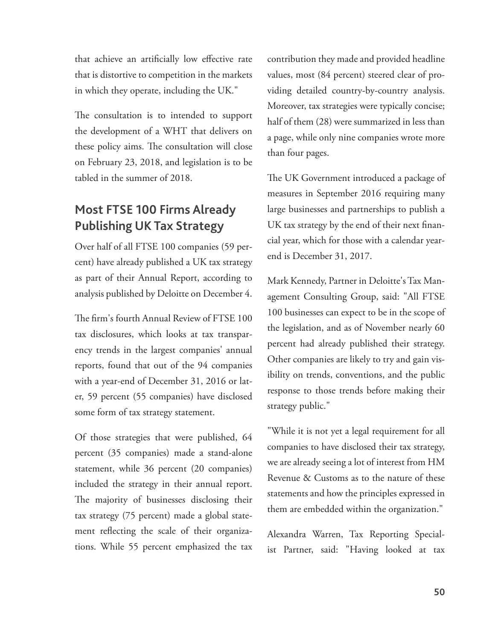that achieve an artificially low effective rate that is distortive to competition in the markets in which they operate, including the UK."

The consultation is to intended to support the development of a WHT that delivers on these policy aims. The consultation will close on February 23, 2018, and legislation is to be tabled in the summer of 2018.

# **Most FTSE 100 Firms Already Publishing UK Tax Strategy**

 Over half of all FTSE 100 companies (59 percent) have already published a UK tax strategy as part of their Annual Report, according to analysis published by Deloitte on December 4.

The firm's fourth Annual Review of FTSE 100 tax disclosures, which looks at tax transparency trends in the largest companies' annual reports, found that out of the 94 companies with a year-end of December 31, 2016 or later, 59 percent (55 companies) have disclosed some form of tax strategy statement.

 Of those strategies that were published, 64 percent (35 companies) made a stand-alone statement, while 36 percent (20 companies) included the strategy in their annual report. The majority of businesses disclosing their tax strategy (75 percent) made a global statement reflecting the scale of their organizations. While 55 percent emphasized the tax contribution they made and provided headline values, most (84 percent) steered clear of providing detailed country-by-country analysis. Moreover, tax strategies were typically concise; half of them (28) were summarized in less than a page, while only nine companies wrote more than four pages.

The UK Government introduced a package of measures in September 2016 requiring many large businesses and partnerships to publish a UK tax strategy by the end of their next financial year, which for those with a calendar yearend is December 31, 2017.

 Mark Kennedy, Partner in Deloitte's Tax Management Consulting Group, said: "All FTSE 100 businesses can expect to be in the scope of the legislation, and as of November nearly 60 percent had already published their strategy. Other companies are likely to try and gain visibility on trends, conventions, and the public response to those trends before making their strategy public."

 "While it is not yet a legal requirement for all companies to have disclosed their tax strategy, we are already seeing a lot of interest from HM Revenue & Customs as to the nature of these statements and how the principles expressed in them are embedded within the organization."

 Alexandra Warren, Tax Reporting Specialist Partner, said: "Having looked at tax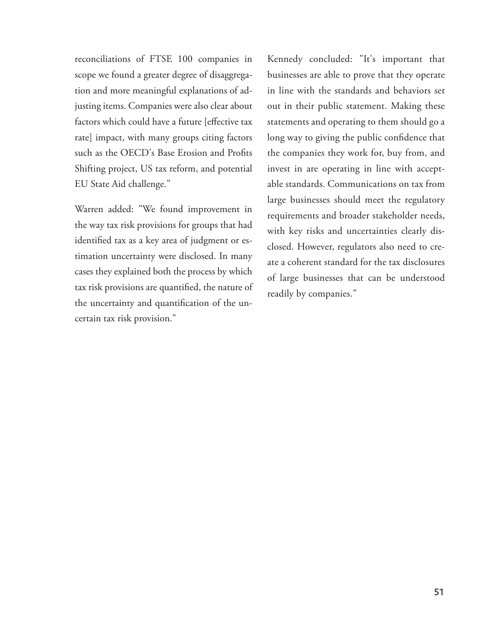reconciliations of FTSE 100 companies in scope we found a greater degree of disaggregation and more meaningful explanations of adjusting items. Companies were also clear about factors which could have a future [effective tax rate] impact, with many groups citing factors such as the OECD's Base Erosion and Profits Shifting project, US tax reform, and potential EU State Aid challenge."

 Warren added: "We found improvement in the way tax risk provisions for groups that had identified tax as a key area of judgment or estimation uncertainty were disclosed. In many cases they explained both the process by which tax risk provisions are quantified, the nature of the uncertainty and quantification of the uncertain tax risk provision."

 Kennedy concluded: "It's important that businesses are able to prove that they operate in line with the standards and behaviors set out in their public statement. Making these statements and operating to them should go a long way to giving the public confidence that the companies they work for, buy from, and invest in are operating in line with acceptable standards. Communications on tax from large businesses should meet the regulatory requirements and broader stakeholder needs, with key risks and uncertainties clearly disclosed. However, regulators also need to create a coherent standard for the tax disclosures of large businesses that can be understood readily by companies."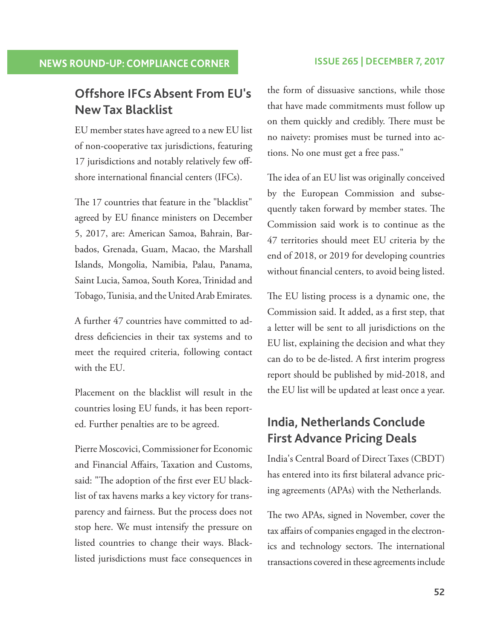# **Offshore IFCs Absent From EU's New Tax Blacklist**

 EU member states have agreed to a new EU list of non-cooperative tax jurisdictions, featuring 17 jurisdictions and notably relatively few offshore international financial centers (IFCs).

The 17 countries that feature in the "blacklist" agreed by EU finance ministers on December 5, 2017, are: American Samoa, Bahrain, Barbados, Grenada, Guam, Macao, the Marshall Islands, Mongolia, Namibia, Palau, Panama, Saint Lucia, Samoa, South Korea, Trinidad and Tobago, Tunisia, and the United Arab Emirates.

 A further 47 countries have committed to address deficiencies in their tax systems and to meet the required criteria, following contact with the EU.

 Placement on the blacklist will result in the countries losing EU funds, it has been reported. Further penalties are to be agreed.

 Pierre Moscovici, Commissioner for Economic and Financial Affairs, Taxation and Customs, said: "The adoption of the first ever EU blacklist of tax havens marks a key victory for transparency and fairness. But the process does not stop here. We must intensify the pressure on listed countries to change their ways. Blacklisted jurisdictions must face consequences in

the form of dissuasive sanctions, while those that have made commitments must follow up on them quickly and credibly. There must be no naivety: promises must be turned into actions. No one must get a free pass."

The idea of an EU list was originally conceived by the European Commission and subsequently taken forward by member states. The Commission said work is to continue as the 47 territories should meet EU criteria by the end of 2018, or 2019 for developing countries without financial centers, to avoid being listed.

The EU listing process is a dynamic one, the Commission said. It added, as a first step, that a letter will be sent to all jurisdictions on the EU list, explaining the decision and what they can do to be de-listed. A first interim progress report should be published by mid-2018, and the EU list will be updated at least once a year.

# **India, Netherlands Conclude First Advance Pricing Deals**

 India's Central Board of Direct Taxes (CBDT) has entered into its first bilateral advance pricing agreements (APAs) with the Netherlands.

The two APAs, signed in November, cover the tax affairs of companies engaged in the electronics and technology sectors. The international transactions covered in these agreements include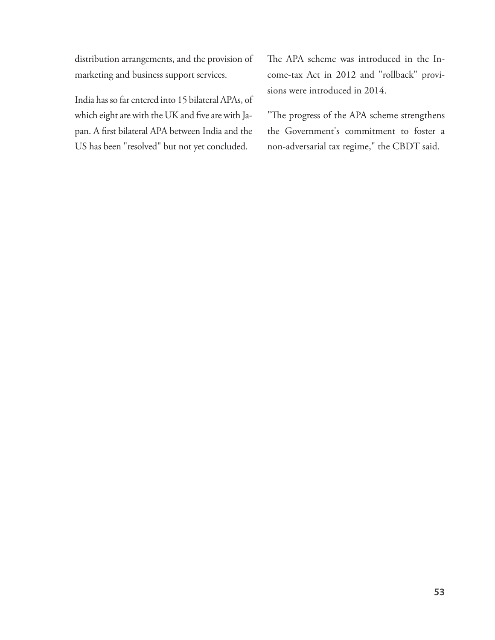distribution arrangements, and the provision of marketing and business support services.

 India has so far entered into 15 bilateral APAs, of which eight are with the UK and five are with Japan. A first bilateral APA between India and the US has been "resolved" but not yet concluded.

The APA scheme was introduced in the Income-tax Act in 2012 and "rollback" provisions were introduced in 2014.

"The progress of the APA scheme strengthens the Government's commitment to foster a non-adversarial tax regime," the CBDT said.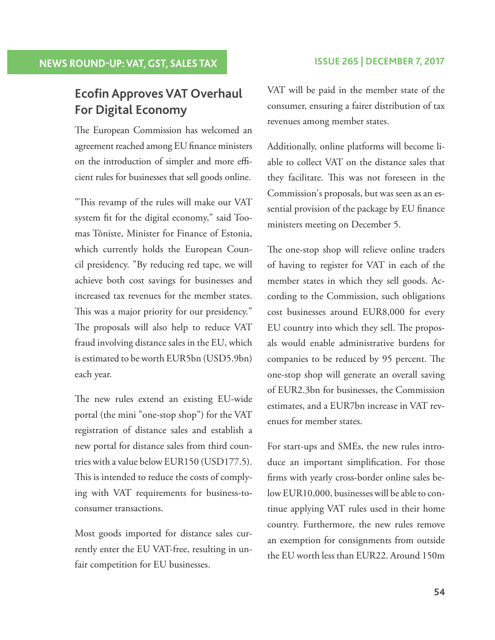# **Ecofin Approves VAT Overhaul For Digital Economy**

The European Commission has welcomed an agreement reached among EU finance ministers on the introduction of simpler and more efficient rules for businesses that sell goods online.

"This revamp of the rules will make our VAT system fit for the digital economy," said Toomas Tõniste, Minister for Finance of Estonia, which currently holds the European Council presidency. "By reducing red tape, we will achieve both cost savings for businesses and increased tax revenues for the member states. This was a major priority for our presidency." The proposals will also help to reduce VAT fraud involving distance sales in the EU, which is estimated to be worth EUR5bn (USD5.9bn) each year.

The new rules extend an existing EU-wide portal (the mini "one-stop shop") for the VAT registration of distance sales and establish a new portal for distance sales from third countries with a value below EUR150 (USD177.5). This is intended to reduce the costs of complying with VAT requirements for business-toconsumer transactions.

 Most goods imported for distance sales currently enter the EU VAT-free, resulting in unfair competition for EU businesses.

 VAT will be paid in the member state of the consumer, ensuring a fairer distribution of tax revenues among member states.

 Additionally, online platforms will become liable to collect VAT on the distance sales that they facilitate. This was not foreseen in the Commission's proposals, but was seen as an essential provision of the package by EU finance ministers meeting on December 5.

The one-stop shop will relieve online traders of having to register for VAT in each of the member states in which they sell goods. According to the Commission, such obligations cost businesses around EUR8,000 for every EU country into which they sell. The proposals would enable administrative burdens for companies to be reduced by 95 percent. The one-stop shop will generate an overall saving of EUR2.3bn for businesses, the Commission estimates, and a EUR7bn increase in VAT revenues for member states.

 For start-ups and SMEs, the new rules introduce an important simplification. For those firms with yearly cross-border online sales below EUR10,000, businesses will be able to continue applying VAT rules used in their home country. Furthermore, the new rules remove an exemption for consignments from outside the EU worth less than EUR22. Around 150m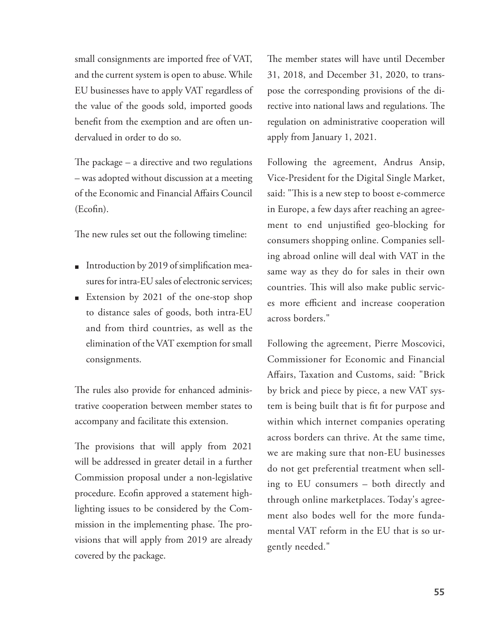small consignments are imported free of VAT, and the current system is open to abuse. While EU businesseshave to apply VAT regardless of the value of the goods sold, imported goods benefit from the exemption and are often undervalued in order to do so.

The package  $-$  a directive and two regulations – was adopted without discussion at a meeting of the Economic and Financial Affairs Council  $(Eqfin).$ 

The new rules set out the following timeline:

- $\blacksquare$  Introduction by 2019 of simplification measures for intra-EU sales of electronic services;
- **Extension by 2021 of the one-stop shop** to distance sales of goods, both intra-EU and from third countries, as well as the elimination of the VAT exemption for small consignments.

The rules also provide for enhanced administrative cooperation between member states to accompany and facilitate this extension.

The provisions that will apply from 2021 will be addressed in greater detail in a further Commission proposal under a non-legislative procedure. Ecofin approved a statement highlighting issues to be considered by the Commission in the implementing phase. The provisions that will apply from 2019 are already covered by the package.

The member states will have until December 31, 2018, and December 31, 2020, to transpose the corresponding provisions of the directive into national laws and regulations. The regulation on administrative cooperation will apply from January 1, 2021.

 Following the agreement, Andrus Ansip, Vice-President for the Digital Single Market, said: "This is a new step to boost e-commerce in Europe, a few days after reaching an agreement to end unjustified geo-blocking for consumers shopping online. Companies selling abroad online will deal with VAT in the same way as they do for sales in their own countries. This will also make public services more efficient and increase cooperation across borders."

 Following the agreement, Pierre Moscovici, Commissioner for Economic and Financial Affairs, Taxation and Customs, said: "Brick by brick and piece by piece, a new VAT system is being built that is fit for purpose and within which internet companies operating across borders can thrive. At the same time, we are making sure that non-EU businesses do not get preferential treatment when selling to EU consumers – both directly and through online marketplaces. Today's agreement also bodes well for the more fundamental VAT reform in the EU that is so urgently needed."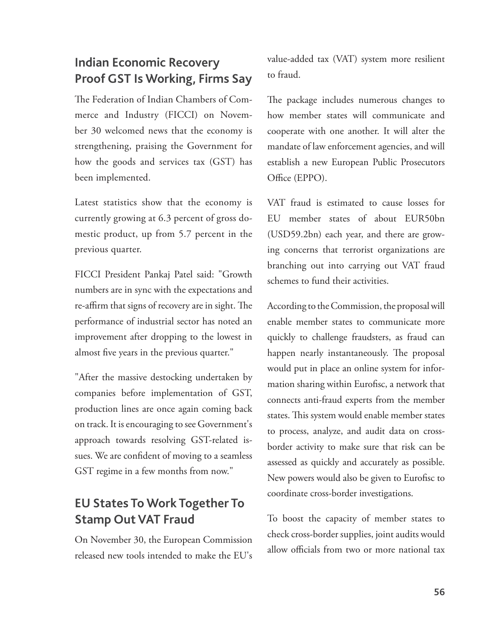# **Indian Economic Recovery Proof GST Is Working, Firms Say**

The Federation of Indian Chambers of Commerce and Industry (FICCI) on November 30 welcomed news that the economy is strengthening, praising the Government for how the goods and services tax (GST) has been implemented.

 Latest statistics show that the economy is currently growing at 6.3 percent of gross domestic product, up from 5.7 percent in the previous quarter.

 FICCI President Pankaj Patel said: "Growth numbers are in sync with the expectations and re-affirm that signs of recovery are in sight. The performance of industrial sector has noted an improvement after dropping to the lowest in almost five years in the previous quarter."

 "After the massive destocking undertaken by companies before implementation of GST, production lines are once again coming back on track. It is encouraging to see Government's approach towards resolving GST-related issues. We are confident of moving to a seamless GST regime in a few months from now."

# **EU States To Work Together To Stamp Out VAT Fraud**

 On November 30, the European Commission released new tools intended to make the EU's value-added tax (VAT) system more resilient to fraud.

The package includes numerous changes to how member states will communicate and cooperate with one another. It will alter the mandate of law enforcement agencies, and will establish a new European Public Prosecutors Office (EPPO).

 VAT fraud is estimated to cause losses for EU member states of about EUR50bn (USD59.2bn) each year, and there are growing concerns that terrorist organizations are branching out into carrying out VAT fraud schemes to fund their activities.

 According to the Commission, the proposal will enable member states to communicate more quickly to challenge fraudsters, as fraud can happen nearly instantaneously. The proposal would put in place an online system for information sharing within Eurofisc, a network that connects anti-fraud experts from the member states. This system would enable member states to process, analyze, and audit data on crossborder activity to make sure that risk can be assessed as quickly and accurately as possible. New powers would also be given to Eurofisc to coordinate cross-border investigations.

 To boost the capacity of member states to check cross-border supplies, joint audits would allow officials from two or more national tax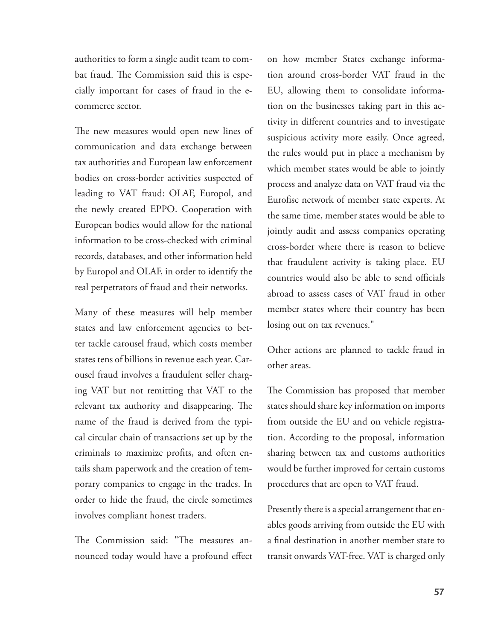authorities to form a single audit team to combat fraud. The Commission said this is especially important for cases of fraud in the ecommerce sector.

The new measures would open new lines of communication and data exchange between tax authorities and European law enforcement bodies on cross-border activities suspected of leading to VAT fraud: OLAF, Europol, and the newly created EPPO. Cooperation with European bodies would allow for the national information to be cross-checked with criminal records, databases, and other information held by Europol and OLAF, in order to identify the real perpetrators of fraud and their networks.

 Many of these measures will help member states and law enforcement agencies to better tackle carousel fraud, which costs member states tens of billions in revenue each year. Carousel fraud involves a fraudulent seller charging VAT but not remitting that VAT to the relevant tax authority and disappearing. The name of the fraud is derived from the typical circular chain of transactions set up by the criminals to maximize profits, and often entails sham paperwork and the creation of temporary companies to engage in the trades. In order to hide the fraud, the circle sometimes involves compliant honest traders.

The Commission said: "The measures announced today would have a profound effect on how member States exchange information around cross-border VAT fraud in the EU, allowing them to consolidate information on the businesses taking part in this activity in different countries and to investigate suspicious activity more easily. Once agreed, the rules would put in place a mechanism by which member states would be able to jointly process and analyze data on VAT fraud via the Eurofisc network of member state experts. At the same time, member states would be able to jointly audit and assess companies operating cross-border where there is reason to believe that fraudulent activity is taking place. EU countries would also be able to send officials abroad to assess cases of VAT fraud in other member states where their country has been losing out on tax revenues."

 Other actions are planned to tackle fraud in other areas.

The Commission has proposed that member states should share key information on imports from outside the EU and on vehicle registration. According to the proposal, information sharing between tax and customs authorities would be further improved for certain customs procedures that are open to VAT fraud.

 Presently there is a special arrangement that enables goods arriving from outside the EU with a final destination in another member state to transit onwards VAT-free. VAT is charged only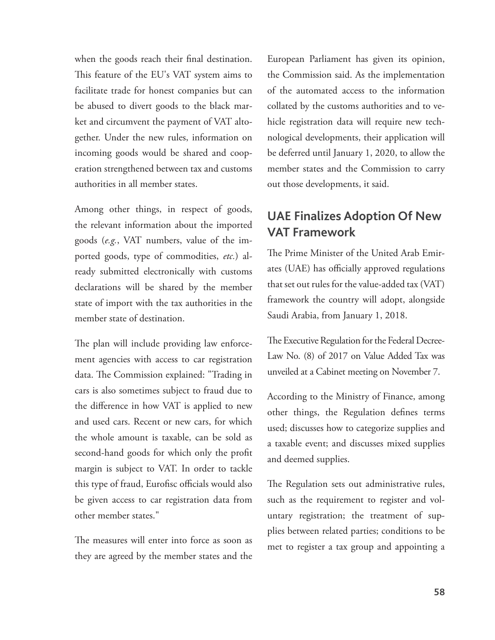when the goods reach their final destination. This feature of the EU's VAT system aims to facilitate trade for honest companies but can be abused to divert goods to the black market and circumvent the payment of VAT altogether. Under the new rules, information on incoming goods would be shared and cooperation strengthened between tax and customs authorities in all member states.

 Among other things, in respect of goods, the relevant information about the imported goods (e.g., VAT numbers, value of the imported goods, type of commodities, etc.) already submitted electronically with customs declarations will be shared by the member state of import with the tax authorities in the member state of destination.

The plan will include providing law enforcement agencies with access to car registration data. The Commission explained: "Trading in cars is also sometimes subject to fraud due to the difference in how VAT is applied to new and used cars. Recent or new cars, for which the whole amount is taxable, can be sold as second-hand goods for which only the profit margin is subject to VAT. In order to tackle this type of fraud, Eurofisc officials would also be given access to car registration data from other member states."

The measures will enter into force as soon as they are agreed by the member states and the European Parliament has given its opinion, the Commission said. As the implementation of the automated access to the information collated by the customs authorities and to vehicle registration data will require new technological developments, their application will be deferred until January 1, 2020, to allow the member states and the Commission to carry out those developments, it said.

## **UAE Finalizes Adoption Of New VAT Framework**

The Prime Minister of the United Arab Emirates (UAE) has officially approved regulations that set out rules for the value-added tax (VAT) framework the country will adopt, alongside Saudi Arabia, from January 1, 2018.

The Executive Regulation for the Federal Decree-Law No. (8) of 2017 on Value Added Tax was unveiled at a Cabinet meeting on November 7.

 According to the Ministry of Finance, among other things, the Regulation defines terms used; discusses how to categorize supplies and a taxable event; and discusses mixed supplies and deemed supplies.

The Regulation sets out administrative rules, such as the requirement to register and voluntary registration; the treatment of supplies between related parties; conditions to be met to register a tax group and appointing a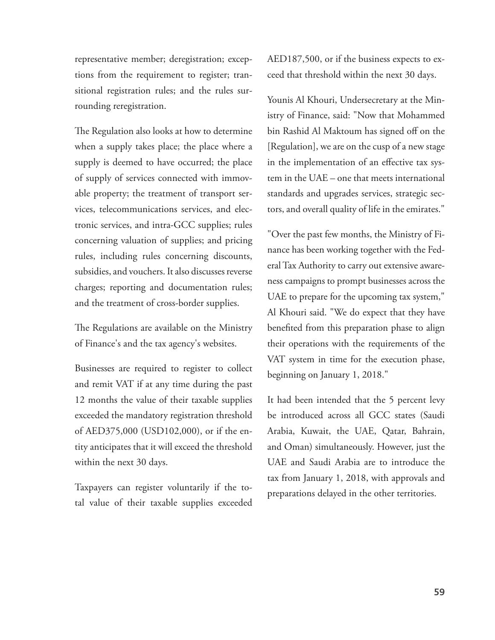representative member; deregistration; exceptions from the requirement to register; transitional registration rules; and the rules surrounding reregistration.

The Regulation also looks at how to determine when a supply takes place; the place where a supply is deemed to have occurred; the place of supply of services connected with immovable property; the treatment of transport services, telecommunications services, and electronic services, and intra-GCC supplies; rules concerning valuation of supplies; and pricing rules, including rules concerning discounts, subsidies, and vouchers. It also discusses reverse charges; reporting and documentation rules; and the treatment of cross-border supplies.

The Regulations are available on the Ministry of Finance's and the tax agency's websites.

 Businesses are required to register to collect and remit VAT if at any time during the past 12 months the value of their taxable supplies exceeded the mandatory registration threshold of AED375,000 (USD102,000), or if the entity anticipates that it will exceed the threshold within the next 30 days.

 Taxpayers can register voluntarily if the total value of their taxable supplies exceeded AED187,500, or if the business expects to exceed that threshold within the next 30 days.

 Younis Al Khouri, Undersecretary at the Ministry of Finance, said: "Now that Mohammed bin Rashid Al Maktoum has signed off on the [Regulation], we are on the cusp of a new stage in the implementation of an effective tax system in the UAE – one that meets international standards and upgrades services, strategic sectors, and overall quality of life in the emirates."

 "Over the past few months, the Ministry of Finance has been working together with the Federal Tax Authority to carry out extensive awareness campaigns to prompt businesses across the UAE to prepare for the upcoming tax system," Al Khouri said. "We do expect that they have benefited from this preparation phase to align their operations with the requirements of the VAT system in time for the execution phase, beginning on January 1, 2018."

 It had been intended that the 5 percent levy be introduced across all GCC states (Saudi Arabia, Kuwait, the UAE, Qatar, Bahrain, and Oman) simultaneously. However, just the UAE and Saudi Arabia are to introduce the tax from January 1, 2018, with approvals and preparations delayed in the other territories.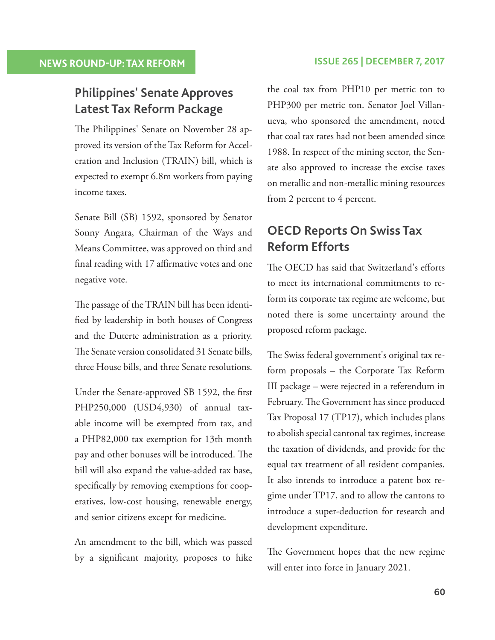# **Philippines' Senate Approves Latest Tax Reform Package**

The Philippines' Senate on November 28 approved its version of the Tax Reform for Acceleration and Inclusion (TRAIN) bill, which is expected to exempt 6.8m workers from paying income taxes.

 Senate Bill (SB) 1592, sponsored by Senator Sonny Angara, Chairman of the Ways and Means Committee, was approved on third and final reading with 17 affirmative votes and one negative vote.

The passage of the TRAIN bill has been identified by leadership in both houses of Congress and the Duterte administration as a priority. The Senate version consolidated 31 Senate bills, three House bills, and three Senate resolutions.

Under the Senate-approved SB 1592, the first PHP250,000 (USD4,930) of annual taxable income will be exempted from tax, and a PHP82,000 tax exemption for 13th month pay and other bonuses will be introduced. The bill will also expand the value-added tax base, specifically by removing exemptions for cooperatives, low-cost housing, renewable energy, and senior citizens except for medicine.

 An amendment to the bill, which was passed by a significant majority, proposes to hike

#### **NEWS ROUND-UP: TAX REFORM ISSUE 265 | DECEMBER 7, 2017**

the coal tax from PHP10 per metric ton to PHP300 per metric ton. Senator Joel Villanueva, who sponsored the amendment, noted that coal tax rates had not been amended since 1988. In respect of the mining sector, the Senate also approved to increase the excise taxes on metallic and non-metallic mining resources from 2 percent to 4 percent.

# **OECD Reports On Swiss Tax Reform Efforts**

The OECD has said that Switzerland's efforts to meet its international commitments to reform its corporate tax regime are welcome, but noted there is some uncertainty around the proposed reform package.

The Swiss federal government's original tax reform proposals – the Corporate Tax Reform III package – were rejected in a referendum in February. The Government has since produced Tax Proposal 17 (TP17), which includes plans to abolish special cantonal tax regimes, increase the taxation of dividends, and provide for the equal tax treatment of all resident companies. It also intends to introduce a patent box regime under TP17, and to allow the cantons to introduce a super-deduction for research and development expenditure.

The Government hopes that the new regime will enter into force in January 2021.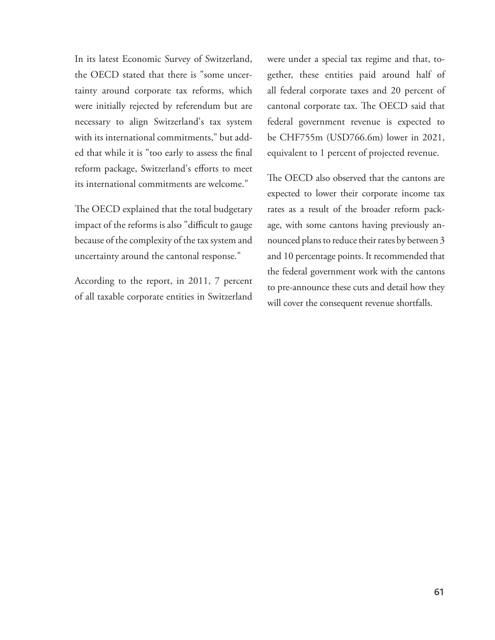In its latest Economic Survey of Switzerland, the OECD stated that there is "some uncertainty around corporate tax reforms, which were initially rejected by referendum but are necessary to align Switzerland's tax system with its international commitments," but added that while it is "too early to assess the final reform package, Switzerland's efforts to meet its international commitments are welcome."

The OECD explained that the total budgetary impact of the reforms is also "difficult to gauge becauseof the complexity of the tax system and uncertainty around the cantonal response."

 According to the report, in 2011, 7 percent of all taxable corporate entities in Switzerland were under a special tax regime and that, together, these entities paid around half of all federal corporate taxes and 20 percent of cantonal corporate tax. The OECD said that federal government revenue is expected to be CHF755m (USD766.6m) lower in 2021, equivalent to 1 percent of projected revenue.

The OECD also observed that the cantons are expected to lower their corporate income tax rates as a result of the broader reform package, with some cantons having previously announced plans to reduce their rates by between 3 and 10 percentage points. It recommended that the federal government work with the cantons to pre-announce these cuts and detail how they will cover the consequent revenue shortfalls.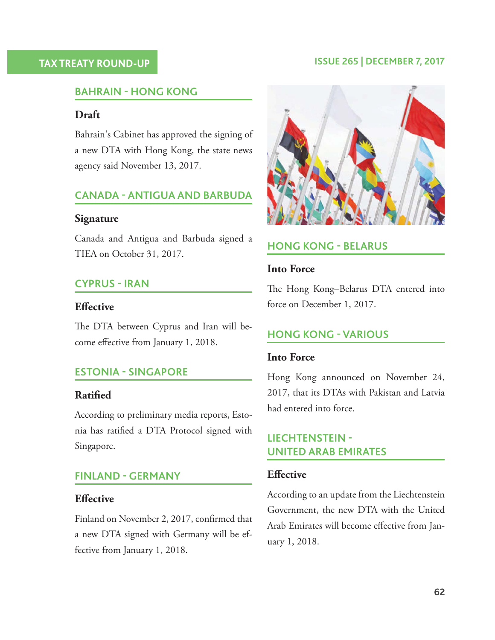#### **TAX TREATY ROUND-UP ISSUE 265 | DECEMBER 7, 2017**

#### **BAHRAIN - HONG KONG**

#### **Draft**

 Bahrain's Cabinet has approved the signing of a new DTA with Hong Kong, the state news agency said November 13, 2017.

## **CANADA - ANTIGUA AND BARBUDA**

#### **Signature**

 Canada and Antigua and Barbuda signed a TIEA on October 31, 2017.

#### **CYPRUS - IRAN**

#### **Effective**

The DTA between Cyprus and Iran will become effective from January 1, 2018.

#### **ESTONIA - SINGAPORE**

#### **Ratified**

 According to preliminary media reports, Estonia has ratified a DTA Protocol signed with Singapore.

#### **FINLAND - GERMANY**

#### **Effective**

Finland on November 2, 2017, confirmed that a new DTA signed with Germany will be effective from January 1, 2018.



#### **HONG KONG - BELARUS**

#### **Into Force**

The Hong Kong–Belarus DTA entered into force on December 1, 2017.

### **HONG KONG - VARIOUS**

#### **Into Force**

 Hong Kong announced on November 24, 2017, that its DTAs with Pakistan and Latvia had entered into force.

## **LIECHTENSTEIN - UNITED ARAB EMIRATES**

#### **Effective**

 According to an update from the Liechtenstein Government, the new DTA with the United Arab Emirates will become effective from January 1, 2018.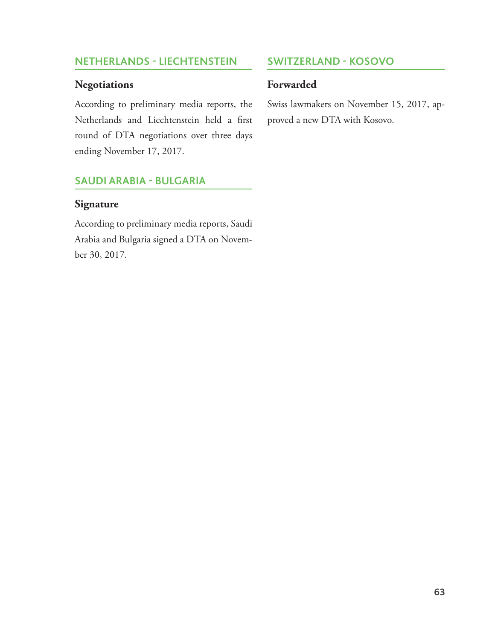### **NETHERLANDS - LIECHTENSTEIN**

#### **Negotiations**

 According to preliminary media reports, the Netherlands and Liechtenstein held a first round of DTA negotiations over three days ending November 17, 2017.

## **SAUDI ARABIA - BULGARIA**

#### **Signature**

 According to preliminary media reports, Saudi Arabia and Bulgaria signed a DTA on November 30, 2017.

## **SWITZERLAND - KOSOVO**

### **Forwarded**

 Swiss lawmakers on November 15, 2017, approved a new DTA with Kosovo.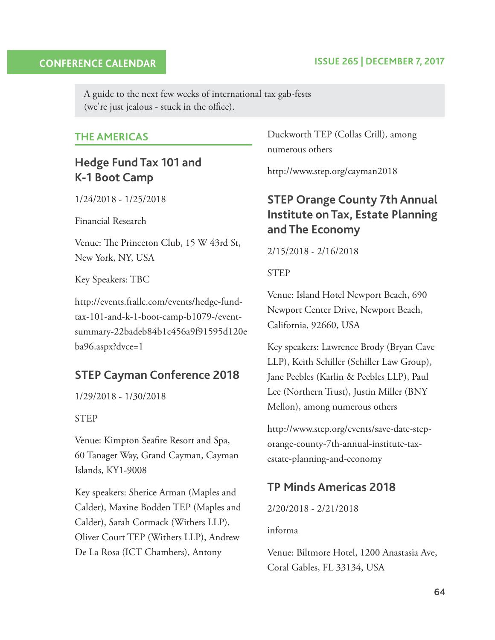#### **CONFERENCE CALENDAR**

#### **ISSUE 265 | DECEMBER 7, 2017**

A guide to the next few weeks of international tax gab-fests (we're just jealous - stuck in the office).

#### **THE AMERICAS**

## **Hedge Fund Tax 101 and K-1 Boot Camp**

1/24/2018 - 1/25/2018

Financial Research

Venue: The Princeton Club, 15 W 43rd St, New York, NY, USA

Key Speakers: TBC

 http://events.frallc.com/events/hedge-fundtax-101-and-k-1-boot-camp-b1079-/eventsummary-22badeb84b1c456a9f91595d120e ba96.aspx?dvce=1

## **STEP Cayman Conference 2018**

1/29/2018 - 1/30/2018

#### STEP

Venue: Kimpton Seafire Resort and Spa, 60 Tanager Way, Grand Cayman, Cayman Islands, KY1-9008

 Key speakers: Sherice Arman (Maples and Calder), Maxine Bodden TEP (Maples and Calder), Sarah Cormack(Withers LLP), Oliver Court TEP (Withers LLP), Andrew De La Rosa (ICT Chambers), Antony

Duckworth TEP (Collas Crill), among numerous others

http://www.step.org/cayman2018

## **STEP Orange County 7th Annual Institute on Tax, Estate Planning and The Economy**

2/15/2018 - 2/16/2018

STEP

 Venue: Island Hotel Newport Beach, 690 Newport Center Drive, Newport Beach, California, 92660, USA

 Key speakers: Lawrence Brody (Bryan Cave LLP), Keith Schiller (Schiller Law Group), Jane Peebles (Karlin & Peebles LLP), Paul Lee (Northern Trust), Justin Miller (BNY Mellon), among numerous others

 http://www.step.org/events/save-date-steporange-county-7th-annual-institute-taxestate-planning-and-economy

## **TP Minds Americas 2018**

2/20/2018 - 2/21/2018

informa

 Venue: Biltmore Hotel, 1200 Anastasia Ave, Coral Gables, FL 33134, USA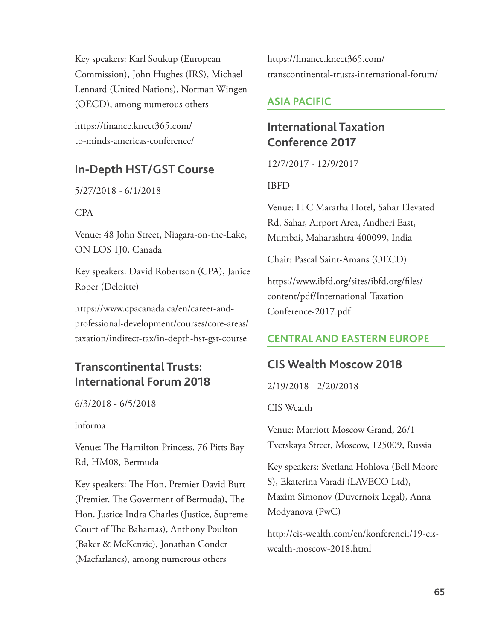Key speakers: Karl Soukup (European Commission), John Hughes (IRS), Michael Lennard (United Nations), Norman Wingen (OECD), among numerous others

https://finance.knect365.com/ tp-minds-americas-conference/

## **In-Depth HST/GST Course**

5/27/2018 - 6/1/2018

#### CPA

 Venue: 48 John Street, Niagara-on-the-Lake, ON LOS 1J0, Canada

 Key speakers: David Robertson (CPA), Janice Roper (Deloitte)

 https://www.cpacanada.ca/en/career-andprofessional-development/courses/core-areas/ taxation/indirect-tax/in-depth-hst-gst-course

# **Transcontinental Trusts: International Forum 2018**

6/3/2018 - 6/5/2018

#### informa

Venue: The Hamilton Princess, 76 Pitts Bay Rd, HM08, Bermuda

Key speakers: The Hon. Premier David Burt (Premier, The Goverment of Bermuda), The Hon. Justice Indra Charles (Justice, Supreme Court of The Bahamas), Anthony Poulton (Baker & McKenzie), Jonathan Conder (Macfarlanes), among numerous others

https://finance.knect365.com/ transcontinental-trusts-international-forum/

## **ASIA PACIFIC**

## **International Taxation Conference 2017**

12/7/2017 - 12/9/2017

### IBFD

 Venue: ITC Maratha Hotel, Sahar Elevated Rd, Sahar, Airport Area, Andheri East, Mumbai, Maharashtra 400099, India

Chair: Pascal Saint-Amans (OECD)

https://www.ibfd.org/sites/ibfd.org/files/ content/pdf/International-Taxation-Conference-2017.pdf

## **CENTRAL AND EASTERN EUROPE**

## **CIS Wealth Moscow 2018**

2/19/2018 - 2/20/2018

CIS Wealth

 Venue: Marriott Moscow Grand, 26/1 Tverskaya Street, Moscow, 125009, Russia

 Key speakers: Svetlana Hohlova (Bell Moore S), Ekaterina Varadi (LAVECO Ltd), Maxim Simonov (Duvernoix Legal), Anna Modyanova (PwC)

 http://cis-wealth.com/en/konferencii/19-ciswealth-moscow-2018.html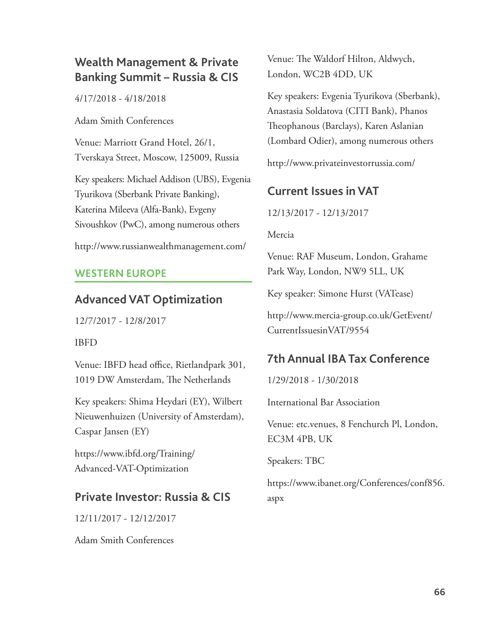# **Wealth Management & Private Banking Summit – Russia & CIS**

4/17/2018 - 4/18/2018

Adam Smith Conferences

 Venue: Marriott Grand Hotel, 26/1, Tverskaya Street, Moscow, 125009, Russia

 Key speakers: Michael Addison (UBS), Evgenia Tyurikova (Sberbank Private Banking), Katerina Mileeva (Alfa-Bank), Evgeny Sivoushkov (PwC), among numerous others

http://www.russianwealthmanagement.com/

## **WESTERN EUROPE**

## **Advanced VAT Optimization**

12/7/2017 - 12/8/2017

### IBFD

Venue: IBFD head office, Rietlandpark 301, 1019 DW Amsterdam, The Netherlands

 Key speakers: Shima Heydari (EY), Wilbert Nieuwenhuizen (University of Amsterdam), Caspar Jansen (EY)

 https://www.ibfd.org/Training/ Advanced-VAT-Optimization

## **Private Investor: Russia & CIS**

12/11/2017 - 12/12/2017

Adam Smith Conferences

Venue: The Waldorf Hilton, Aldwych, London, WC2B 4DD, UK

 Key speakers: Evgenia Tyurikova (Sberbank), Anastasia Soldatova (CITI Bank), Phanos Th eophanous (Barclays), Karen Aslanian (Lombard Odier), among numerous others

http://www.privateinvestorrussia.com/

## **Current Issues in VAT**

12/13/2017 - 12/13/2017

Mercia

 Venue: RAF Museum, London, Grahame Park Way, London, NW9 5LL, UK

Key speaker: Simone Hurst (VATease)

 http://www.mercia-group.co.uk/GetEvent/ CurrentIssuesinVAT/9554

# **7th Annual IBA Tax Conference**

1/29/2018 - 1/30/2018

International Bar Association

 Venue: etc.venues, 8 Fenchurch Pl, London, EC3M 4PB, UK

Speakers: TBC

 https://www.ibanet.org/Conferences/conf856. aspx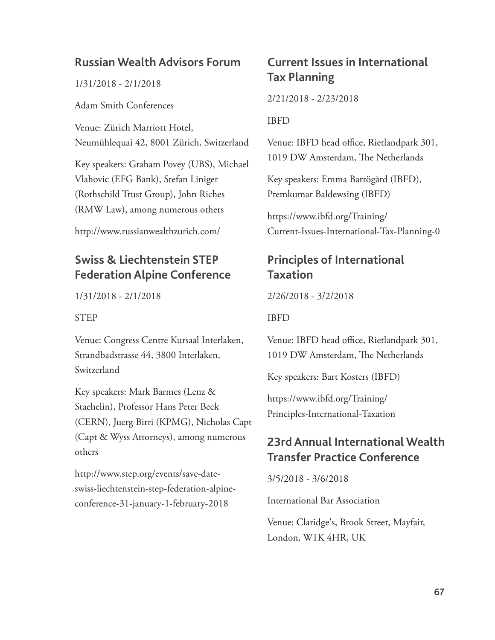## **Russian Wealth Advisors Forum**

1/31/2018 - 2/1/2018

Adam Smith Conferences

 Venue: Zürich Marriott Hotel, Neumühlequai 42, 8001 Zürich, Switzerland

 Key speakers: Graham Povey (UBS), Michael Vlahovic (EFG Bank), Stefan Liniger (Rothschild Trust Group), John Riches (RMW Law), among numerous others

http://www.russianwealthzurich.com/

## **Swiss & Liechtenstein STEP Federation Alpine Conference**

1/31/2018 - 2/1/2018

#### STEP

 Venue: Congress Centre Kursaal Interlaken, Strandbadstrasse 44, 3800 Interlaken, Switzerland

 Key speakers: Mark Barmes (Lenz & Staehelin), Professor Hans Peter Beck (CERN), Juerg Birri (KPMG), Nicholas Capt (Capt & Wyss Attorneys), among numerous others

 http://www.step.org/events/save-dateswiss-liechtenstein-step-federation-alpineconference-31-january-1-february-2018

## **Current Issues in International Tax Planning**

2/21/2018 - 2/23/2018

IBFD

Venue: IBFD head office, Rietlandpark 301, 1019 DW Amsterdam, The Netherlands

 Key speakers: Emma Barrögård (IBFD), Premkumar Baldewsing (IBFD)

 https://www.ibfd.org/Training/ Current-Issues-International-Tax-Planning-0

## **Principles of International Taxation**

2/26/2018 - 3/2/2018

#### IBFD

Venue: IBFD head office, Rietlandpark 301, 1019 DW Amsterdam, The Netherlands

Key speakers: Bart Kosters (IBFD)

 https://www.ibfd.org/Training/ Principles-International-Taxation

## **23rd Annual International Wealth Transfer Practice Conference**

3/5/2018 - 3/6/2018

International Bar Association

 Venue: Claridge's, Brook Street, Mayfair, London, W1K 4HR, UK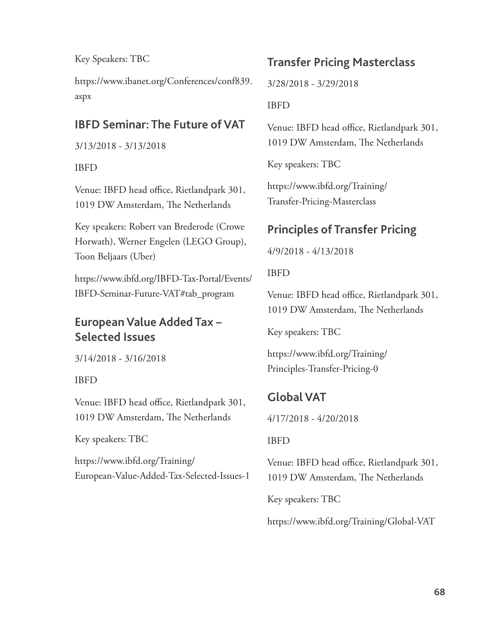Key Speakers: TBC

 https://www.ibanet.org/Conferences/conf839. aspx

## **IBFD Seminar: The Future of VAT**

3/13/2018 - 3/13/2018

#### IBFD

Venue: IBFD head office, Rietlandpark 301, 1019 DW Amsterdam, The Netherlands

 Key speakers: Robert van Brederode (Crowe Horwath), Werner Engelen (LEGO Group), Toon Beljaars (Uber)

 https://www.ibfd.org/IBFD-Tax-Portal/Events/ IBFD-Seminar-Future-VAT#tab\_program

# **European Value Added Tax – Selected Issues**

3/14/2018 - 3/16/2018

### IBFD

Venue: IBFD head office, Rietlandpark 301, 1019 DW Amsterdam, The Netherlands

Key speakers: TBC

 https://www.ibfd.org/Training/ European-Value-Added-Tax-Selected-Issues-1

## **Transfer Pricing Masterclass**

3/28/2018 - 3/29/2018

#### IBFD

Venue: IBFD head office, Rietlandpark 301, 1019 DW Amsterdam, The Netherlands

Key speakers: TBC

 https://www.ibfd.org/Training/ Transfer-Pricing-Masterclass

## **Principles of Transfer Pricing**

4/9/2018 - 4/13/2018

IBFD

Venue: IBFD head office, Rietlandpark 301, 1019 DW Amsterdam, The Netherlands

Key speakers: TBC

 https://www.ibfd.org/Training/ Principles-Transfer-Pricing-0

# **Global VAT**

4/17/2018 - 4/20/2018

### IBFD

Venue: IBFD head office, Rietlandpark 301, 1019 DW Amsterdam, The Netherlands

Key speakers: TBC

https://www.ibfd.org/Training/Global-VAT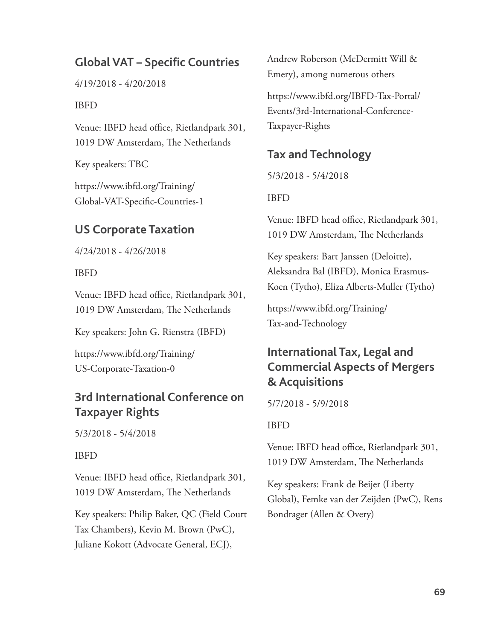## **Global VAT – Specific Countries**

4/19/2018 - 4/20/2018

#### IBFD

Venue: IBFD head office, Rietlandpark 301, 1019 DW Amsterdam, The Netherlands

Key speakers: TBC

 https://www.ibfd.org/Training/ Global-VAT-Specific-Countries-1

## **US Corporate Taxation**

4/24/2018 - 4/26/2018

#### IBFD

Venue: IBFD head office, Rietlandpark 301, 1019 DW Amsterdam, The Netherlands

Key speakers: John G. Rienstra (IBFD)

 https://www.ibfd.org/Training/ US-Corporate-Taxation-0

## **3rd International Conference on Taxpayer Rights**

5/3/2018 - 5/4/2018

#### IBFD

Venue: IBFD head office, Rietlandpark 301, 1019 DW Amsterdam, The Netherlands

 Key speakers: Philip Baker, QC (Field Court Tax Chambers), Kevin M. Brown (PwC), Juliane Kokott (Advocate General, ECJ),

Andrew Roberson (McDermitt Will & Emery), among numerous others

 https://www.ibfd.org/IBFD-Tax-Portal/ Events/3rd-International-Conference-Taxpayer-Rights

## **Tax and Technology**

5/3/2018 - 5/4/2018

#### IBFD

Venue: IBFD head office, Rietlandpark 301, 1019 DW Amsterdam, The Netherlands

 Key speakers: Bart Janssen (Deloitte), Aleksandra Bal (IBFD), Monica Erasmus-Koen (Tytho), Eliza Alberts-Muller (Tytho)

 https://www.ibfd.org/Training/ Tax-and-Technology

## **International Tax, Legal and Commercial Aspects of Mergers & Acquisitions**

5/7/2018 - 5/9/2018

#### IBFD

Venue: IBFD head office, Rietlandpark 301, 1019 DW Amsterdam, The Netherlands

 Key speakers: Frank de Beijer (Liberty Global), Femke van der Zeijden (PwC), Rens Bondrager (Allen & Overy)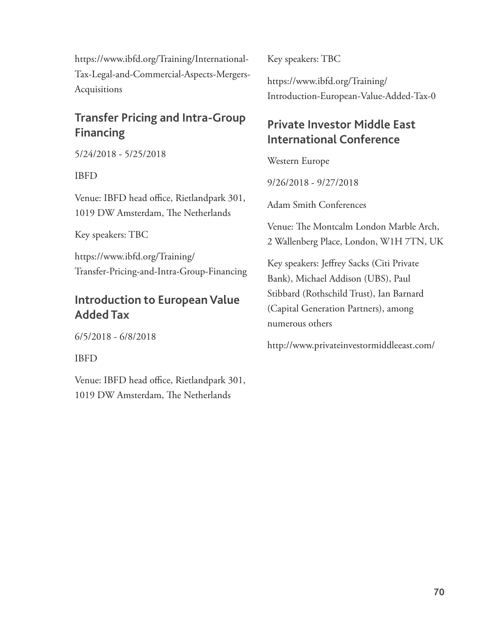https://www.ibfd.org/Training/International-Tax-Legal-and-Commercial-Aspects-Mergers-Acquisitions

## **Transfer Pricing and Intra-Group Financing**

5/24/2018 - 5/25/2018

IBFD

Venue: IBFD head office, Rietlandpark 301, 1019 DW Amsterdam, The Netherlands

Key speakers: TBC

 https://www.ibfd.org/Training/ Transfer-Pricing-and-Intra-Group-Financing

# **Introduction to European Value Added Tax**

6/5/2018 - 6/8/2018

IBFD

Venue: IBFD head office, Rietlandpark 301, 1019 DW Amsterdam, The Netherlands

Key speakers: TBC

 https://www.ibfd.org/Training/ Introduction-European-Value-Added-Tax-0

# **Private Investor Middle East International Conference**

Western Europe

9/26/2018 - 9/27/2018

Adam Smith Conferences

Venue: The Montcalm London Marble Arch, 2 Wallenberg Place, London, W1H 7TN, UK

Key speakers: Jeffrey Sacks (Citi Private Bank), Michael Addison (UBS), Paul Stibbard (Rothschild Trust), Ian Barnard (Capital Generation Partners), among numerous others

http://www.privateinvestormiddleeast.com/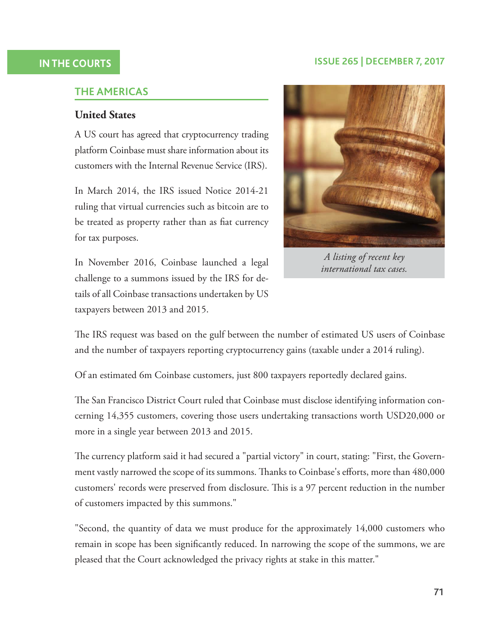#### **ISSUE 265 | DECEMBER 7, 2017**

#### **IN THE COURTS**

#### **THE AMERICAS**

#### **United States**

 A US court has agreed that cryptocurrency trading platform Coinbase must share information about its customers with the Internal Revenue Service (IRS).

 In March 2014, the IRS issued Notice 2014-21 ruling that virtual currencies such as bitcoin are to be treated as property rather than as fiat currency for tax purposes.

 In November 2016, Coinbase launched a legal challenge to a summons issued by the IRS for details of all Coinbase transactions undertaken by US taxpayers between 2013 and 2015.



*A listing of recent key international tax cases.*

The IRS request was based on the gulf between the number of estimated US users of Coinbase and the number of taxpayers reporting cryptocurrency gains (taxable under a 2014 ruling).

Of an estimated 6m Coinbase customers, just 800 taxpayers reportedly declared gains.

The San Francisco District Court ruled that Coinbase must disclose identifying information concerning 14,355 customers, covering those users undertaking transactions worth USD20,000 or more in a single year between 2013 and 2015.

The currency platform said it had secured a "partial victory" in court, stating: "First, the Government vastly narrowed the scope of its summons. Thanks to Coinbase's efforts, more than 480,000 customers' records were preserved from disclosure. This is a 97 percent reduction in the number of customers impacted by this summons."

 "Second, the quantity of data we must produce for the approximately 14,000 customers who remain in scope has been significantly reduced. In narrowing the scope of the summons, we are pleased that the Court acknowledged the privacy rights at stake in this matter."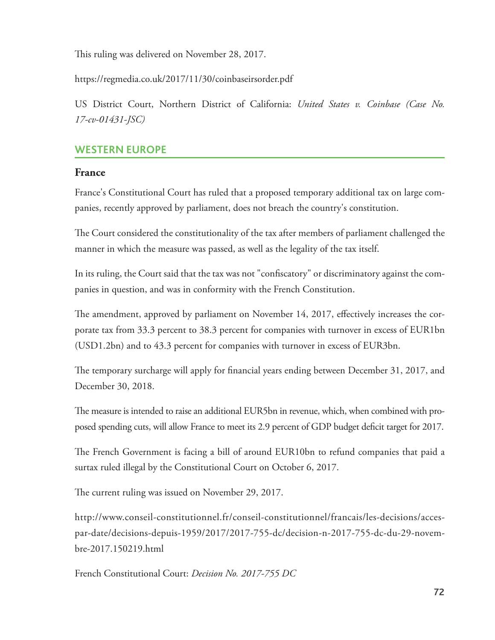This ruling was delivered on November 28, 2017.

https://regmedia.co.uk/2017/11/30/coinbaseirsorder.pdf

 US District Court, Northern District of California: *United States v. Coinbase (Case No. 17-cv-01431-JSC)*

## **WESTERN EUROPE**

## **France**

 France's Constitutional Court has ruled that a proposed temporary additional tax on large companies, recently approved by parliament, does not breach the country's constitution.

The Court considered the constitutionality of the tax after members of parliament challenged the manner in which the measure was passed, as well as the legality of the tax itself.

In its ruling, the Court said that the tax was not "confiscatory" or discriminatory against the companies in question, and was in conformity with the French Constitution.

The amendment, approved by parliament on November 14, 2017, effectively increases the corporate tax from 33.3 percent to 38.3 percent for companies with turnover in excess of EUR1bn (USD1.2bn) and to 43.3 percent for companies with turnover in excess of EUR3bn.

The temporary surcharge will apply for financial years ending between December 31, 2017, and December 30, 2018.

The measure is intended to raise an additional EUR5bn in revenue, which, when combined with proposed spending cuts, will allow France to meet its 2.9 percent of GDP budget deficit target for 2017.

The French Government is facing a bill of around EUR10bn to refund companies that paid a surtax ruled illegal by the Constitutional Court on October 6, 2017.

The current ruling was issued on November 29, 2017.

 http://www.conseil-constitutionnel.fr/conseil-constitutionnel/francais/les-decisions/accespar-date/decisions-depuis-1959/2017/2017-755-dc/decision-n-2017-755-dc-du-29-novembre-2017.150219.html

French Constitutional Court: *Decision No. 2017-755 DC*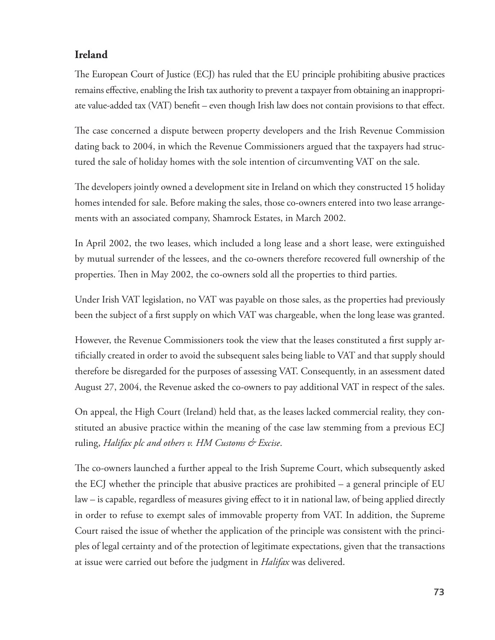## **Ireland**

The European Court of Justice (ECJ) has ruled that the EU principle prohibiting abusive practices remains effective, enabling the Irish tax authority to prevent a taxpayer from obtaining an inappropriate value-added tax (VAT) benefit – even though Irish law does not contain provisions to that effect.

The case concerned a dispute between property developers and the Irish Revenue Commission dating back to 2004, in which the Revenue Commissioners argued that the taxpayers had structured the sale of holiday homes with the sole intention of circumventing VAT on the sale.

The developers jointly owned a development site in Ireland on which they constructed 15 holiday homes intended for sale. Before making the sales, those co-owners entered into two lease arrangements with an associated company, Shamrock Estates, in March 2002.

 In April 2002, the two leases, which included a long lease and a short lease, were extinguished by mutual surrender of the lessees, and the co-owners therefore recovered full ownership of the properties. Then in May 2002, the co-owners sold all the properties to third parties.

 Under Irish VAT legislation, no VAT was payable on those sales, as the properties had previously been the subject of a first supply on which VAT was chargeable, when the long lease was granted.

However, the Revenue Commissioners took the view that the leases constituted a first supply artificially created in order to avoid the subsequent sales being liable to VAT and that supply should therefore be disregarded for the purposes of assessing VAT. Consequently, in an assessment dated August 27, 2004, the Revenue asked the co-owners to pay additional VAT in respect of the sales.

 On appeal, the High Court (Ireland) held that, as the leases lacked commercial reality, they constituted an abusive practice within the meaning of the case law stemming from a previous ECJ ruling, *Halifax plc and others v. HM Customs & Excise* .

The co-owners launched a further appeal to the Irish Supreme Court, which subsequently asked the ECJ whether the principle that abusive practices are prohibited – a general principle of EU law – is capable, regardless of measures giving effect to it in national law, of being applied directly in order to refuse to exempt sales of immovable property from VAT. In addition, the Supreme Court raised the issue of whether the application of the principle was consistent with the principles of legal certainty and of the protection of legitimate expectations, given that the transactions at issue were carried out before the judgment in *Halifax* was delivered.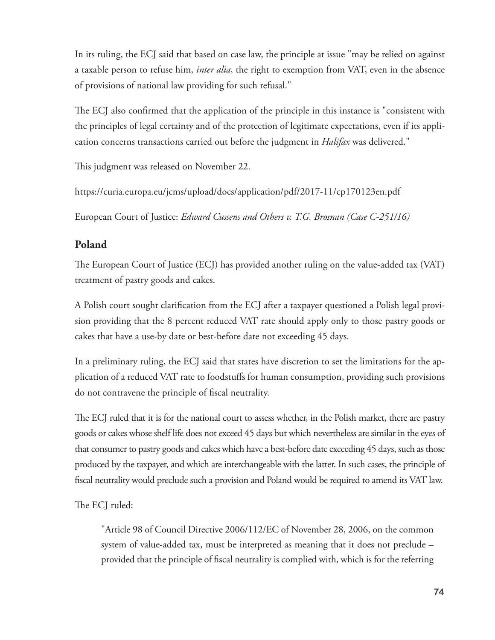In its ruling, the ECJ said that based on case law, the principle at issue "may be relied on against a taxable person to refuse him, *inter alia* , the right to exemption from VAT, even in the absence of provisions of national law providing for such refusal."

The ECJ also confirmed that the application of the principle in this instance is "consistent with the principles of legal certainty and of the protection of legitimate expectations, even if its application concerns transactions carried out before the judgment in *Halifax* was delivered."

This judgment was released on November 22.

https://curia.europa.eu/jcms/upload/docs/application/pdf/2017-11/cp170123en.pdf

European Court of Justice: *Edward Cussens and Others v. T.G. Brosnan (Case C-251/16)*

### **Poland**

The European Court of Justice (ECJ) has provided another ruling on the value-added tax (VAT) treatment of pastry goods and cakes.

A Polish court sought clarification from the ECJ after a taxpayer questioned a Polish legal provision providing that the 8 percent reduced VAT rate should apply only to those pastry goods or cakes that have a use-by date or best-before date not exceeding 45 days.

 In a preliminary ruling, the ECJ said that states have discretion to set the limitations for the application of a reduced VAT rate to foodstuffs for human consumption, providing such provisions do not contravene the principle of fiscal neutrality.

The ECJ ruled that it is for the national court to assess whether, in the Polish market, there are pastry goods or cakes whose shelf life does not exceed 45 days but which nevertheless are similar in the eyes of that consumer to pastry goods and cakes which have a best-before date exceeding 45 days, such as those produced by the taxpayer, and which are interchangeable with the latter. In such cases, the principle of fiscal neutrality would preclude such a provision and Poland would be required to amend its VAT law.

The ECJ ruled:

 "Article 98 of Council Directive 2006/112/EC of November 28, 2006, on the common system of value-added tax, must be interpreted as meaning that it does not preclude – provided that the principle of fiscal neutrality is complied with, which is for the referring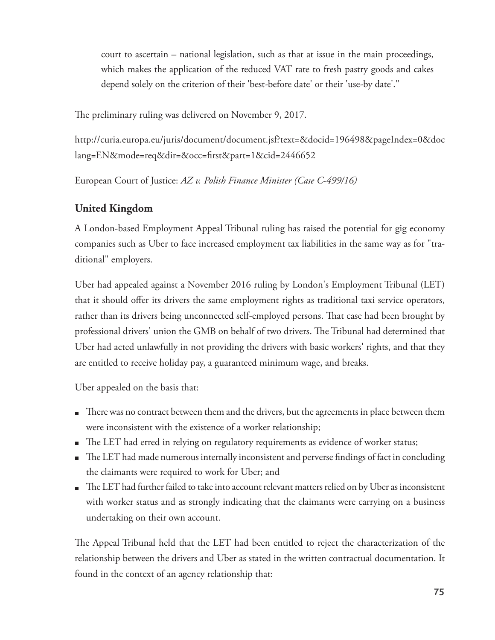court to ascertain – national legislation, such as that at issue in the main proceedings, which makes the application of the reduced VAT rate to fresh pastry goods and cakes depend solely on the criterion of their 'best-before date' or their 'use-by date'."

The preliminary ruling was delivered on November 9, 2017.

 http://curia.europa.eu/juris/document/document.jsf?text=&docid=196498&pageIndex=0&doc lang=EN&mode=req&dir=&occ=first&part=1&cid=2446652

European Court of Justice: *AZ v. Polish Finance Minister (Case C-499/16)*

## **United Kingdom**

 A London-based Employment Appeal Tribunal ruling has raised the potential for gig economy companies such as Uber to face increased employment tax liabilities in the same way as for "traditional" employers.

 Uber had appealed against a November 2016 ruling by London's Employment Tribunal (LET) that it should offer its drivers the same employment rights as traditional taxi service operators, rather than its drivers being unconnected self-employed persons. That case had been brought by professional drivers' union the GMB on behalf of two drivers. The Tribunal had determined that Uber had acted unlawfully in not providing the drivers with basic workers' rights, and that they are entitled to receive holiday pay, a guaranteed minimum wage, and breaks.

Uber appealed on the basis that:

- There was no contract between them and the drivers, but the agreements in place between them were inconsistent with the existence of a worker relationship;
- The LET had erred in relying on regulatory requirements as evidence of worker status;
- $\blacksquare$  The LET had made numerous internally inconsistent and perverse findings of fact in concluding the claimants were required to work for Uber; and
- $\blacksquare$  The LET had further failed to take into account relevant matters relied on by Uber as inconsistent with worker status and as strongly indicating that the claimants were carrying on a business undertaking on their own account.

The Appeal Tribunal held that the LET had been entitled to reject the characterization of the relationship between the drivers and Uber as stated in the written contractual documentation. It found in the context of an agency relationship that: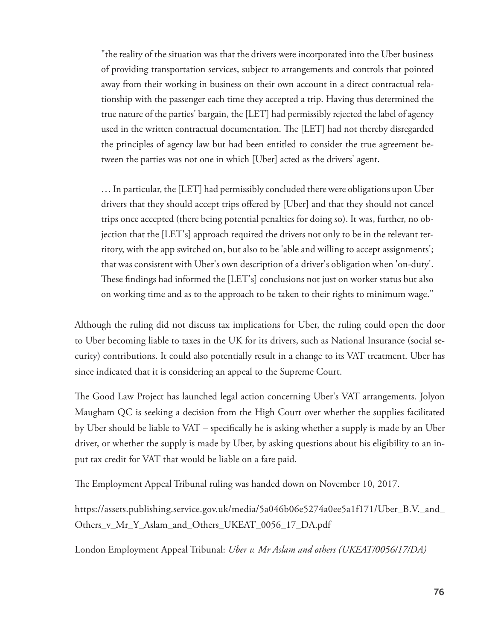"the reality of the situation was that the drivers were incorporated into the Uber business of providing transportation services, subject to arrangements and controls that pointed away from their working in business on their own account in a direct contractual relationship with the passenger each time they accepted a trip. Having thus determined the true nature of the parties' bargain, the [LET] had permissibly rejected the label of agency used in the written contractual documentation. The [LET] had not thereby disregarded the principles of agency law but had been entitled to consider the true agreement between the parties was not one in which [Uber] acted as the drivers' agent.

 … In particular, the [LET] had permissibly concluded there were obligations upon Uber drivers that they should accept trips offered by [Uber] and that they should not cancel trips once accepted (there being potential penalties for doing so). It was, further, no objection that the [LET's] approach required the drivers not only to be in the relevant territory, with the app switched on, but also to be 'able and willing to accept assignments'; that was consistent with Uber's own description of a driver's obligation when 'on-duty'. These findings had informed the [LET's] conclusions not just on worker status but also on working time and as to the approach to be taken to their rights to minimum wage."

 Although the ruling did not discuss tax implications for Uber, the ruling could open the door to Uber becoming liable to taxes in the UK for its drivers, such as National Insurance (social security) contributions. It could also potentially result in a change to its VAT treatment. Uber has since indicated that it is considering an appeal to the Supreme Court.

The Good Law Project has launched legal action concerning Uber's VAT arrangements. Jolyon Maugham QC is seeking a decision from the High Court over whether the supplies facilitated by Uber should be liable to VAT – specifically he is asking whether a supply is made by an Uber driver, or whether the supply is made by Uber, by asking questions about his eligibility to an input tax credit for VAT that would be liable on a fare paid.

The Employment Appeal Tribunal ruling was handed down on November 10, 2017.

 https://assets.publishing.service.gov.uk/media/5a046b06e5274a0ee5a1f171/Uber\_B.V.\_and\_ Others\_v\_Mr\_Y\_Aslam\_and\_Others\_UKEAT\_0056\_17\_DA.pdf

London Employment Appeal Tribunal: *Uber v. Mr Aslam and others (UKEAT/0056/17/DA)*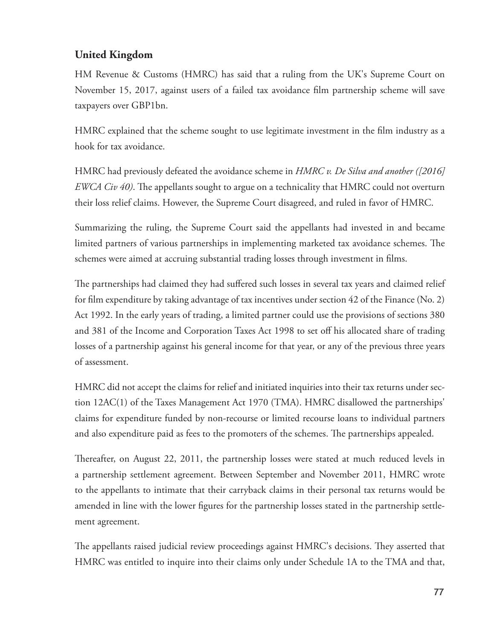# **United Kingdom**

 HM Revenue & Customs (HMRC) has said that a ruling from the UK's Supreme Court on November 15, 2017, against users of a failed tax avoidance film partnership scheme will save taxpayers over GBP1bn.

HMRC explained that the scheme sought to use legitimate investment in the film industry as a hook for tax avoidance.

 HMRC had previously defeated the avoidance scheme in *HMRC v. De Silva and another ([2016] EWCA Civ 40*). The appellants sought to argue on a technicality that HMRC could not overturn their loss relief claims. However, the Supreme Court disagreed, and ruled in favor of HMRC.

 Summarizing the ruling, the Supreme Court said the appellants had invested in and became limited partners of various partnerships in implementing marketed tax avoidance schemes. The schemes were aimed at accruing substantial trading losses through investment in films.

The partnerships had claimed they had suffered such losses in several tax years and claimed relief for film expenditure by taking advantage of tax incentives under section 42 of the Finance (No. 2) Act 1992. In the early years of trading, a limited partner could use the provisions of sections 380 and 381 of the Income and Corporation Taxes Act 1998 to set off his allocated share of trading losses of a partnership against his general income for that year, or any of the previous three years of assessment.

 HMRC did not accept the claims for relief and initiated inquiries into their tax returns under section 12AC(1) of the Taxes Management Act 1970 (TMA). HMRC disallowed the partnerships' claims for expenditure funded by non-recourse or limited recourse loans to individual partners and also expenditure paid as fees to the promoters of the schemes. The partnerships appealed.

Thereafter, on August 22, 2011, the partnership losses were stated at much reduced levels in a partnership settlement agreement. Between September and November 2011, HMRC wrote to the appellants to intimate that their carryback claims in their personal tax returns would be amended in line with the lower figures for the partnership losses stated in the partnership settlement agreement.

The appellants raised judicial review proceedings against HMRC's decisions. They asserted that HMRC was entitled to inquire into their claims only under Schedule 1A to the TMA and that,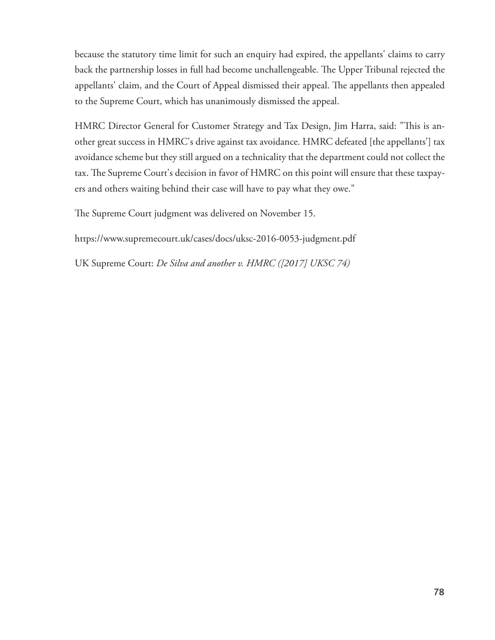because the statutory time limit for such an enquiry had expired, the appellants' claims to carry back the partnership losses in full had become unchallengeable. The Upper Tribunal rejected the appellants' claim, and the Court of Appeal dismissed their appeal. The appellants then appealed to the Supreme Court, which has unanimously dismissed the appeal.

HMRC Director General for Customer Strategy and Tax Design, Jim Harra, said: "This is another great success in HMRC's drive against tax avoidance. HMRC defeated [the appellants'] tax avoidance scheme but they still argued on a technicality that the department could not collect the tax. The Supreme Court's decision in favor of HMRC on this point will ensure that these taxpayers and others waiting behind their case will have to pay what they owe."

The Supreme Court judgment was delivered on November 15.

https://www.supremecourt.uk/cases/docs/uksc-2016-0053-judgment.pdf

UK Supreme Court: *De Silva and another v. HMRC ([2017] UKSC 74)*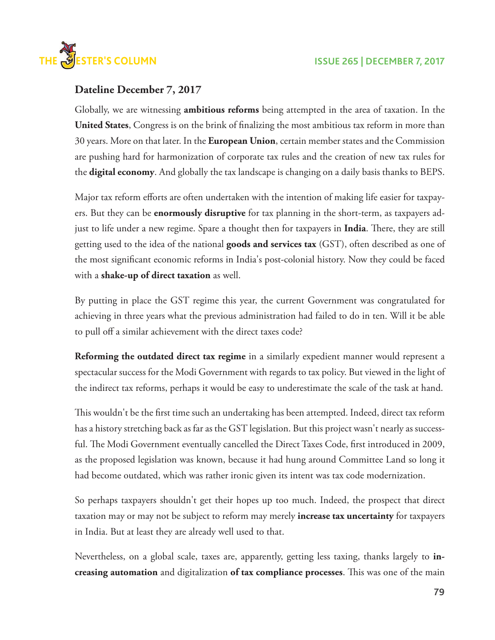

### **Dateline December 7, 2017**

 Globally, we are witnessing **ambitious reforms** being attempted in the area of taxation. In the United States, Congress is on the brink of finalizing the most ambitious tax reform in more than 30 years. More on that later. In the **European Union** , certain member states and the Commission are pushing hard for harmonization of corporate tax rules and the creation of new tax rules for the **digital economy** . And globally the tax landscape is changing on a daily basis thanks to BEPS.

Major tax reform efforts are often undertaken with the intention of making life easier for taxpayers. But they can be **enormously disruptive** for tax planning in the short-term, as taxpayers adjust to life under a new regime. Spare a thought then for taxpayers in **India**. There, they are still getting used to the idea of the national **goods and services tax** (GST), often described as one of the most significant economic reforms in India's post-colonial history. Now they could be faced with a **shake-up of direct taxation** as well.

 By putting in place the GST regime this year, the current Government was congratulated for achieving in three years what the previous administration had failed to do in ten. Will it be able to pull off a similar achievement with the direct taxes code?

**Reforming the outdated direct tax regime** in a similarly expedient manner would represent a spectacular success for the Modi Government with regards to tax policy. But viewed in the light of the indirect tax reforms, perhaps it would be easy to underestimate the scale of the task at hand.

This wouldn't be the first time such an undertaking has been attempted. Indeed, direct tax reform has a history stretching back as far as the GST legislation. But this project wasn't nearly as successful. The Modi Government eventually cancelled the Direct Taxes Code, first introduced in 2009, as the proposed legislation was known, because it had hung around Committee Land so long it had become outdated, which was rather ironic given its intent was tax code modernization.

 So perhaps taxpayers shouldn't get their hopes up too much. Indeed, the prospect that direct taxation may or may not be subject to reform may merely **increase tax uncertainty** for taxpayers in India. But at least they are already well used to that.

 Nevertheless, on a global scale, taxes are, apparently, getting less taxing, thanks largely to **increasing automation** and digitalization **of tax compliance processes**. This was one of the main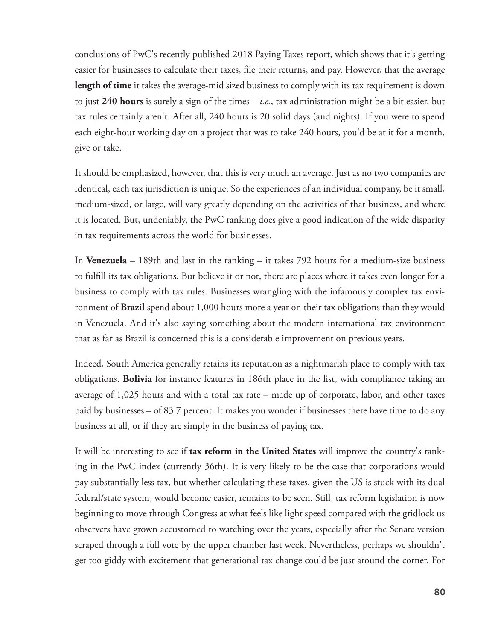conclusions of PwC's recently published 2018 Paying Taxes report, which shows that it's getting easier for businesses to calculate their taxes, file their returns, and pay. However, that the average **length of time** it takes the average-mid sized business to comply with its tax requirement is down to just **240 hours** is surely a sign of the times – *i.e.* , tax administration might be a bit easier, but tax rules certainly aren't. After all, 240 hours is 20 solid days (and nights). If you were to spend each eight-hour working day on a project that was to take 240 hours, you'd be at it for a month, give or take.

 It should be emphasized, however, that this is very much an average. Just as no two companies are identical, each tax jurisdiction is unique. So the experiences of an individual company, be it small, medium-sized, or large, will vary greatly depending on the activities of that business, and where it is located. But, undeniably, the PwC ranking does give a good indication of the wide disparity in tax requirements across the world for businesses.

 In **Venezuela** – 189th and last in the ranking – it takes 792 hours for a medium-size business to fulfill its tax obligations. But believe it or not, there are places where it takes even longer for a business to comply with tax rules. Businesses wrangling with the infamously complex tax environment of **Brazil** spend about 1,000 hours more a year on their tax obligations than they would in Venezuela. And it's also saying something about the modern international tax environment that as far as Brazil is concerned this is a considerable improvement on previous years.

 Indeed, South America generally retains its reputation as a nightmarish place to comply with tax obligations. **Bolivia** for instance features in 186th place in the list, with compliance taking an average of 1,025 hours and with a total tax rate – made up of corporate, labor, and other taxes paid by businesses – of 83.7 percent. It makes you wonder if businesses there have time to do any business at all, or if they are simply in the business of paying tax.

 It will be interesting to see if **tax reform in the United States** will improve the country's ranking in the PwC index (currently 36th). It is very likely to be the case that corporations would pay substantially less tax, but whether calculating these taxes, given the US is stuck with its dual federal/state system, would become easier, remains to be seen. Still, tax reform legislation is now beginning to move through Congress at what feels like light speed compared with the gridlock us observers have grown accustomed to watching over the years, especially after the Senate version scraped through a full vote by the upper chamber last week. Nevertheless, perhaps we shouldn't get too giddy with excitement that generational tax change could be just around the corner. For